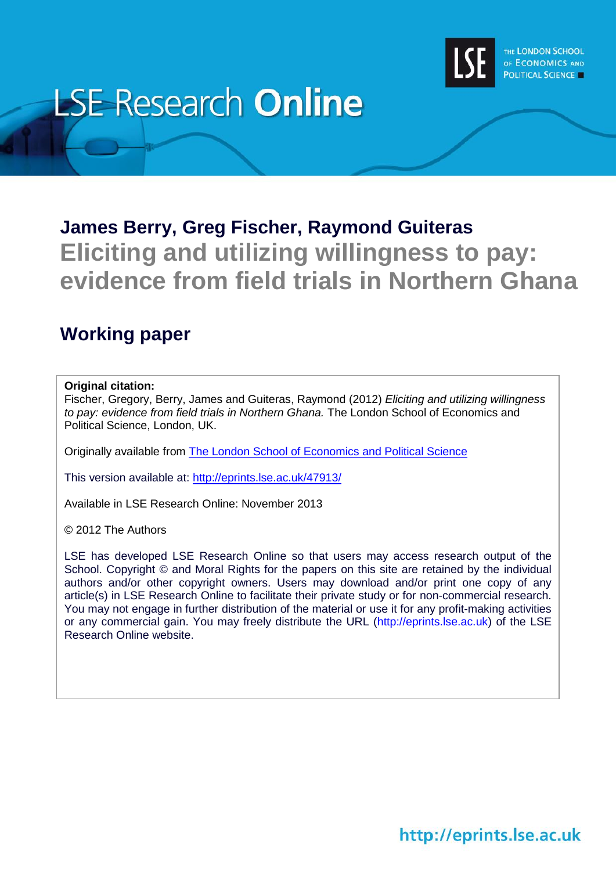

# **LSE Research Online**

# **James Berry, Greg Fischer, Raymond Guiteras Eliciting and utilizing willingness to pay: evidence from field trials in Northern Ghana**

# **Working paper**

#### **Original citation:**

Fischer, Gregory, Berry, James and Guiteras, Raymond (2012) *Eliciting and utilizing willingness to pay: evidence from field trials in Northern Ghana.* The London School of Economics and Political Science, London, UK.

Originally available from [The London School of Economics and Political Science](http://www.lse.ac.uk/library/home.aspx)

This version available at:<http://eprints.lse.ac.uk/47913/>

Available in LSE Research Online: November 2013

© 2012 The Authors

LSE has developed LSE Research Online so that users may access research output of the School. Copyright © and Moral Rights for the papers on this site are retained by the individual authors and/or other copyright owners. Users may download and/or print one copy of any article(s) in LSE Research Online to facilitate their private study or for non-commercial research. You may not engage in further distribution of the material or use it for any profit-making activities or any commercial gain. You may freely distribute the URL (http://eprints.lse.ac.uk) of the LSE Research Online website.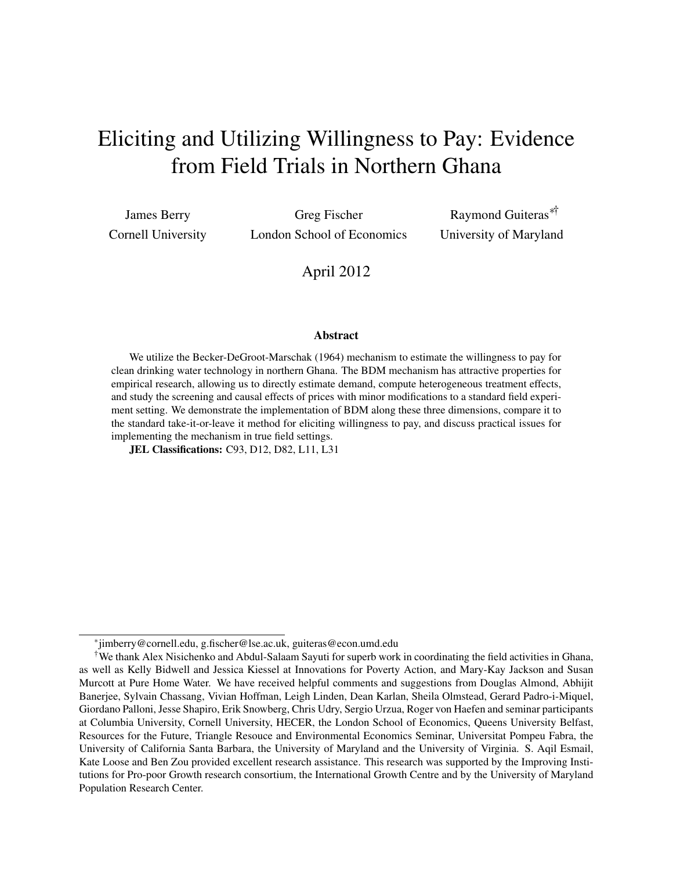# Eliciting and Utilizing Willingness to Pay: Evidence from Field Trials in Northern Ghana

James Berry Cornell University

Greg Fischer London School of Economics

Raymond Guiteras∗† University of Maryland

April 2012

#### Abstract

We utilize the Becker-DeGroot-Marschak (1964) mechanism to estimate the willingness to pay for clean drinking water technology in northern Ghana. The BDM mechanism has attractive properties for empirical research, allowing us to directly estimate demand, compute heterogeneous treatment effects, and study the screening and causal effects of prices with minor modifications to a standard field experiment setting. We demonstrate the implementation of BDM along these three dimensions, compare it to the standard take-it-or-leave it method for eliciting willingness to pay, and discuss practical issues for implementing the mechanism in true field settings.

JEL Classifications: C93, D12, D82, L11, L31

<sup>∗</sup> jimberry@cornell.edu, g.fischer@lse.ac.uk, guiteras@econ.umd.edu

<sup>†</sup>We thank Alex Nisichenko and Abdul-Salaam Sayuti for superb work in coordinating the field activities in Ghana, as well as Kelly Bidwell and Jessica Kiessel at Innovations for Poverty Action, and Mary-Kay Jackson and Susan Murcott at Pure Home Water. We have received helpful comments and suggestions from Douglas Almond, Abhijit Banerjee, Sylvain Chassang, Vivian Hoffman, Leigh Linden, Dean Karlan, Sheila Olmstead, Gerard Padro-i-Miquel, Giordano Palloni, Jesse Shapiro, Erik Snowberg, Chris Udry, Sergio Urzua, Roger von Haefen and seminar participants at Columbia University, Cornell University, HECER, the London School of Economics, Queens University Belfast, Resources for the Future, Triangle Resouce and Environmental Economics Seminar, Universitat Pompeu Fabra, the University of California Santa Barbara, the University of Maryland and the University of Virginia. S. Aqil Esmail, Kate Loose and Ben Zou provided excellent research assistance. This research was supported by the Improving Institutions for Pro-poor Growth research consortium, the International Growth Centre and by the University of Maryland Population Research Center.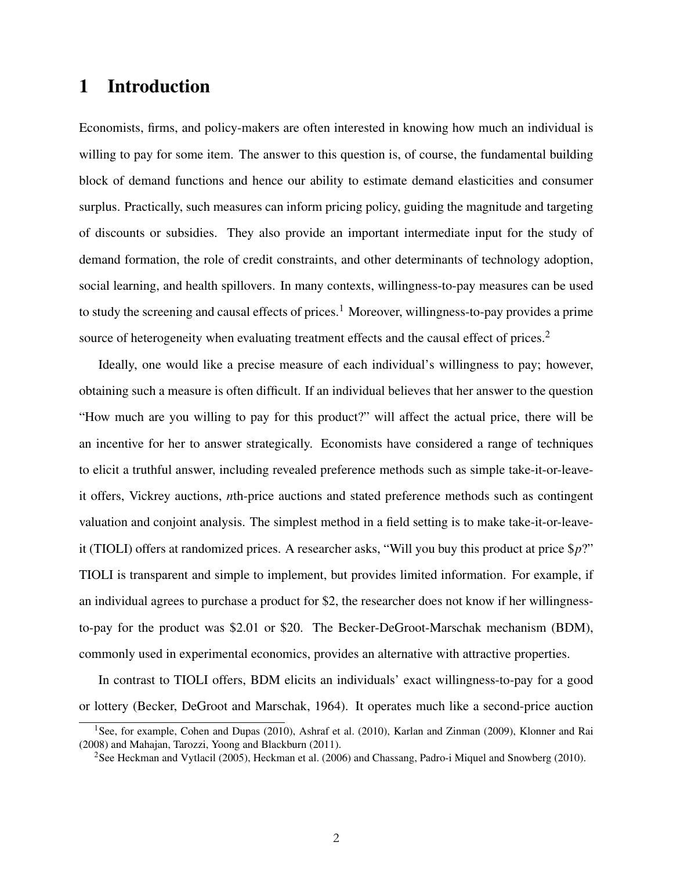### 1 Introduction

Economists, firms, and policy-makers are often interested in knowing how much an individual is willing to pay for some item. The answer to this question is, of course, the fundamental building block of demand functions and hence our ability to estimate demand elasticities and consumer surplus. Practically, such measures can inform pricing policy, guiding the magnitude and targeting of discounts or subsidies. They also provide an important intermediate input for the study of demand formation, the role of credit constraints, and other determinants of technology adoption, social learning, and health spillovers. In many contexts, willingness-to-pay measures can be used to study the screening and causal effects of prices.<sup>[1](#page-2-0)</sup> Moreover, willingness-to-pay provides a prime source of heterogeneity when evaluating treatment effects and the causal effect of prices.<sup>[2](#page-2-1)</sup>

Ideally, one would like a precise measure of each individual's willingness to pay; however, obtaining such a measure is often difficult. If an individual believes that her answer to the question "How much are you willing to pay for this product?" will affect the actual price, there will be an incentive for her to answer strategically. Economists have considered a range of techniques to elicit a truthful answer, including revealed preference methods such as simple take-it-or-leaveit offers, Vickrey auctions, *n*th-price auctions and stated preference methods such as contingent valuation and conjoint analysis. The simplest method in a field setting is to make take-it-or-leaveit (TIOLI) offers at randomized prices. A researcher asks, "Will you buy this product at price \$*p*?" TIOLI is transparent and simple to implement, but provides limited information. For example, if an individual agrees to purchase a product for \$2, the researcher does not know if her willingnessto-pay for the product was \$2.01 or \$20. The Becker-DeGroot-Marschak mechanism (BDM), commonly used in experimental economics, provides an alternative with attractive properties.

In contrast to TIOLI offers, BDM elicits an individuals' exact willingness-to-pay for a good or lottery [\(Becker, DeGroot and Marschak, 1964\)](#page-32-0). It operates much like a second-price auction

<span id="page-2-0"></span><sup>&</sup>lt;sup>1</sup>See, for example, [Cohen and Dupas](#page-32-1) [\(2010\)](#page-32-2), [Ashraf et al.](#page-32-2) (2010), Karlan and Zinman (2009), Klonner and Rai (2008) and Mahajan, Tarozzi, Yoong and Blackburn (2011).

<span id="page-2-1"></span><sup>&</sup>lt;sup>2</sup>See [Heckman and Vytlacil](#page-32-3) [\(2005\)](#page-32-3), [Heckman et al.](#page-32-4) [\(2006\)](#page-32-4) and [Chassang, Padro-i Miquel and Snowberg](#page-32-5) [\(2010\)](#page-32-5).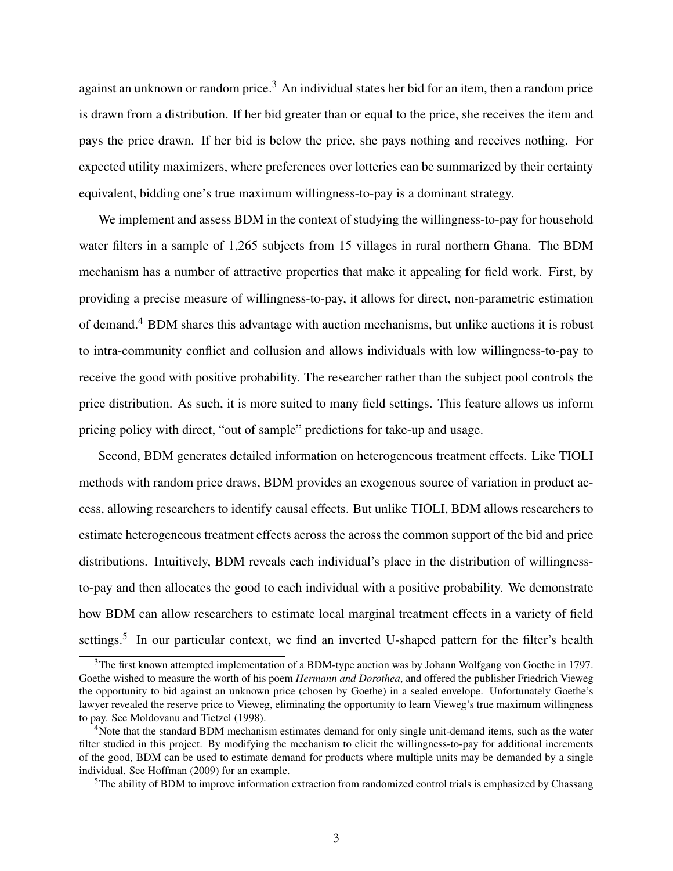against an unknown or random price.<sup>[3](#page-3-0)</sup> An individual states her bid for an item, then a random price is drawn from a distribution. If her bid greater than or equal to the price, she receives the item and pays the price drawn. If her bid is below the price, she pays nothing and receives nothing. For expected utility maximizers, where preferences over lotteries can be summarized by their certainty equivalent, bidding one's true maximum willingness-to-pay is a dominant strategy.

We implement and assess BDM in the context of studying the willingness-to-pay for household water filters in a sample of 1,265 subjects from 15 villages in rural northern Ghana. The BDM mechanism has a number of attractive properties that make it appealing for field work. First, by providing a precise measure of willingness-to-pay, it allows for direct, non-parametric estimation of demand.[4](#page-3-1) BDM shares this advantage with auction mechanisms, but unlike auctions it is robust to intra-community conflict and collusion and allows individuals with low willingness-to-pay to receive the good with positive probability. The researcher rather than the subject pool controls the price distribution. As such, it is more suited to many field settings. This feature allows us inform pricing policy with direct, "out of sample" predictions for take-up and usage.

Second, BDM generates detailed information on heterogeneous treatment effects. Like TIOLI methods with random price draws, BDM provides an exogenous source of variation in product access, allowing researchers to identify causal effects. But unlike TIOLI, BDM allows researchers to estimate heterogeneous treatment effects across the across the common support of the bid and price distributions. Intuitively, BDM reveals each individual's place in the distribution of willingnessto-pay and then allocates the good to each individual with a positive probability. We demonstrate how BDM can allow researchers to estimate local marginal treatment effects in a variety of field settings.<sup>[5](#page-3-2)</sup> In our particular context, we find an inverted U-shaped pattern for the filter's health

<span id="page-3-0"></span><sup>&</sup>lt;sup>3</sup>The first known attempted implementation of a BDM-type auction was by Johann Wolfgang von Goethe in 1797. Goethe wished to measure the worth of his poem *Hermann and Dorothea*, and offered the publisher Friedrich Vieweg the opportunity to bid against an unknown price (chosen by Goethe) in a sealed envelope. Unfortunately Goethe's lawyer revealed the reserve price to Vieweg, eliminating the opportunity to learn Vieweg's true maximum willingness to pay. See [Moldovanu and Tietzel](#page-33-0) [\(1998\)](#page-33-0).

<span id="page-3-1"></span><sup>&</sup>lt;sup>4</sup>Note that the standard BDM mechanism estimates demand for only single unit-demand items, such as the water filter studied in this project. By modifying the mechanism to elicit the willingness-to-pay for additional increments of the good, BDM can be used to estimate demand for products where multiple units may be demanded by a single individual. See Hoffman (2009) for an example.

<span id="page-3-2"></span><sup>&</sup>lt;sup>5</sup>The ability of BDM to improve information extraction from randomized control trials is emphasized by [Chassang](#page-32-5)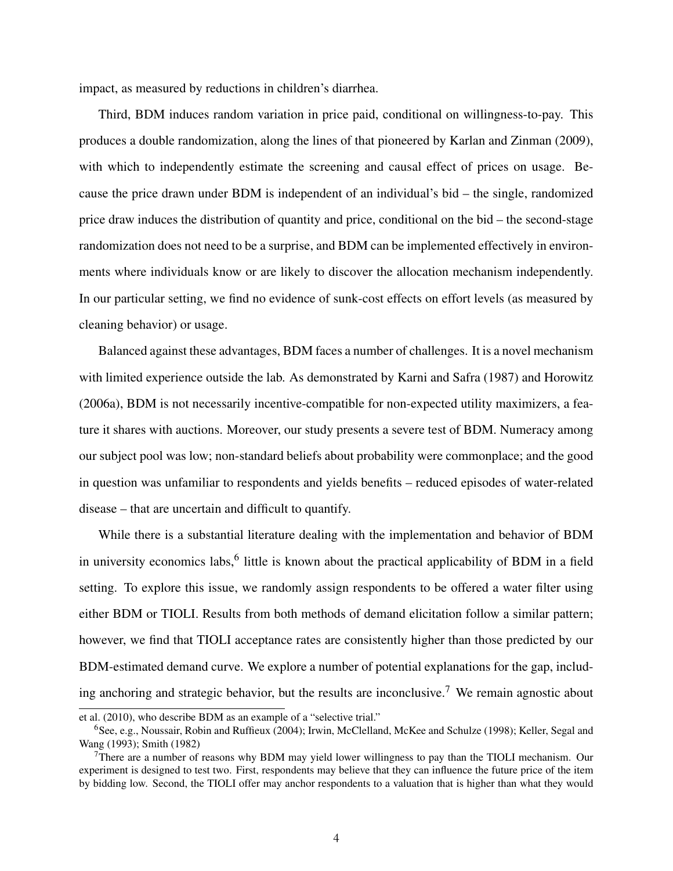[impact, as measured by reductions in children's diarrhea.](#page-32-5)

[Third, BDM induces random variation in price paid, conditional on willingness-to-pay. This](#page-32-5) [produces a double randomization, along the lines of that pioneered by Karlan and Zinman \(2009\),](#page-32-5) [with which to independently estimate the screening and causal effect of prices on usage. Be](#page-32-5)[cause the price drawn under BDM is independent of an individual's bid – the single, randomized](#page-32-5) [price draw induces the distribution of quantity and price, conditional on the bid – the second-stage](#page-32-5) [randomization does not need to be a surprise, and BDM can be implemented effectively in environ](#page-32-5)[ments where individuals know or are likely to discover the allocation mechanism independently.](#page-32-5) [In our particular setting, we find no evidence of sunk-cost effects on effort levels \(as measured by](#page-32-5) [cleaning behavior\) or usage.](#page-32-5)

[Balanced against these advantages, BDM faces a number of challenges. It is a novel mechanism](#page-32-5) [with limited experience outside the lab. As demonstrated by Karni and Safra \(1987\) and Horowitz](#page-32-5) [\(2006a\), BDM is not necessarily incentive-compatible for non-expected utility maximizers, a fea](#page-32-5)[ture it shares with auctions. Moreover, our study presents a severe test of BDM. Numeracy among](#page-32-5) [our subject pool was low; non-standard beliefs about probability were commonplace; and the good](#page-32-5) [in question was unfamiliar to respondents and yields benefits – reduced episodes of water-related](#page-32-5) [disease – that are uncertain and difficult to quantify.](#page-32-5)

[While there is a substantial literature dealing with the implementation and behavior of BDM](#page-32-5) in university economics labs, <sup>[6](#page-4-0)</sup> [little is known about the practical applicability of BDM in a field](#page-32-5) [setting. To explore this issue, we randomly assign respondents to be offered a water filter using](#page-32-5) [either BDM or TIOLI. Results from both methods of demand elicitation follow a similar pattern;](#page-32-5) [however, we find that TIOLI acceptance rates are consistently higher than those predicted by our](#page-32-5) [BDM-estimated demand curve. We explore a number of potential explanations for the gap, includ](#page-32-5)[ing anchoring and strategic behavior, but the results are inconclusive.](#page-32-5)<sup>[7](#page-4-1)</sup> We remain agnostic about

[et al.](#page-32-5) [\(2010\)](#page-32-5), who describe BDM as an example of a "selective trial."

<span id="page-4-0"></span><sup>&</sup>lt;sup>6</sup>See, e.g., [Noussair, Robin and Ruffieux](#page-33-3) [\(2004\)](#page-33-3); [Irwin, McClelland, McKee and Schulze](#page-33-4) [\(1998\)](#page-33-4); [Keller, Segal and](#page-33-5) [Wang](#page-33-5) [\(1993\)](#page-33-5); [Smith](#page-33-6) [\(1982\)](#page-33-6)

<span id="page-4-1"></span> $7$ There are a number of reasons why BDM may yield lower willingness to pay than the TIOLI mechanism. Our experiment is designed to test two. First, respondents may believe that they can influence the future price of the item by bidding low. Second, the TIOLI offer may anchor respondents to a valuation that is higher than what they would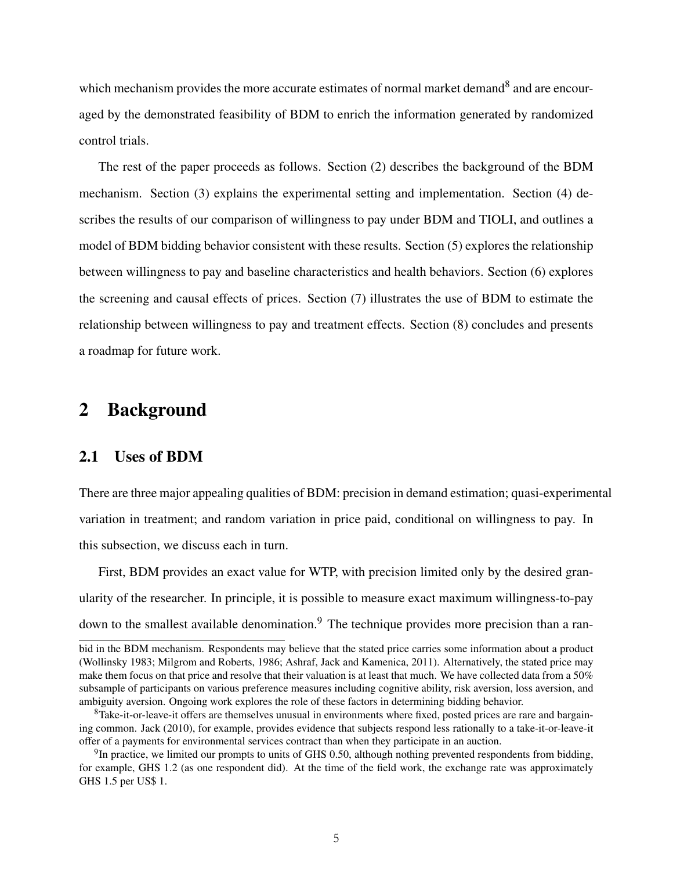which mechanism provides the more accurate estimates of normal market demand<sup>[8](#page-5-0)</sup> and are encouraged by the demonstrated feasibility of BDM to enrich the information generated by randomized control trials.

The rest of the paper proceeds as follows. Section [\(2\)](#page-5-1) describes the background of the BDM mechanism. Section [\(3\)](#page-8-0) explains the experimental setting and implementation. Section [\(4\)](#page-16-0) describes the results of our comparison of willingness to pay under BDM and TIOLI, and outlines a model of BDM bidding behavior consistent with these results. Section [\(5\)](#page-22-0) explores the relationship between willingness to pay and baseline characteristics and health behaviors. Section [\(6\)](#page-26-0) explores the screening and causal effects of prices. Section [\(7\)](#page-28-0) illustrates the use of BDM to estimate the relationship between willingness to pay and treatment effects. Section [\(8\)](#page-30-0) concludes and presents a roadmap for future work.

### <span id="page-5-1"></span>2 Background

### 2.1 Uses of BDM

There are three major appealing qualities of BDM: precision in demand estimation; quasi-experimental variation in treatment; and random variation in price paid, conditional on willingness to pay. In this subsection, we discuss each in turn.

First, BDM provides an exact value for WTP, with precision limited only by the desired granularity of the researcher. In principle, it is possible to measure exact maximum willingness-to-pay down to the smallest available denomination.<sup>[9](#page-5-2)</sup> The technique provides more precision than a ran-

bid in the BDM mechanism. Respondents may believe that the stated price carries some information about a product (Wollinsky 1983; Milgrom and Roberts, 1986; Ashraf, Jack and Kamenica, 2011). Alternatively, the stated price may make them focus on that price and resolve that their valuation is at least that much. We have collected data from a 50% subsample of participants on various preference measures including cognitive ability, risk aversion, loss aversion, and ambiguity aversion. Ongoing work explores the role of these factors in determining bidding behavior.

<span id="page-5-0"></span> ${}^{8}$ Take-it-or-leave-it offers are themselves unusual in environments where fixed, posted prices are rare and bargaining common. [Jack](#page-33-7) [\(2010\)](#page-33-7), for example, provides evidence that subjects respond less rationally to a take-it-or-leave-it offer of a payments for environmental services contract than when they participate in an auction.

<span id="page-5-2"></span> $9$ In practice, we limited our prompts to units of GHS 0.50, although nothing prevented respondents from bidding, for example, GHS 1.2 (as one respondent did). At the time of the field work, the exchange rate was approximately GHS 1.5 per US\$ 1.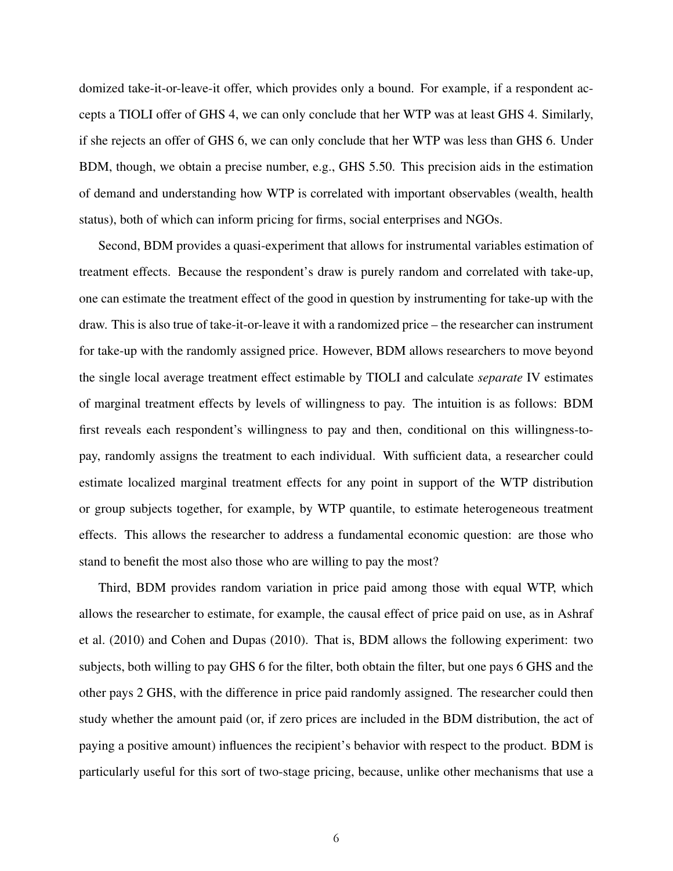domized take-it-or-leave-it offer, which provides only a bound. For example, if a respondent accepts a TIOLI offer of GHS 4, we can only conclude that her WTP was at least GHS 4. Similarly, if she rejects an offer of GHS 6, we can only conclude that her WTP was less than GHS 6. Under BDM, though, we obtain a precise number, e.g., GHS 5.50. This precision aids in the estimation of demand and understanding how WTP is correlated with important observables (wealth, health status), both of which can inform pricing for firms, social enterprises and NGOs.

Second, BDM provides a quasi-experiment that allows for instrumental variables estimation of treatment effects. Because the respondent's draw is purely random and correlated with take-up, one can estimate the treatment effect of the good in question by instrumenting for take-up with the draw. This is also true of take-it-or-leave it with a randomized price – the researcher can instrument for take-up with the randomly assigned price. However, BDM allows researchers to move beyond the single local average treatment effect estimable by TIOLI and calculate *separate* IV estimates of marginal treatment effects by levels of willingness to pay. The intuition is as follows: BDM first reveals each respondent's willingness to pay and then, conditional on this willingness-topay, randomly assigns the treatment to each individual. With sufficient data, a researcher could estimate localized marginal treatment effects for any point in support of the WTP distribution or group subjects together, for example, by WTP quantile, to estimate heterogeneous treatment effects. This allows the researcher to address a fundamental economic question: are those who stand to benefit the most also those who are willing to pay the most?

Third, BDM provides random variation in price paid among those with equal WTP, which allows the researcher to estimate, for example, the causal effect of price paid on use, as in [Ashraf](#page-32-2) [et al.](#page-32-2) [\(2010\)](#page-32-2) and [Cohen and Dupas](#page-32-1) [\(2010\)](#page-32-1). That is, BDM allows the following experiment: two subjects, both willing to pay GHS 6 for the filter, both obtain the filter, but one pays 6 GHS and the other pays 2 GHS, with the difference in price paid randomly assigned. The researcher could then study whether the amount paid (or, if zero prices are included in the BDM distribution, the act of paying a positive amount) influences the recipient's behavior with respect to the product. BDM is particularly useful for this sort of two-stage pricing, because, unlike other mechanisms that use a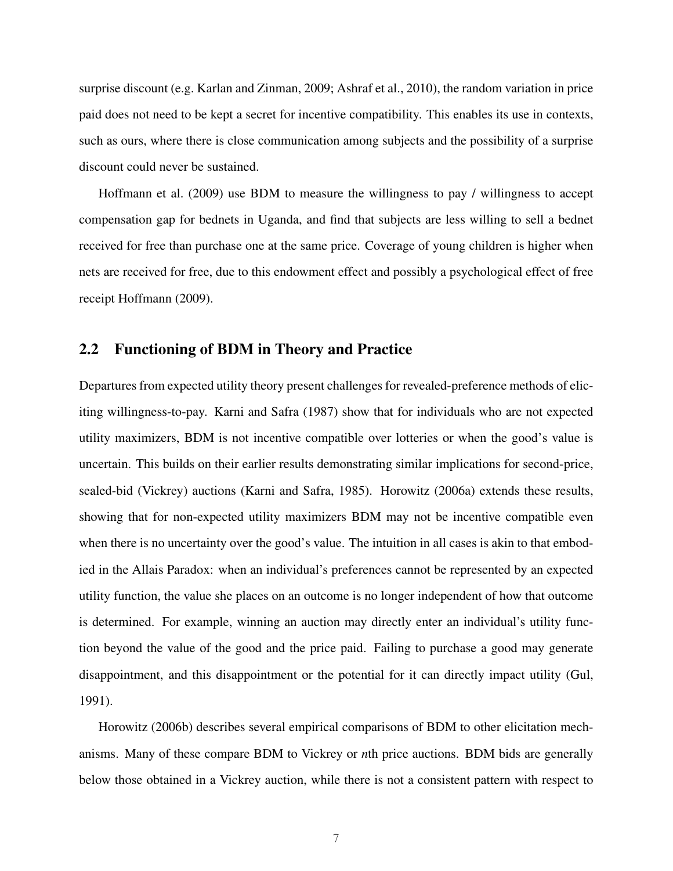surprise discount (e.g. [Karlan and Zinman, 2009;](#page-33-1) [Ashraf et al., 2010\)](#page-32-2), the random variation in price paid does not need to be kept a secret for incentive compatibility. This enables its use in contexts, such as ours, where there is close communication among subjects and the possibility of a surprise discount could never be sustained.

[Hoffmann et al.](#page-32-7) [\(2009\)](#page-32-7) use BDM to measure the willingness to pay / willingness to accept compensation gap for bednets in Uganda, and find that subjects are less willing to sell a bednet received for free than purchase one at the same price. Coverage of young children is higher when nets are received for free, due to this endowment effect and possibly a psychological effect of free receipt [Hoffmann](#page-32-8) [\(2009\)](#page-32-8).

### 2.2 Functioning of BDM in Theory and Practice

Departures from expected utility theory present challenges for revealed-preference methods of eliciting willingness-to-pay. [Karni and Safra](#page-33-2) [\(1987\)](#page-33-2) show that for individuals who are not expected utility maximizers, BDM is not incentive compatible over lotteries or when the good's value is uncertain. This builds on their earlier results demonstrating similar implications for second-price, sealed-bid (Vickrey) auctions [\(Karni and Safra, 1985\)](#page-33-8). [Horowitz](#page-32-6) [\(2006a\)](#page-32-6) extends these results, showing that for non-expected utility maximizers BDM may not be incentive compatible even when there is no uncertainty over the good's value. The intuition in all cases is akin to that embodied in the Allais Paradox: when an individual's preferences cannot be represented by an expected utility function, the value she places on an outcome is no longer independent of how that outcome is determined. For example, winning an auction may directly enter an individual's utility function beyond the value of the good and the price paid. Failing to purchase a good may generate disappointment, and this disappointment or the potential for it can directly impact utility [\(Gul,](#page-32-9) [1991\)](#page-32-9).

[Horowitz](#page-32-10) [\(2006b\)](#page-32-10) describes several empirical comparisons of BDM to other elicitation mechanisms. Many of these compare BDM to Vickrey or *n*th price auctions. BDM bids are generally below those obtained in a Vickrey auction, while there is not a consistent pattern with respect to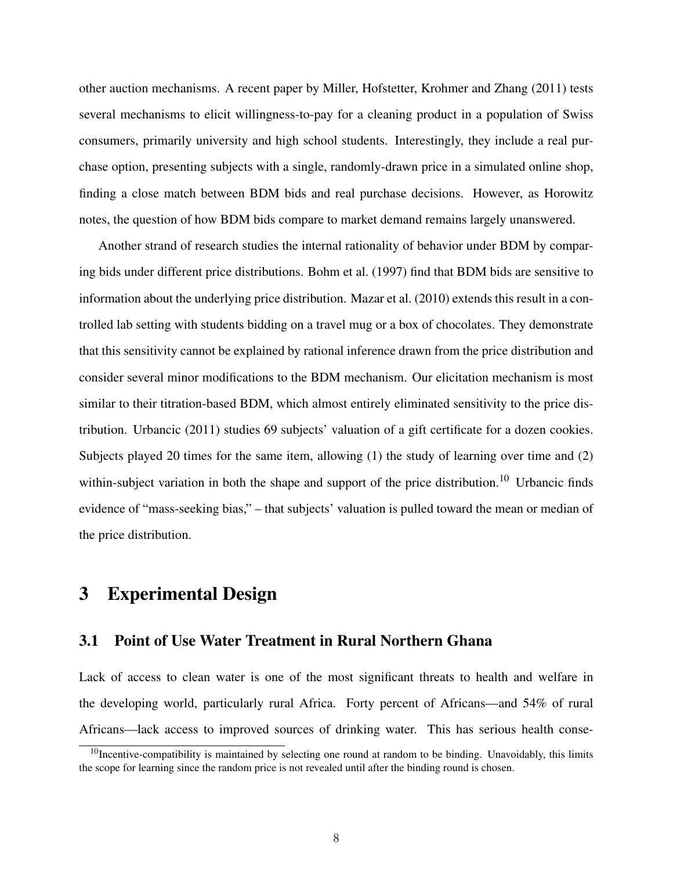other auction mechanisms. A recent paper by [Miller, Hofstetter, Krohmer and Zhang](#page-33-9) [\(2011\)](#page-33-9) tests several mechanisms to elicit willingness-to-pay for a cleaning product in a population of Swiss consumers, primarily university and high school students. Interestingly, they include a real purchase option, presenting subjects with a single, randomly-drawn price in a simulated online shop, finding a close match between BDM bids and real purchase decisions. However, as Horowitz notes, the question of how BDM bids compare to market demand remains largely unanswered.

Another strand of research studies the internal rationality of behavior under BDM by comparing bids under different price distributions. [Bohm et al.](#page-32-11) [\(1997\)](#page-32-11) find that BDM bids are sensitive to information about the underlying price distribution. [Mazar et al.](#page-33-10) [\(2010\)](#page-33-10) extends this result in a controlled lab setting with students bidding on a travel mug or a box of chocolates. They demonstrate that this sensitivity cannot be explained by rational inference drawn from the price distribution and consider several minor modifications to the BDM mechanism. Our elicitation mechanism is most similar to their titration-based BDM, which almost entirely eliminated sensitivity to the price distribution. [Urbancic](#page-33-11) [\(2011\)](#page-33-11) studies 69 subjects' valuation of a gift certificate for a dozen cookies. Subjects played 20 times for the same item, allowing (1) the study of learning over time and (2) within-subject variation in both the shape and support of the price distribution.<sup>[10](#page-8-1)</sup> [Urbancic](#page-33-11) finds evidence of "mass-seeking bias," – that subjects' valuation is pulled toward the mean or median of the price distribution.

### <span id="page-8-0"></span>3 Experimental Design

### 3.1 Point of Use Water Treatment in Rural Northern Ghana

Lack of access to clean water is one of the most significant threats to health and welfare in the developing world, particularly rural Africa. Forty percent of Africans—and 54% of rural Africans—lack access to improved sources of drinking water. This has serious health conse-

<span id="page-8-1"></span> $10$ Incentive-compatibility is maintained by selecting one round at random to be binding. Unavoidably, this limits the scope for learning since the random price is not revealed until after the binding round is chosen.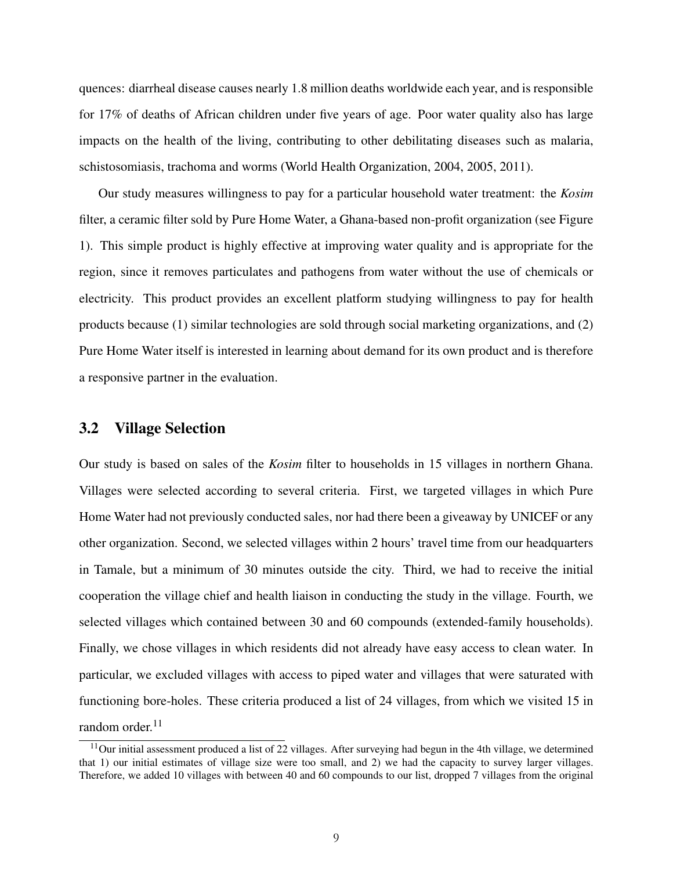quences: diarrheal disease causes nearly 1.8 million deaths worldwide each year, and is responsible for 17% of deaths of African children under five years of age. Poor water quality also has large impacts on the health of the living, contributing to other debilitating diseases such as malaria, schistosomiasis, trachoma and worms [\(World Health Organization, 2004,](#page-33-12) [2005,](#page-33-13) [2011\)](#page-33-14).

Our study measures willingness to pay for a particular household water treatment: the *Kosim* filter, a ceramic filter sold by Pure Home Water, a Ghana-based non-profit organization (see Figure 1). This simple product is highly effective at improving water quality and is appropriate for the region, since it removes particulates and pathogens from water without the use of chemicals or electricity. This product provides an excellent platform studying willingness to pay for health products because (1) similar technologies are sold through social marketing organizations, and (2) Pure Home Water itself is interested in learning about demand for its own product and is therefore a responsive partner in the evaluation.

#### 3.2 Village Selection

Our study is based on sales of the *Kosim* filter to households in 15 villages in northern Ghana. Villages were selected according to several criteria. First, we targeted villages in which Pure Home Water had not previously conducted sales, nor had there been a giveaway by UNICEF or any other organization. Second, we selected villages within 2 hours' travel time from our headquarters in Tamale, but a minimum of 30 minutes outside the city. Third, we had to receive the initial cooperation the village chief and health liaison in conducting the study in the village. Fourth, we selected villages which contained between 30 and 60 compounds (extended-family households). Finally, we chose villages in which residents did not already have easy access to clean water. In particular, we excluded villages with access to piped water and villages that were saturated with functioning bore-holes. These criteria produced a list of 24 villages, from which we visited 15 in random order.<sup>[11](#page-9-0)</sup>

<span id="page-9-0"></span> $11$ Our initial assessment produced a list of 22 villages. After surveying had begun in the 4th village, we determined that 1) our initial estimates of village size were too small, and 2) we had the capacity to survey larger villages. Therefore, we added 10 villages with between 40 and 60 compounds to our list, dropped 7 villages from the original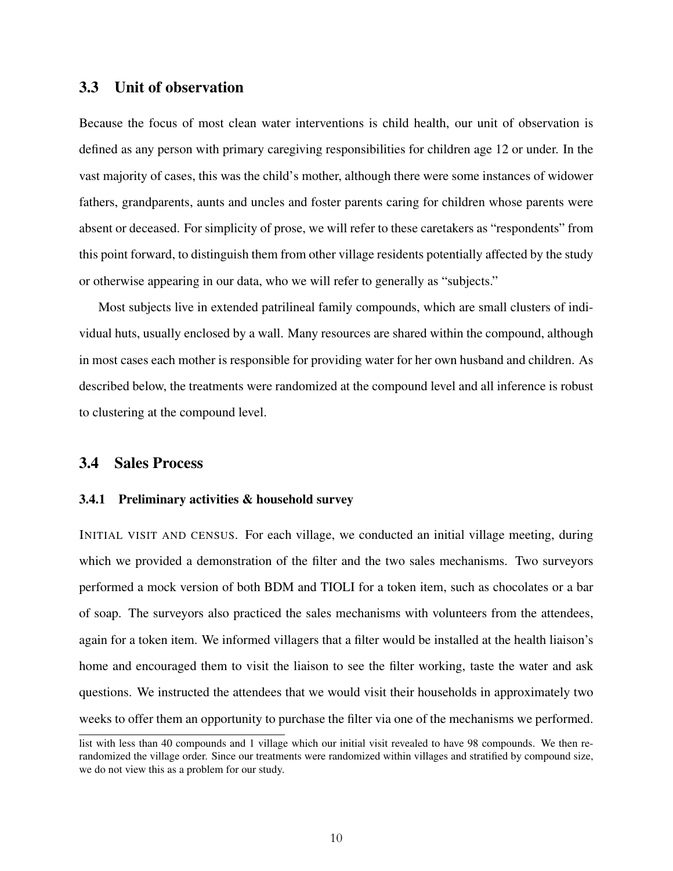### 3.3 Unit of observation

Because the focus of most clean water interventions is child health, our unit of observation is defined as any person with primary caregiving responsibilities for children age 12 or under. In the vast majority of cases, this was the child's mother, although there were some instances of widower fathers, grandparents, aunts and uncles and foster parents caring for children whose parents were absent or deceased. For simplicity of prose, we will refer to these caretakers as "respondents" from this point forward, to distinguish them from other village residents potentially affected by the study or otherwise appearing in our data, who we will refer to generally as "subjects."

Most subjects live in extended patrilineal family compounds, which are small clusters of individual huts, usually enclosed by a wall. Many resources are shared within the compound, although in most cases each mother is responsible for providing water for her own husband and children. As described below, the treatments were randomized at the compound level and all inference is robust to clustering at the compound level.

#### 3.4 Sales Process

#### 3.4.1 Preliminary activities & household survey

INITIAL VISIT AND CENSUS. For each village, we conducted an initial village meeting, during which we provided a demonstration of the filter and the two sales mechanisms. Two surveyors performed a mock version of both BDM and TIOLI for a token item, such as chocolates or a bar of soap. The surveyors also practiced the sales mechanisms with volunteers from the attendees, again for a token item. We informed villagers that a filter would be installed at the health liaison's home and encouraged them to visit the liaison to see the filter working, taste the water and ask questions. We instructed the attendees that we would visit their households in approximately two weeks to offer them an opportunity to purchase the filter via one of the mechanisms we performed.

list with less than 40 compounds and 1 village which our initial visit revealed to have 98 compounds. We then rerandomized the village order. Since our treatments were randomized within villages and stratified by compound size, we do not view this as a problem for our study.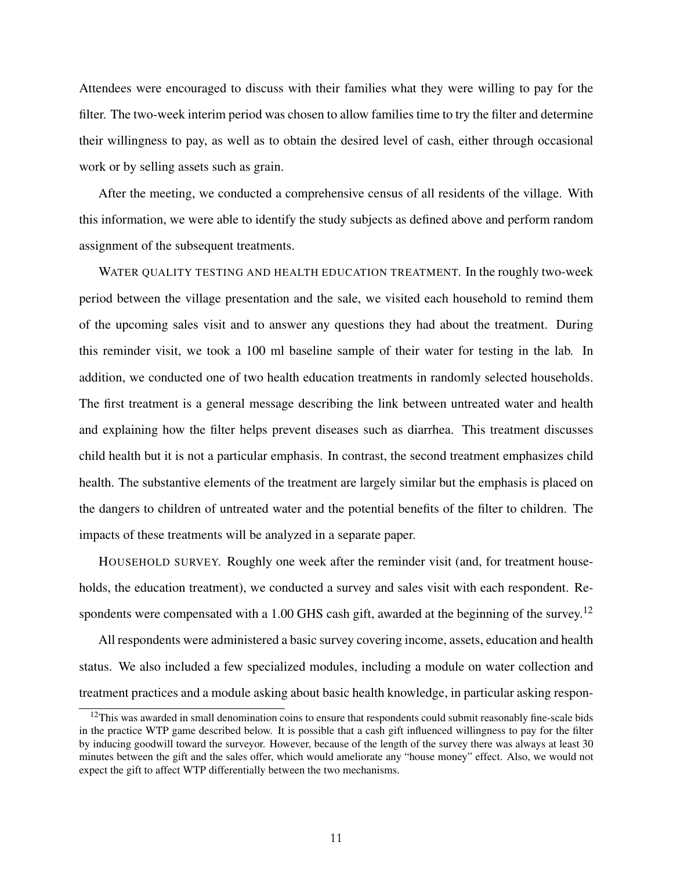Attendees were encouraged to discuss with their families what they were willing to pay for the filter. The two-week interim period was chosen to allow families time to try the filter and determine their willingness to pay, as well as to obtain the desired level of cash, either through occasional work or by selling assets such as grain.

After the meeting, we conducted a comprehensive census of all residents of the village. With this information, we were able to identify the study subjects as defined above and perform random assignment of the subsequent treatments.

WATER QUALITY TESTING AND HEALTH EDUCATION TREATMENT. In the roughly two-week period between the village presentation and the sale, we visited each household to remind them of the upcoming sales visit and to answer any questions they had about the treatment. During this reminder visit, we took a 100 ml baseline sample of their water for testing in the lab. In addition, we conducted one of two health education treatments in randomly selected households. The first treatment is a general message describing the link between untreated water and health and explaining how the filter helps prevent diseases such as diarrhea. This treatment discusses child health but it is not a particular emphasis. In contrast, the second treatment emphasizes child health. The substantive elements of the treatment are largely similar but the emphasis is placed on the dangers to children of untreated water and the potential benefits of the filter to children. The impacts of these treatments will be analyzed in a separate paper.

HOUSEHOLD SURVEY. Roughly one week after the reminder visit (and, for treatment households, the education treatment), we conducted a survey and sales visit with each respondent. Re-spondents were compensated with a 1.00 GHS cash gift, awarded at the beginning of the survey.<sup>[12](#page-11-0)</sup>

All respondents were administered a basic survey covering income, assets, education and health status. We also included a few specialized modules, including a module on water collection and treatment practices and a module asking about basic health knowledge, in particular asking respon-

<span id="page-11-0"></span> $12$ This was awarded in small denomination coins to ensure that respondents could submit reasonably fine-scale bids in the practice WTP game described below. It is possible that a cash gift influenced willingness to pay for the filter by inducing goodwill toward the surveyor. However, because of the length of the survey there was always at least 30 minutes between the gift and the sales offer, which would ameliorate any "house money" effect. Also, we would not expect the gift to affect WTP differentially between the two mechanisms.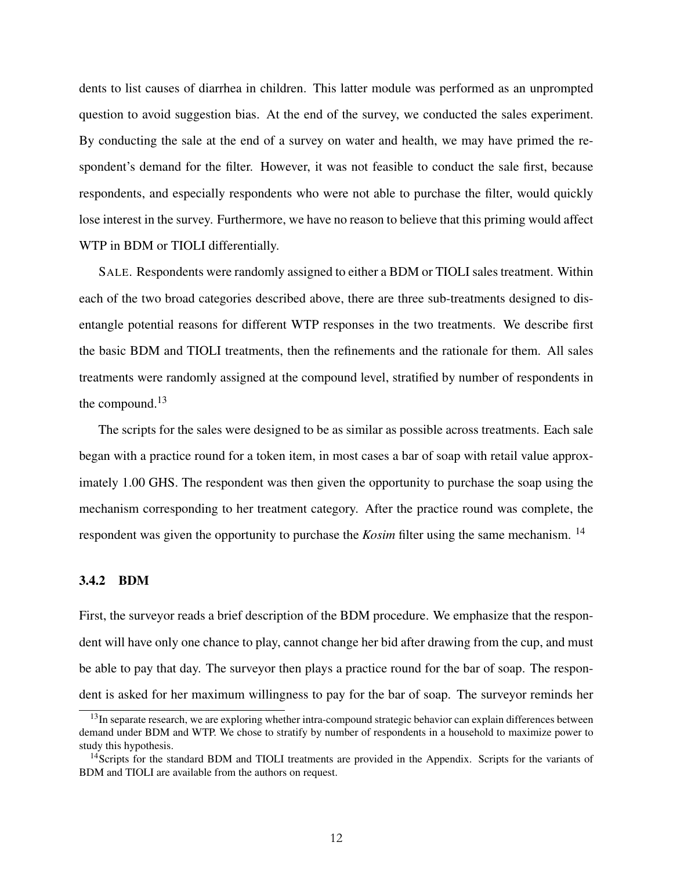dents to list causes of diarrhea in children. This latter module was performed as an unprompted question to avoid suggestion bias. At the end of the survey, we conducted the sales experiment. By conducting the sale at the end of a survey on water and health, we may have primed the respondent's demand for the filter. However, it was not feasible to conduct the sale first, because respondents, and especially respondents who were not able to purchase the filter, would quickly lose interest in the survey. Furthermore, we have no reason to believe that this priming would affect WTP in BDM or TIOLI differentially.

SALE. Respondents were randomly assigned to either a BDM or TIOLI sales treatment. Within each of the two broad categories described above, there are three sub-treatments designed to disentangle potential reasons for different WTP responses in the two treatments. We describe first the basic BDM and TIOLI treatments, then the refinements and the rationale for them. All sales treatments were randomly assigned at the compound level, stratified by number of respondents in the compound. $13$ 

The scripts for the sales were designed to be as similar as possible across treatments. Each sale began with a practice round for a token item, in most cases a bar of soap with retail value approximately 1.00 GHS. The respondent was then given the opportunity to purchase the soap using the mechanism corresponding to her treatment category. After the practice round was complete, the respondent was given the opportunity to purchase the *Kosim* filter using the same mechanism. [14](#page-12-1)

#### 3.4.2 BDM

First, the surveyor reads a brief description of the BDM procedure. We emphasize that the respondent will have only one chance to play, cannot change her bid after drawing from the cup, and must be able to pay that day. The surveyor then plays a practice round for the bar of soap. The respondent is asked for her maximum willingness to pay for the bar of soap. The surveyor reminds her

<span id="page-12-0"></span><sup>&</sup>lt;sup>13</sup>In separate research, we are exploring whether intra-compound strategic behavior can explain differences between demand under BDM and WTP. We chose to stratify by number of respondents in a household to maximize power to study this hypothesis.

<span id="page-12-1"></span><sup>&</sup>lt;sup>14</sup>Scripts for the standard BDM and TIOLI treatments are provided in the Appendix. Scripts for the variants of BDM and TIOLI are available from the authors on request.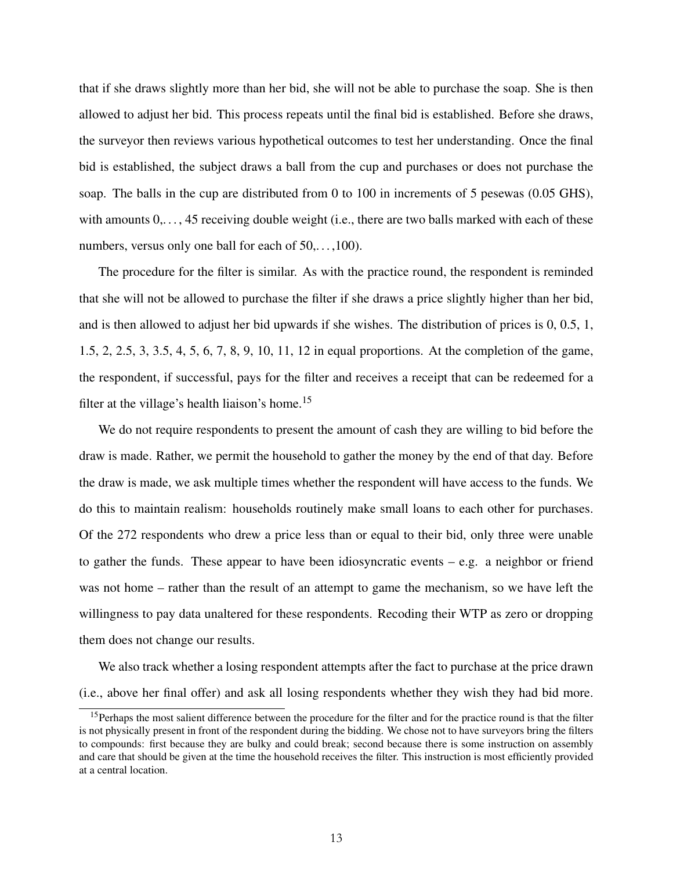that if she draws slightly more than her bid, she will not be able to purchase the soap. She is then allowed to adjust her bid. This process repeats until the final bid is established. Before she draws, the surveyor then reviews various hypothetical outcomes to test her understanding. Once the final bid is established, the subject draws a ball from the cup and purchases or does not purchase the soap. The balls in the cup are distributed from 0 to 100 in increments of 5 pesewas (0.05 GHS), with amounts  $0, \ldots, 45$  receiving double weight (i.e., there are two balls marked with each of these numbers, versus only one ball for each of  $50, \ldots, 100$ .

The procedure for the filter is similar. As with the practice round, the respondent is reminded that she will not be allowed to purchase the filter if she draws a price slightly higher than her bid, and is then allowed to adjust her bid upwards if she wishes. The distribution of prices is 0, 0.5, 1, 1.5, 2, 2.5, 3, 3.5, 4, 5, 6, 7, 8, 9, 10, 11, 12 in equal proportions. At the completion of the game, the respondent, if successful, pays for the filter and receives a receipt that can be redeemed for a filter at the village's health liaison's home.<sup>[15](#page-13-0)</sup>

We do not require respondents to present the amount of cash they are willing to bid before the draw is made. Rather, we permit the household to gather the money by the end of that day. Before the draw is made, we ask multiple times whether the respondent will have access to the funds. We do this to maintain realism: households routinely make small loans to each other for purchases. Of the 272 respondents who drew a price less than or equal to their bid, only three were unable to gather the funds. These appear to have been idiosyncratic events – e.g. a neighbor or friend was not home – rather than the result of an attempt to game the mechanism, so we have left the willingness to pay data unaltered for these respondents. Recoding their WTP as zero or dropping them does not change our results.

We also track whether a losing respondent attempts after the fact to purchase at the price drawn (i.e., above her final offer) and ask all losing respondents whether they wish they had bid more.

<span id="page-13-0"></span><sup>&</sup>lt;sup>15</sup>Perhaps the most salient difference between the procedure for the filter and for the practice round is that the filter is not physically present in front of the respondent during the bidding. We chose not to have surveyors bring the filters to compounds: first because they are bulky and could break; second because there is some instruction on assembly and care that should be given at the time the household receives the filter. This instruction is most efficiently provided at a central location.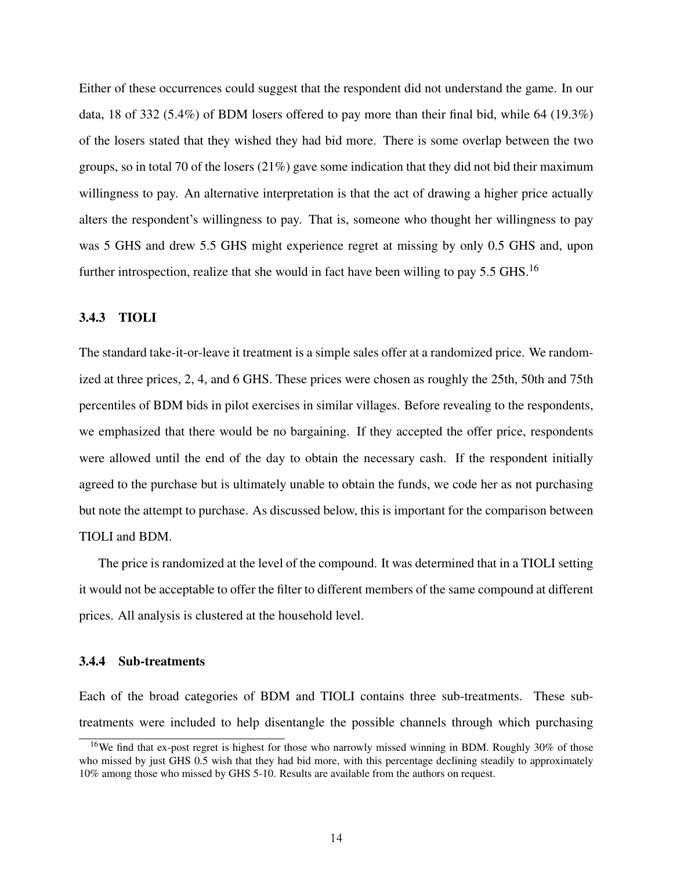Either of these occurrences could suggest that the respondent did not understand the game. In our data, 18 of 332 (5.4%) of BDM losers offered to pay more than their final bid, while 64 (19.3%) of the losers stated that they wished they had bid more. There is some overlap between the two groups, so in total 70 of the losers  $(21\%)$  gave some indication that they did not bid their maximum willingness to pay. An alternative interpretation is that the act of drawing a higher price actually alters the respondent's willingness to pay. That is, someone who thought her willingness to pay was 5 GHS and drew 5.5 GHS might experience regret at missing by only 0.5 GHS and, upon further introspection, realize that she would in fact have been willing to pay 5.5 GHS.<sup>[16](#page-14-0)</sup>

#### 3.4.3 TIOLI

The standard take-it-or-leave it treatment is a simple sales offer at a randomized price. We randomized at three prices, 2, 4, and 6 GHS. These prices were chosen as roughly the 25th, 50th and 75th percentiles of BDM bids in pilot exercises in similar villages. Before revealing to the respondents, we emphasized that there would be no bargaining. If they accepted the offer price, respondents were allowed until the end of the day to obtain the necessary cash. If the respondent initially agreed to the purchase but is ultimately unable to obtain the funds, we code her as not purchasing but note the attempt to purchase. As discussed below, this is important for the comparison between TIOLI and BDM.

The price is randomized at the level of the compound. It was determined that in a TIOLI setting it would not be acceptable to offer the filter to different members of the same compound at different prices. All analysis is clustered at the household level.

#### <span id="page-14-1"></span>3.4.4 Sub-treatments

Each of the broad categories of BDM and TIOLI contains three sub-treatments. These subtreatments were included to help disentangle the possible channels through which purchasing

<span id="page-14-0"></span><sup>&</sup>lt;sup>16</sup>We find that ex-post regret is highest for those who narrowly missed winning in BDM. Roughly 30% of those who missed by just GHS 0.5 wish that they had bid more, with this percentage declining steadily to approximately 10% among those who missed by GHS 5-10. Results are available from the authors on request.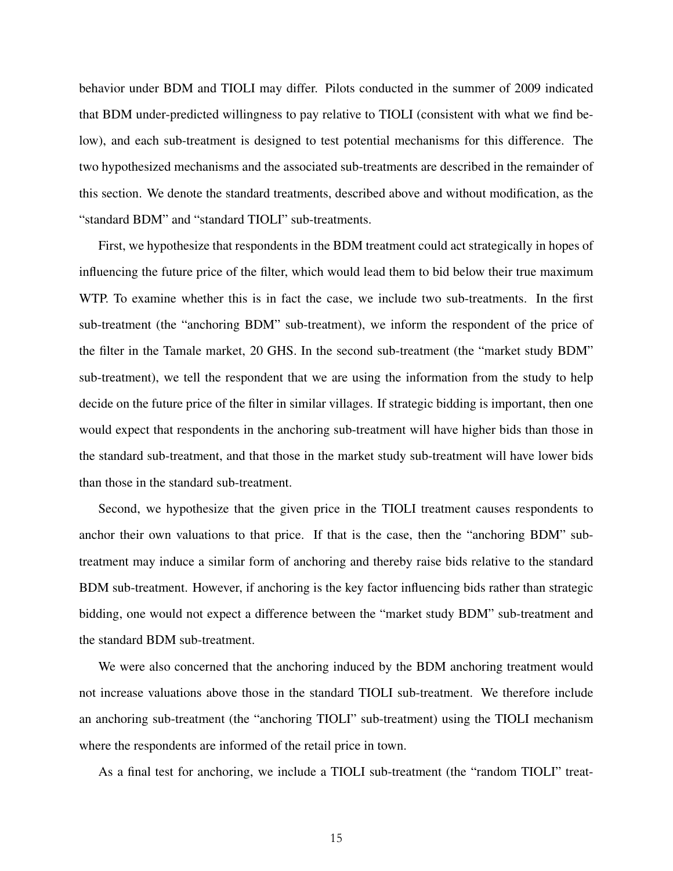behavior under BDM and TIOLI may differ. Pilots conducted in the summer of 2009 indicated that BDM under-predicted willingness to pay relative to TIOLI (consistent with what we find below), and each sub-treatment is designed to test potential mechanisms for this difference. The two hypothesized mechanisms and the associated sub-treatments are described in the remainder of this section. We denote the standard treatments, described above and without modification, as the "standard BDM" and "standard TIOLI" sub-treatments.

First, we hypothesize that respondents in the BDM treatment could act strategically in hopes of influencing the future price of the filter, which would lead them to bid below their true maximum WTP. To examine whether this is in fact the case, we include two sub-treatments. In the first sub-treatment (the "anchoring BDM" sub-treatment), we inform the respondent of the price of the filter in the Tamale market, 20 GHS. In the second sub-treatment (the "market study BDM" sub-treatment), we tell the respondent that we are using the information from the study to help decide on the future price of the filter in similar villages. If strategic bidding is important, then one would expect that respondents in the anchoring sub-treatment will have higher bids than those in the standard sub-treatment, and that those in the market study sub-treatment will have lower bids than those in the standard sub-treatment.

Second, we hypothesize that the given price in the TIOLI treatment causes respondents to anchor their own valuations to that price. If that is the case, then the "anchoring BDM" subtreatment may induce a similar form of anchoring and thereby raise bids relative to the standard BDM sub-treatment. However, if anchoring is the key factor influencing bids rather than strategic bidding, one would not expect a difference between the "market study BDM" sub-treatment and the standard BDM sub-treatment.

We were also concerned that the anchoring induced by the BDM anchoring treatment would not increase valuations above those in the standard TIOLI sub-treatment. We therefore include an anchoring sub-treatment (the "anchoring TIOLI" sub-treatment) using the TIOLI mechanism where the respondents are informed of the retail price in town.

As a final test for anchoring, we include a TIOLI sub-treatment (the "random TIOLI" treat-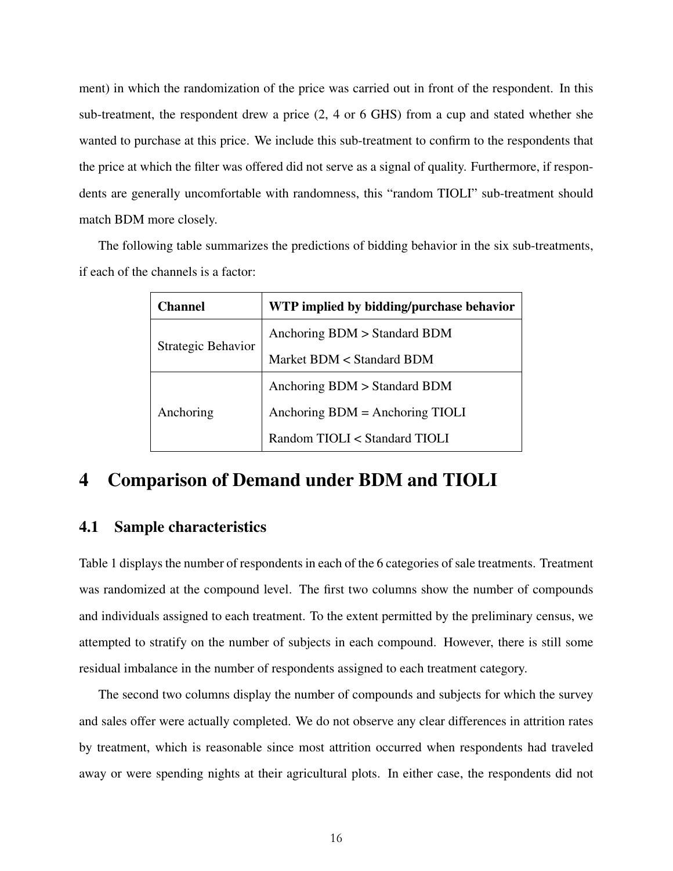ment) in which the randomization of the price was carried out in front of the respondent. In this sub-treatment, the respondent drew a price (2, 4 or 6 GHS) from a cup and stated whether she wanted to purchase at this price. We include this sub-treatment to confirm to the respondents that the price at which the filter was offered did not serve as a signal of quality. Furthermore, if respondents are generally uncomfortable with randomness, this "random TIOLI" sub-treatment should match BDM more closely.

The following table summarizes the predictions of bidding behavior in the six sub-treatments, if each of the channels is a factor:

| <b>Channel</b>     | WTP implied by bidding/purchase behavior |  |  |  |  |
|--------------------|------------------------------------------|--|--|--|--|
|                    | Anchoring BDM > Standard BDM             |  |  |  |  |
| Strategic Behavior | Market BDM < Standard BDM                |  |  |  |  |
|                    | Anchoring BDM > Standard BDM             |  |  |  |  |
| Anchoring          | Anchoring $BDM =$ Anchoring TIOLI        |  |  |  |  |
|                    | Random TIOLI < Standard TIOLI            |  |  |  |  |

### <span id="page-16-0"></span>4 Comparison of Demand under BDM and TIOLI

### 4.1 Sample characteristics

Table 1 displays the number of respondents in each of the 6 categories of sale treatments. Treatment was randomized at the compound level. The first two columns show the number of compounds and individuals assigned to each treatment. To the extent permitted by the preliminary census, we attempted to stratify on the number of subjects in each compound. However, there is still some residual imbalance in the number of respondents assigned to each treatment category.

The second two columns display the number of compounds and subjects for which the survey and sales offer were actually completed. We do not observe any clear differences in attrition rates by treatment, which is reasonable since most attrition occurred when respondents had traveled away or were spending nights at their agricultural plots. In either case, the respondents did not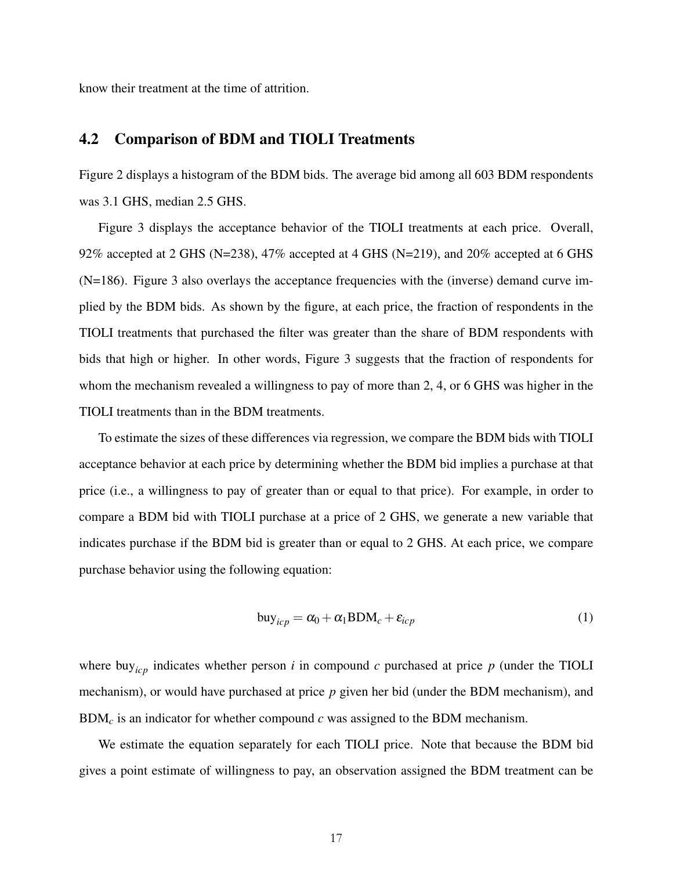know their treatment at the time of attrition.

### 4.2 Comparison of BDM and TIOLI Treatments

Figure 2 displays a histogram of the BDM bids. The average bid among all 603 BDM respondents was 3.1 GHS, median 2.5 GHS.

Figure 3 displays the acceptance behavior of the TIOLI treatments at each price. Overall, 92% accepted at 2 GHS (N=238), 47% accepted at 4 GHS (N=219), and 20% accepted at 6 GHS (N=186). Figure 3 also overlays the acceptance frequencies with the (inverse) demand curve implied by the BDM bids. As shown by the figure, at each price, the fraction of respondents in the TIOLI treatments that purchased the filter was greater than the share of BDM respondents with bids that high or higher. In other words, Figure 3 suggests that the fraction of respondents for whom the mechanism revealed a willingness to pay of more than 2, 4, or 6 GHS was higher in the TIOLI treatments than in the BDM treatments.

To estimate the sizes of these differences via regression, we compare the BDM bids with TIOLI acceptance behavior at each price by determining whether the BDM bid implies a purchase at that price (i.e., a willingness to pay of greater than or equal to that price). For example, in order to compare a BDM bid with TIOLI purchase at a price of 2 GHS, we generate a new variable that indicates purchase if the BDM bid is greater than or equal to 2 GHS. At each price, we compare purchase behavior using the following equation:

$$
buy_{icp} = \alpha_0 + \alpha_1 BDM_c + \varepsilon_{icp}
$$
 (1)

where buy<sub>icp</sub> indicates whether person *i* in compound *c* purchased at price  $p$  (under the TIOLI mechanism), or would have purchased at price *p* given her bid (under the BDM mechanism), and BDM*<sup>c</sup>* is an indicator for whether compound *c* was assigned to the BDM mechanism.

We estimate the equation separately for each TIOLI price. Note that because the BDM bid gives a point estimate of willingness to pay, an observation assigned the BDM treatment can be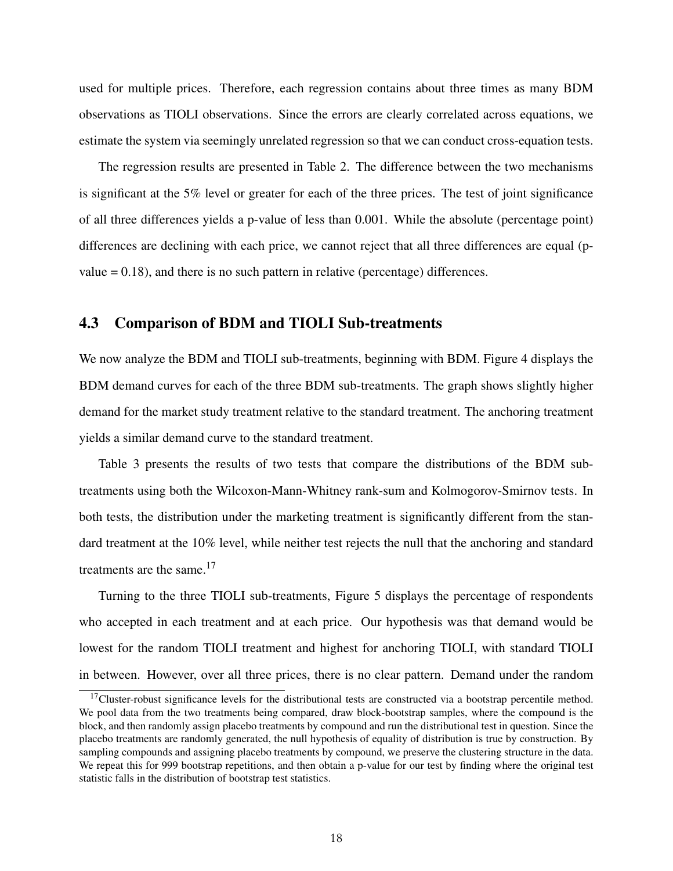used for multiple prices. Therefore, each regression contains about three times as many BDM observations as TIOLI observations. Since the errors are clearly correlated across equations, we estimate the system via seemingly unrelated regression so that we can conduct cross-equation tests.

The regression results are presented in Table 2. The difference between the two mechanisms is significant at the 5% level or greater for each of the three prices. The test of joint significance of all three differences yields a p-value of less than 0.001. While the absolute (percentage point) differences are declining with each price, we cannot reject that all three differences are equal (pvalue  $= 0.18$ ), and there is no such pattern in relative (percentage) differences.

### 4.3 Comparison of BDM and TIOLI Sub-treatments

We now analyze the BDM and TIOLI sub-treatments, beginning with BDM. Figure 4 displays the BDM demand curves for each of the three BDM sub-treatments. The graph shows slightly higher demand for the market study treatment relative to the standard treatment. The anchoring treatment yields a similar demand curve to the standard treatment.

Table 3 presents the results of two tests that compare the distributions of the BDM subtreatments using both the Wilcoxon-Mann-Whitney rank-sum and Kolmogorov-Smirnov tests. In both tests, the distribution under the marketing treatment is significantly different from the standard treatment at the 10% level, while neither test rejects the null that the anchoring and standard treatments are the same.<sup>[17](#page-18-0)</sup>

Turning to the three TIOLI sub-treatments, Figure 5 displays the percentage of respondents who accepted in each treatment and at each price. Our hypothesis was that demand would be lowest for the random TIOLI treatment and highest for anchoring TIOLI, with standard TIOLI in between. However, over all three prices, there is no clear pattern. Demand under the random

<span id="page-18-0"></span> $17$ Cluster-robust significance levels for the distributional tests are constructed via a bootstrap percentile method. We pool data from the two treatments being compared, draw block-bootstrap samples, where the compound is the block, and then randomly assign placebo treatments by compound and run the distributional test in question. Since the placebo treatments are randomly generated, the null hypothesis of equality of distribution is true by construction. By sampling compounds and assigning placebo treatments by compound, we preserve the clustering structure in the data. We repeat this for 999 bootstrap repetitions, and then obtain a p-value for our test by finding where the original test statistic falls in the distribution of bootstrap test statistics.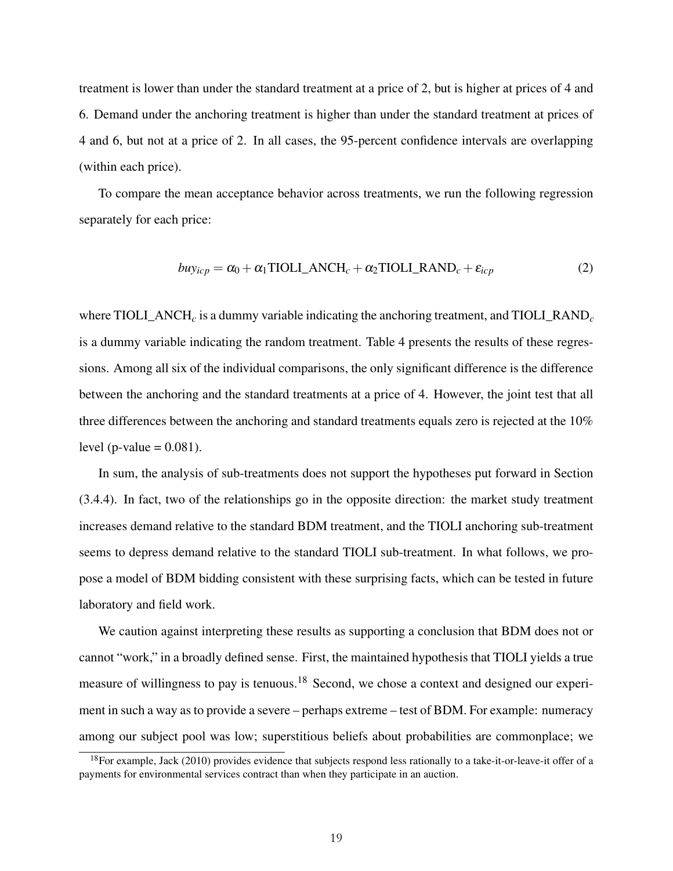treatment is lower than under the standard treatment at a price of 2, but is higher at prices of 4 and 6. Demand under the anchoring treatment is higher than under the standard treatment at prices of 4 and 6, but not at a price of 2. In all cases, the 95-percent confidence intervals are overlapping (within each price).

To compare the mean acceptance behavior across treatments, we run the following regression separately for each price:

$$
buy_{icp} = \alpha_0 + \alpha_1 \text{TIOLI}\_\text{ANCH}_c + \alpha_2 \text{TIOLI}\_\text{RAND}_c + \varepsilon_{icp} \tag{2}
$$

where TIOLI ANCH<sub>c</sub> is a dummy variable indicating the anchoring treatment, and TIOLI RAND<sub>c</sub> is a dummy variable indicating the random treatment. Table 4 presents the results of these regressions. Among all six of the individual comparisons, the only significant difference is the difference between the anchoring and the standard treatments at a price of 4. However, the joint test that all three differences between the anchoring and standard treatments equals zero is rejected at the 10% level (p-value  $= 0.081$ ).

In sum, the analysis of sub-treatments does not support the hypotheses put forward in Section [\(3.4.4\)](#page-14-1). In fact, two of the relationships go in the opposite direction: the market study treatment increases demand relative to the standard BDM treatment, and the TIOLI anchoring sub-treatment seems to depress demand relative to the standard TIOLI sub-treatment. In what follows, we propose a model of BDM bidding consistent with these surprising facts, which can be tested in future laboratory and field work.

We caution against interpreting these results as supporting a conclusion that BDM does not or cannot "work," in a broadly defined sense. First, the maintained hypothesis that TIOLI yields a true measure of willingness to pay is tenuous.<sup>[18](#page-19-0)</sup> Second, we chose a context and designed our experiment in such a way as to provide a severe – perhaps extreme – test of BDM. For example: numeracy among our subject pool was low; superstitious beliefs about probabilities are commonplace; we

<span id="page-19-0"></span> $18$ For example, [Jack](#page-33-7) [\(2010\)](#page-33-7) provides evidence that subjects respond less rationally to a take-it-or-leave-it offer of a payments for environmental services contract than when they participate in an auction.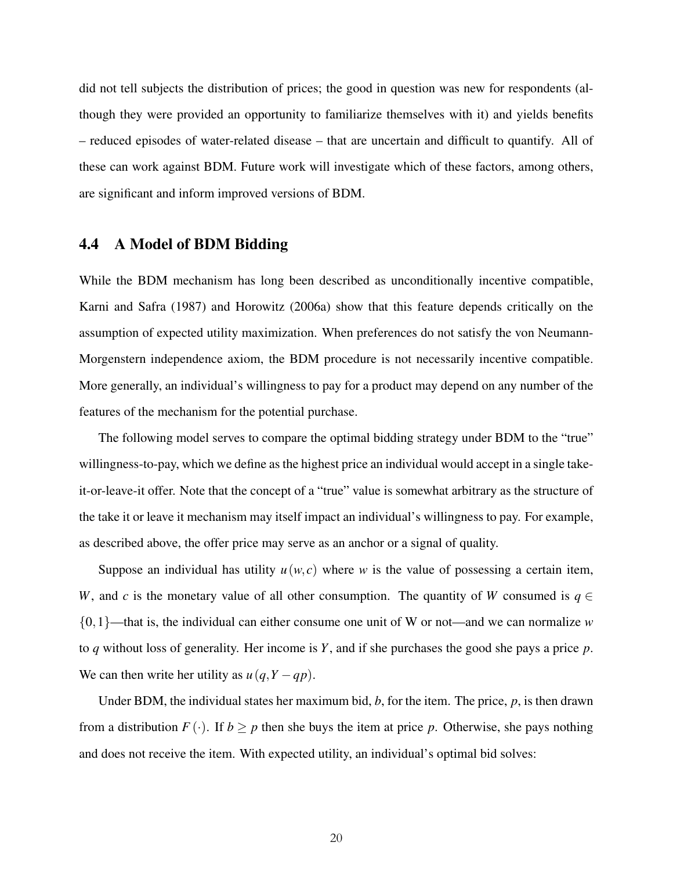did not tell subjects the distribution of prices; the good in question was new for respondents (although they were provided an opportunity to familiarize themselves with it) and yields benefits – reduced episodes of water-related disease – that are uncertain and difficult to quantify. All of these can work against BDM. Future work will investigate which of these factors, among others, are significant and inform improved versions of BDM.

### <span id="page-20-0"></span>4.4 A Model of BDM Bidding

While the BDM mechanism has long been described as unconditionally incentive compatible, [Karni and Safra](#page-33-2) [\(1987\)](#page-33-2) and [Horowitz](#page-32-6) [\(2006a\)](#page-32-6) show that this feature depends critically on the assumption of expected utility maximization. When preferences do not satisfy the von Neumann-Morgenstern independence axiom, the BDM procedure is not necessarily incentive compatible. More generally, an individual's willingness to pay for a product may depend on any number of the features of the mechanism for the potential purchase.

The following model serves to compare the optimal bidding strategy under BDM to the "true" willingness-to-pay, which we define as the highest price an individual would accept in a single takeit-or-leave-it offer. Note that the concept of a "true" value is somewhat arbitrary as the structure of the take it or leave it mechanism may itself impact an individual's willingness to pay. For example, as described above, the offer price may serve as an anchor or a signal of quality.

Suppose an individual has utility  $u(w, c)$  where w is the value of possessing a certain item, *W*, and *c* is the monetary value of all other consumption. The quantity of *W* consumed is  $q \in$ {0,1}—that is, the individual can either consume one unit of W or not—and we can normalize *w* to *q* without loss of generality. Her income is *Y*, and if she purchases the good she pays a price *p*. We can then write her utility as  $u(q, Y - qp)$ .

Under BDM, the individual states her maximum bid, *b*, for the item. The price, *p*, is then drawn from a distribution  $F(\cdot)$ . If  $b \geq p$  then she buys the item at price p. Otherwise, she pays nothing and does not receive the item. With expected utility, an individual's optimal bid solves: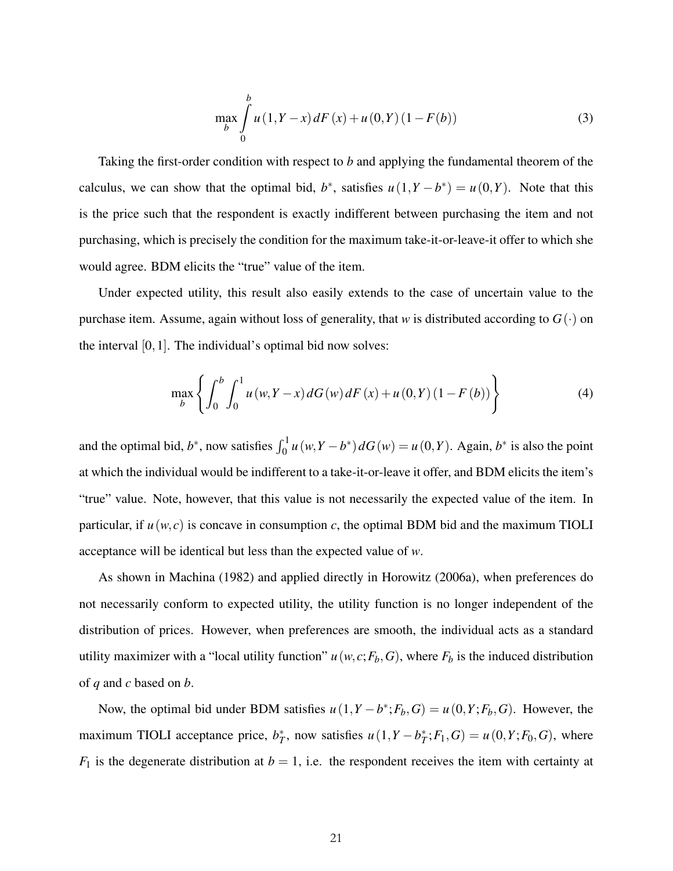$$
\max_{b} \int_{0}^{b} u(1, Y - x) dF(x) + u(0, Y) (1 - F(b))
$$
\n(3)

Taking the first-order condition with respect to *b* and applying the fundamental theorem of the calculus, we can show that the optimal bid,  $b^*$ , satisfies  $u(1, Y - b^*) = u(0, Y)$ . Note that this is the price such that the respondent is exactly indifferent between purchasing the item and not purchasing, which is precisely the condition for the maximum take-it-or-leave-it offer to which she would agree. BDM elicits the "true" value of the item.

Under expected utility, this result also easily extends to the case of uncertain value to the purchase item. Assume, again without loss of generality, that *w* is distributed according to  $G(\cdot)$  on the interval [0,1]. The individual's optimal bid now solves:

$$
\max_{b} \left\{ \int_{0}^{b} \int_{0}^{1} u(w, Y - x) dG(w) dF(x) + u(0, Y) (1 - F(b)) \right\}
$$
 (4)

and the optimal bid,  $b^*$ , now satisfies  $\int_0^1 u(w, Y - b^*) dG(w) = u(0, Y)$ . Again,  $b^*$  is also the point at which the individual would be indifferent to a take-it-or-leave it offer, and BDM elicits the item's "true" value. Note, however, that this value is not necessarily the expected value of the item. In particular, if  $u(w, c)$  is concave in consumption *c*, the optimal BDM bid and the maximum TIOLI acceptance will be identical but less than the expected value of *w*.

As shown in [Machina](#page-33-15) [\(1982\)](#page-33-15) and applied directly in [Horowitz](#page-32-6) [\(2006a\)](#page-32-6), when preferences do not necessarily conform to expected utility, the utility function is no longer independent of the distribution of prices. However, when preferences are smooth, the individual acts as a standard utility maximizer with a "local utility function"  $u(w, c; F_b, G)$ , where  $F_b$  is the induced distribution of *q* and *c* based on *b*.

Now, the optimal bid under BDM satisfies  $u(1, Y - b^*; F_b, G) = u(0, Y; F_b, G)$ . However, the maximum TIOLI acceptance price,  $b_T^*$ , now satisfies  $u(1, Y - b_T^*; F_1, G) = u(0, Y; F_0, G)$ , where  $F_1$  is the degenerate distribution at  $b = 1$ , i.e. the respondent receives the item with certainty at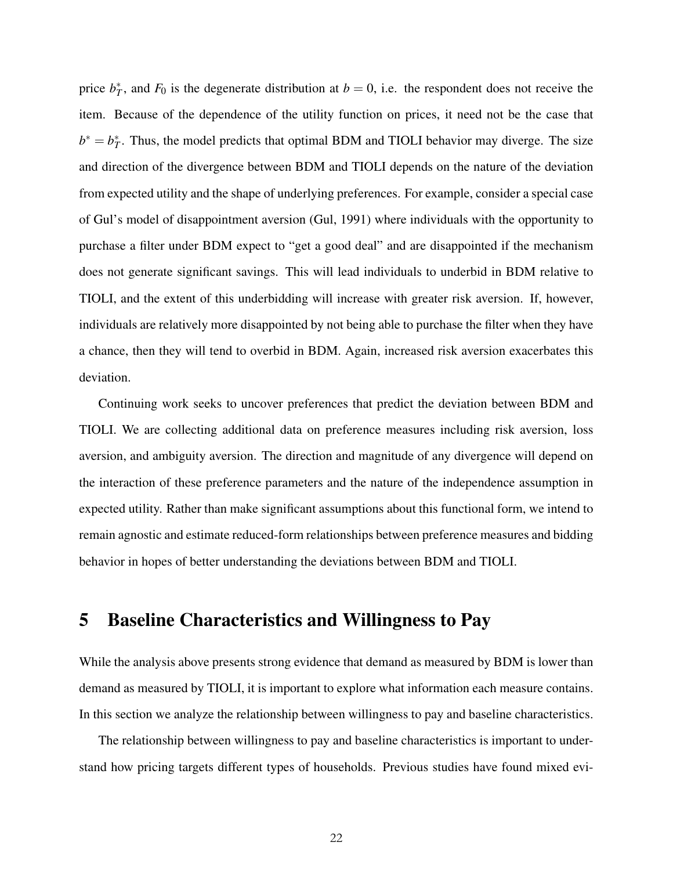price  $b_T^*$ , and  $F_0$  is the degenerate distribution at  $b = 0$ , i.e. the respondent does not receive the item. Because of the dependence of the utility function on prices, it need not be the case that  $b^* = b_T^*$ . Thus, the model predicts that optimal BDM and TIOLI behavior may diverge. The size and direction of the divergence between BDM and TIOLI depends on the nature of the deviation from expected utility and the shape of underlying preferences. For example, consider a special case of Gul's model of disappointment aversion [\(Gul, 1991\)](#page-32-9) where individuals with the opportunity to purchase a filter under BDM expect to "get a good deal" and are disappointed if the mechanism does not generate significant savings. This will lead individuals to underbid in BDM relative to TIOLI, and the extent of this underbidding will increase with greater risk aversion. If, however, individuals are relatively more disappointed by not being able to purchase the filter when they have a chance, then they will tend to overbid in BDM. Again, increased risk aversion exacerbates this deviation.

Continuing work seeks to uncover preferences that predict the deviation between BDM and TIOLI. We are collecting additional data on preference measures including risk aversion, loss aversion, and ambiguity aversion. The direction and magnitude of any divergence will depend on the interaction of these preference parameters and the nature of the independence assumption in expected utility. Rather than make significant assumptions about this functional form, we intend to remain agnostic and estimate reduced-form relationships between preference measures and bidding behavior in hopes of better understanding the deviations between BDM and TIOLI.

### <span id="page-22-0"></span>5 Baseline Characteristics and Willingness to Pay

While the analysis above presents strong evidence that demand as measured by BDM is lower than demand as measured by TIOLI, it is important to explore what information each measure contains. In this section we analyze the relationship between willingness to pay and baseline characteristics.

The relationship between willingness to pay and baseline characteristics is important to understand how pricing targets different types of households. Previous studies have found mixed evi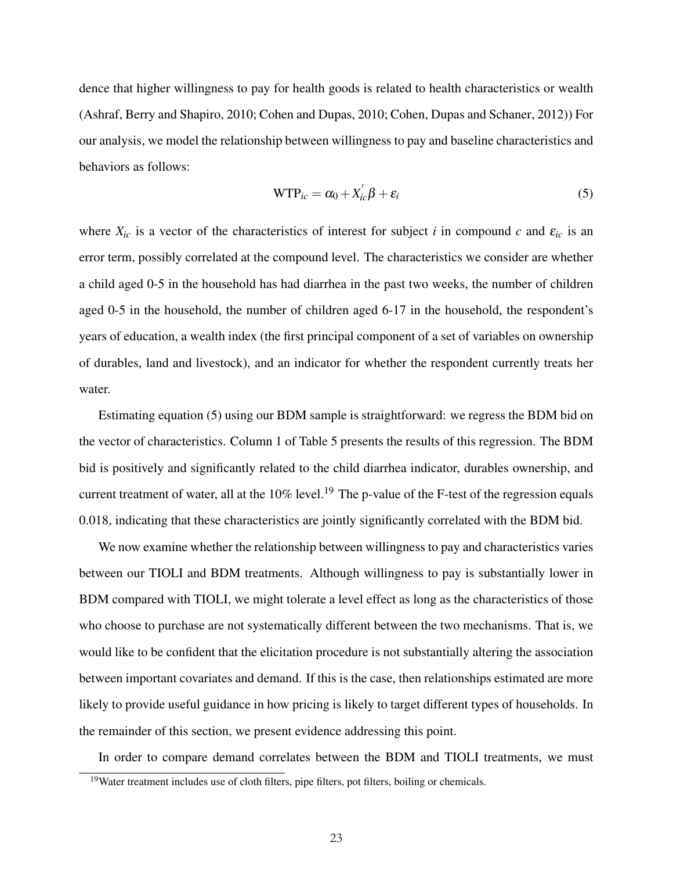dence that higher willingness to pay for health goods is related to health characteristics or wealth [\(Ashraf, Berry and Shapiro, 2010;](#page-32-2) [Cohen and Dupas, 2010;](#page-32-1) [Cohen, Dupas and Schaner, 2012\)](#page-32-12)) For our analysis, we model the relationship between willingness to pay and baseline characteristics and behaviors as follows:

<span id="page-23-0"></span>
$$
WTP_{ic} = \alpha_0 + X_{ic}'\beta + \varepsilon_i
$$
 (5)

where  $X_{ic}$  is a vector of the characteristics of interest for subject *i* in compound *c* and  $\varepsilon_{ic}$  is an error term, possibly correlated at the compound level. The characteristics we consider are whether a child aged 0-5 in the household has had diarrhea in the past two weeks, the number of children aged 0-5 in the household, the number of children aged 6-17 in the household, the respondent's years of education, a wealth index (the first principal component of a set of variables on ownership of durables, land and livestock), and an indicator for whether the respondent currently treats her water.

Estimating equation [\(5\)](#page-23-0) using our BDM sample is straightforward: we regress the BDM bid on the vector of characteristics. Column 1 of Table 5 presents the results of this regression. The BDM bid is positively and significantly related to the child diarrhea indicator, durables ownership, and current treatment of water, all at the  $10\%$  level.<sup>[19](#page-23-1)</sup> The p-value of the F-test of the regression equals 0.018, indicating that these characteristics are jointly significantly correlated with the BDM bid.

We now examine whether the relationship between willingness to pay and characteristics varies between our TIOLI and BDM treatments. Although willingness to pay is substantially lower in BDM compared with TIOLI, we might tolerate a level effect as long as the characteristics of those who choose to purchase are not systematically different between the two mechanisms. That is, we would like to be confident that the elicitation procedure is not substantially altering the association between important covariates and demand. If this is the case, then relationships estimated are more likely to provide useful guidance in how pricing is likely to target different types of households. In the remainder of this section, we present evidence addressing this point.

In order to compare demand correlates between the BDM and TIOLI treatments, we must

<span id="page-23-1"></span><sup>&</sup>lt;sup>19</sup>Water treatment includes use of cloth filters, pipe filters, pot filters, boiling or chemicals.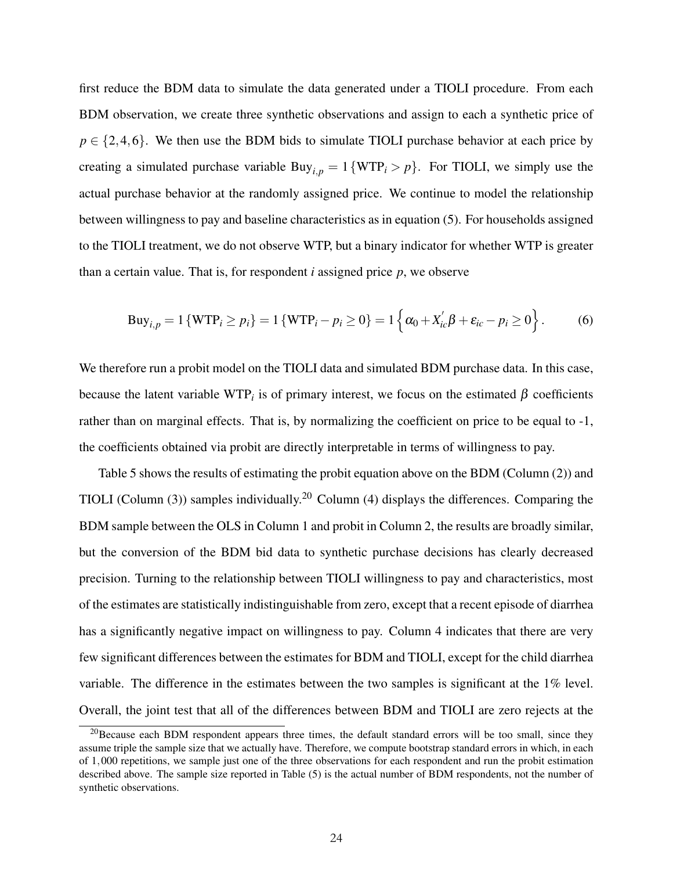first reduce the BDM data to simulate the data generated under a TIOLI procedure. From each BDM observation, we create three synthetic observations and assign to each a synthetic price of  $p \in \{2, 4, 6\}$ . We then use the BDM bids to simulate TIOLI purchase behavior at each price by creating a simulated purchase variable  $\text{Buy}_{i,p} = 1 \{ \text{WTP}_i > p \}$ . For TIOLI, we simply use the actual purchase behavior at the randomly assigned price. We continue to model the relationship between willingness to pay and baseline characteristics as in equation [\(5\)](#page-23-0). For households assigned to the TIOLI treatment, we do not observe WTP, but a binary indicator for whether WTP is greater than a certain value. That is, for respondent *i* assigned price *p*, we observe

$$
Buy_{i,p} = 1 \{ WTP_i \ge p_i \} = 1 \{ WTP_i - p_i \ge 0 \} = 1 \left\{ \alpha_0 + X_{ic}' \beta + \varepsilon_{ic} - p_i \ge 0 \right\}.
$$
 (6)

We therefore run a probit model on the TIOLI data and simulated BDM purchase data. In this case, because the latent variable WTP<sub>*i*</sub> is of primary interest, we focus on the estimated  $\beta$  coefficients rather than on marginal effects. That is, by normalizing the coefficient on price to be equal to -1, the coefficients obtained via probit are directly interpretable in terms of willingness to pay.

Table 5 shows the results of estimating the probit equation above on the BDM (Column (2)) and TIOLI (Column  $(3)$ ) samples individually.<sup>[20](#page-24-0)</sup> Column  $(4)$  displays the differences. Comparing the BDM sample between the OLS in Column 1 and probit in Column 2, the results are broadly similar, but the conversion of the BDM bid data to synthetic purchase decisions has clearly decreased precision. Turning to the relationship between TIOLI willingness to pay and characteristics, most of the estimates are statistically indistinguishable from zero, except that a recent episode of diarrhea has a significantly negative impact on willingness to pay. Column 4 indicates that there are very few significant differences between the estimates for BDM and TIOLI, except for the child diarrhea variable. The difference in the estimates between the two samples is significant at the 1% level. Overall, the joint test that all of the differences between BDM and TIOLI are zero rejects at the

<span id="page-24-0"></span> $^{20}$ Because each BDM respondent appears three times, the default standard errors will be too small, since they assume triple the sample size that we actually have. Therefore, we compute bootstrap standard errors in which, in each of 1,000 repetitions, we sample just one of the three observations for each respondent and run the probit estimation described above. The sample size reported in Table (5) is the actual number of BDM respondents, not the number of synthetic observations.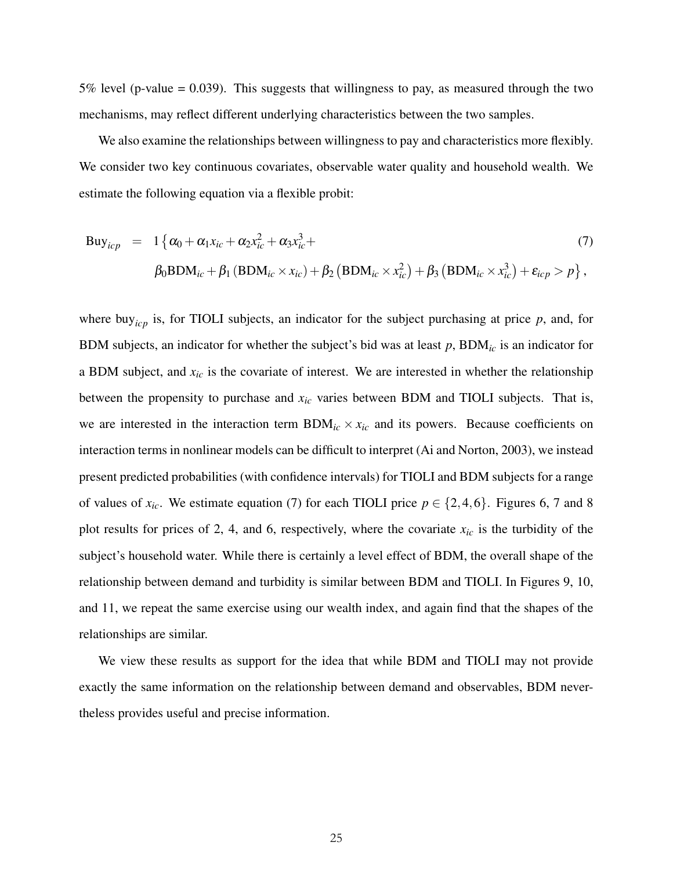$5\%$  level (p-value = 0.039). This suggests that willingness to pay, as measured through the two mechanisms, may reflect different underlying characteristics between the two samples.

We also examine the relationships between willingness to pay and characteristics more flexibly. We consider two key continuous covariates, observable water quality and household wealth. We estimate the following equation via a flexible probit:

<span id="page-25-0"></span>
$$
Buyicp = 1 { $\alpha_0 + \alpha_1 x_{ic} + \alpha_2 x_{ic}^2 + \alpha_3 x_{ic}^3 +$   
\n $\beta_0 BDMic + \beta_1 (BDMic \times x_{ic}) + \beta_2 (BDMic \times x_{ic}^2) + \beta_3 (BDMic \times x_{ic}^3) + \varepsilon_{icp} > p$  }, (7)
$$

where buy<sub>icp</sub> is, for TIOLI subjects, an indicator for the subject purchasing at price  $p$ , and, for BDM subjects, an indicator for whether the subject's bid was at least *p*, BDM*ic* is an indicator for a BDM subject, and *xic* is the covariate of interest. We are interested in whether the relationship between the propensity to purchase and *xic* varies between BDM and TIOLI subjects. That is, we are interested in the interaction term  $BDM_{ic} \times x_{ic}$  and its powers. Because coefficients on interaction terms in nonlinear models can be difficult to interpret [\(Ai and Norton, 2003\)](#page-32-13), we instead present predicted probabilities (with confidence intervals) for TIOLI and BDM subjects for a range of values of  $x_i$ . We estimate equation [\(7\)](#page-25-0) for each TIOLI price  $p \in \{2, 4, 6\}$ . Figures 6, 7 and 8 plot results for prices of 2, 4, and 6, respectively, where the covariate *xic* is the turbidity of the subject's household water. While there is certainly a level effect of BDM, the overall shape of the relationship between demand and turbidity is similar between BDM and TIOLI. In Figures 9, 10, and 11, we repeat the same exercise using our wealth index, and again find that the shapes of the relationships are similar.

We view these results as support for the idea that while BDM and TIOLI may not provide exactly the same information on the relationship between demand and observables, BDM nevertheless provides useful and precise information.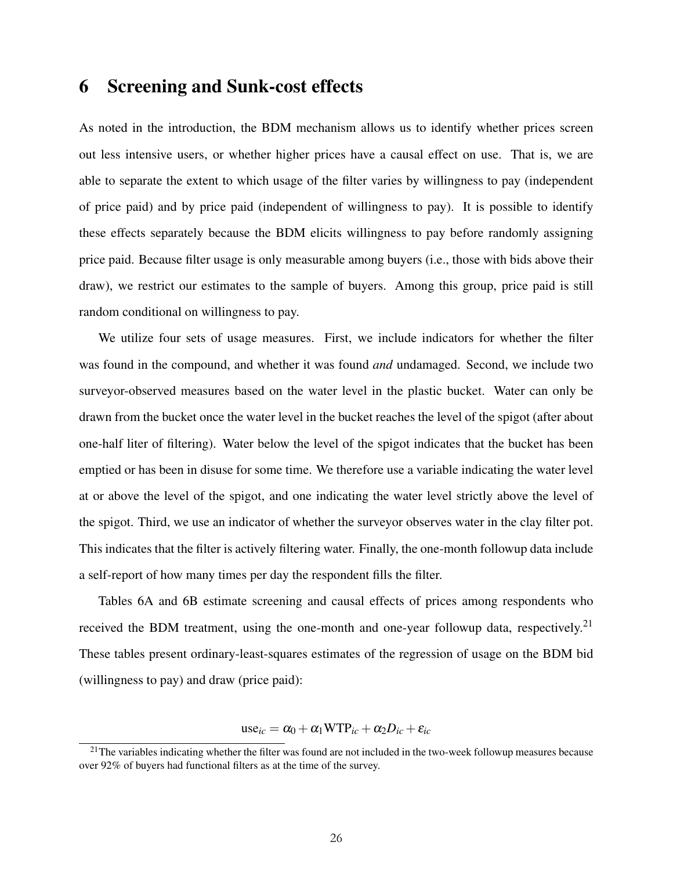### <span id="page-26-0"></span>6 Screening and Sunk-cost effects

As noted in the introduction, the BDM mechanism allows us to identify whether prices screen out less intensive users, or whether higher prices have a causal effect on use. That is, we are able to separate the extent to which usage of the filter varies by willingness to pay (independent of price paid) and by price paid (independent of willingness to pay). It is possible to identify these effects separately because the BDM elicits willingness to pay before randomly assigning price paid. Because filter usage is only measurable among buyers (i.e., those with bids above their draw), we restrict our estimates to the sample of buyers. Among this group, price paid is still random conditional on willingness to pay.

We utilize four sets of usage measures. First, we include indicators for whether the filter was found in the compound, and whether it was found *and* undamaged. Second, we include two surveyor-observed measures based on the water level in the plastic bucket. Water can only be drawn from the bucket once the water level in the bucket reaches the level of the spigot (after about one-half liter of filtering). Water below the level of the spigot indicates that the bucket has been emptied or has been in disuse for some time. We therefore use a variable indicating the water level at or above the level of the spigot, and one indicating the water level strictly above the level of the spigot. Third, we use an indicator of whether the surveyor observes water in the clay filter pot. This indicates that the filter is actively filtering water. Finally, the one-month followup data include a self-report of how many times per day the respondent fills the filter.

Tables 6A and 6B estimate screening and causal effects of prices among respondents who received the BDM treatment, using the one-month and one-year followup data, respectively.<sup>[21](#page-26-1)</sup> These tables present ordinary-least-squares estimates of the regression of usage on the BDM bid (willingness to pay) and draw (price paid):

 $use_{ic} = \alpha_0 + \alpha_1 WTP_{ic} + \alpha_2 D_{ic} + \varepsilon_{ic}$ 

<span id="page-26-1"></span> $21$ The variables indicating whether the filter was found are not included in the two-week followup measures because over 92% of buyers had functional filters as at the time of the survey.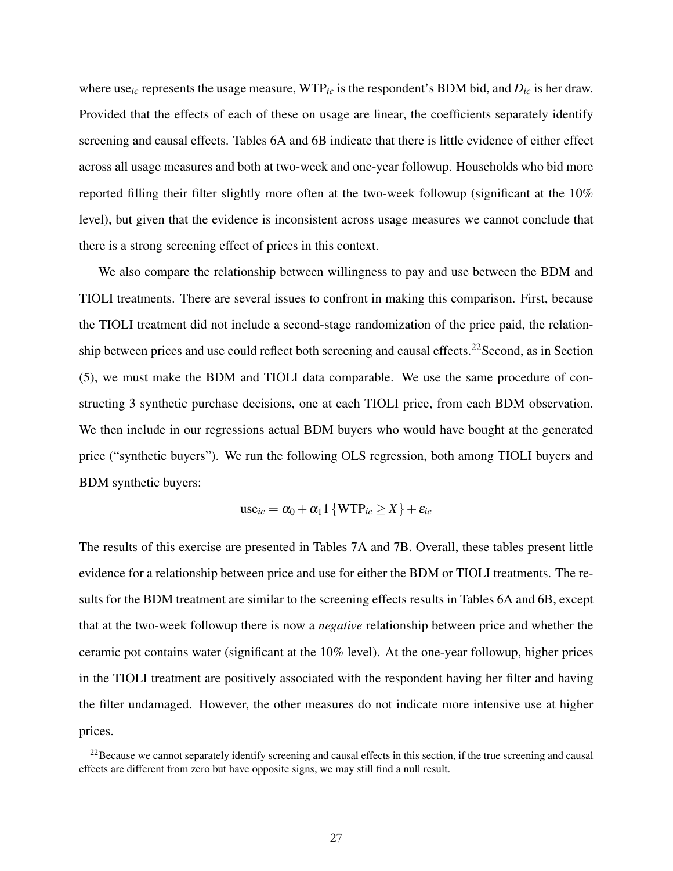where use*ic* represents the usage measure, WTP*ic* is the respondent's BDM bid, and *Dic* is her draw. Provided that the effects of each of these on usage are linear, the coefficients separately identify screening and causal effects. Tables 6A and 6B indicate that there is little evidence of either effect across all usage measures and both at two-week and one-year followup. Households who bid more reported filling their filter slightly more often at the two-week followup (significant at the 10% level), but given that the evidence is inconsistent across usage measures we cannot conclude that there is a strong screening effect of prices in this context.

We also compare the relationship between willingness to pay and use between the BDM and TIOLI treatments. There are several issues to confront in making this comparison. First, because the TIOLI treatment did not include a second-stage randomization of the price paid, the relation-ship between prices and use could reflect both screening and causal effects.<sup>[22](#page-27-0)</sup>Second, as in Section [\(5\)](#page-22-0), we must make the BDM and TIOLI data comparable. We use the same procedure of constructing 3 synthetic purchase decisions, one at each TIOLI price, from each BDM observation. We then include in our regressions actual BDM buyers who would have bought at the generated price ("synthetic buyers"). We run the following OLS regression, both among TIOLI buyers and BDM synthetic buyers:

use<sub>ic</sub> = 
$$
\alpha_0 + \alpha_1 1 \{ \text{WTP}_{ic} \ge X \} + \varepsilon_{ic}
$$

The results of this exercise are presented in Tables 7A and 7B. Overall, these tables present little evidence for a relationship between price and use for either the BDM or TIOLI treatments. The results for the BDM treatment are similar to the screening effects results in Tables 6A and 6B, except that at the two-week followup there is now a *negative* relationship between price and whether the ceramic pot contains water (significant at the 10% level). At the one-year followup, higher prices in the TIOLI treatment are positively associated with the respondent having her filter and having the filter undamaged. However, the other measures do not indicate more intensive use at higher prices.

<span id="page-27-0"></span> $22$ Because we cannot separately identify screening and causal effects in this section, if the true screening and causal effects are different from zero but have opposite signs, we may still find a null result.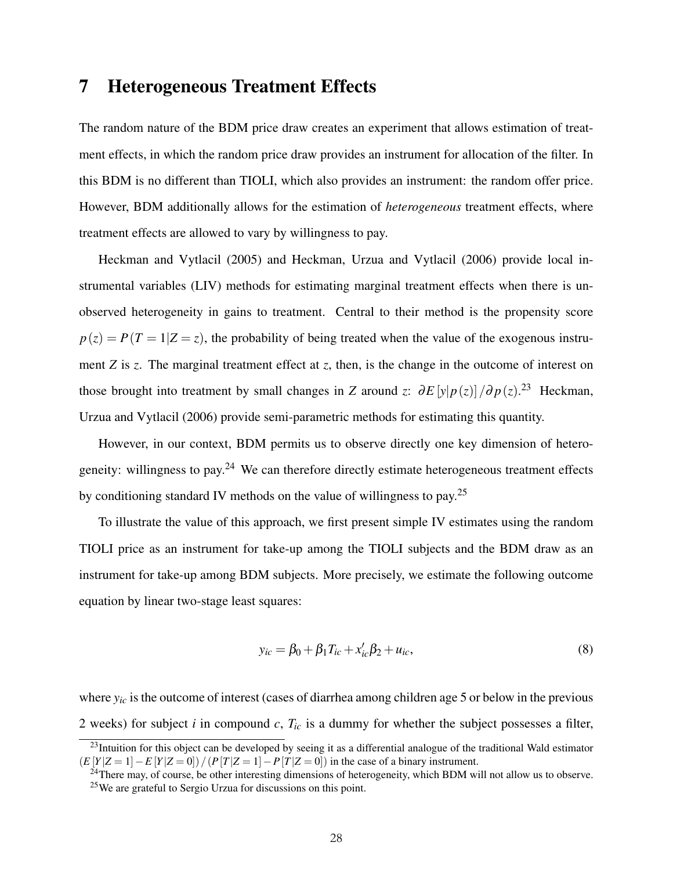### <span id="page-28-0"></span>7 Heterogeneous Treatment Effects

The random nature of the BDM price draw creates an experiment that allows estimation of treatment effects, in which the random price draw provides an instrument for allocation of the filter. In this BDM is no different than TIOLI, which also provides an instrument: the random offer price. However, BDM additionally allows for the estimation of *heterogeneous* treatment effects, where treatment effects are allowed to vary by willingness to pay.

[Heckman and Vytlacil](#page-32-3) [\(2005\)](#page-32-3) and [Heckman, Urzua and Vytlacil](#page-32-4) [\(2006\)](#page-32-4) provide local instrumental variables (LIV) methods for estimating marginal treatment effects when there is unobserved heterogeneity in gains to treatment. Central to their method is the propensity score  $p(z) = P(T = 1|Z = z)$ , the probability of being treated when the value of the exogenous instrument *Z* is *z*. The marginal treatment effect at *z*, then, is the change in the outcome of interest on those brought into treatment by small changes in *Z* around *z*:  $\partial E[y|p(z)]/\partial p(z)$ .<sup>[23](#page-28-1)</sup> [Heckman,](#page-32-4) [Urzua and Vytlacil](#page-32-4) [\(2006\)](#page-32-4) provide semi-parametric methods for estimating this quantity.

However, in our context, BDM permits us to observe directly one key dimension of heterogeneity: willingness to pay.[24](#page-28-2) We can therefore directly estimate heterogeneous treatment effects by conditioning standard IV methods on the value of willingness to pay.[25](#page-28-3)

To illustrate the value of this approach, we first present simple IV estimates using the random TIOLI price as an instrument for take-up among the TIOLI subjects and the BDM draw as an instrument for take-up among BDM subjects. More precisely, we estimate the following outcome equation by linear two-stage least squares:

$$
y_{ic} = \beta_0 + \beta_1 T_{ic} + x'_{ic} \beta_2 + u_{ic},
$$
\n(8)

where  $y_i$  is the outcome of interest (cases of diarrhea among children age 5 or below in the previous 2 weeks) for subject *i* in compound *c*, *Tic* is a dummy for whether the subject possesses a filter,

<span id="page-28-1"></span> $^{23}$ Intuition for this object can be developed by seeing it as a differential analogue of the traditional Wald estimator  $(E[Y|Z=1]-E[Y|Z=0])/(P[T|Z=1]-P[T|Z=0])$  in the case of a binary instrument.

<span id="page-28-3"></span><span id="page-28-2"></span><sup>&</sup>lt;sup>24</sup>There may, of course, be other interesting dimensions of heterogeneity, which BDM will not allow us to observe. <sup>25</sup>We are grateful to Sergio Urzua for discussions on this point.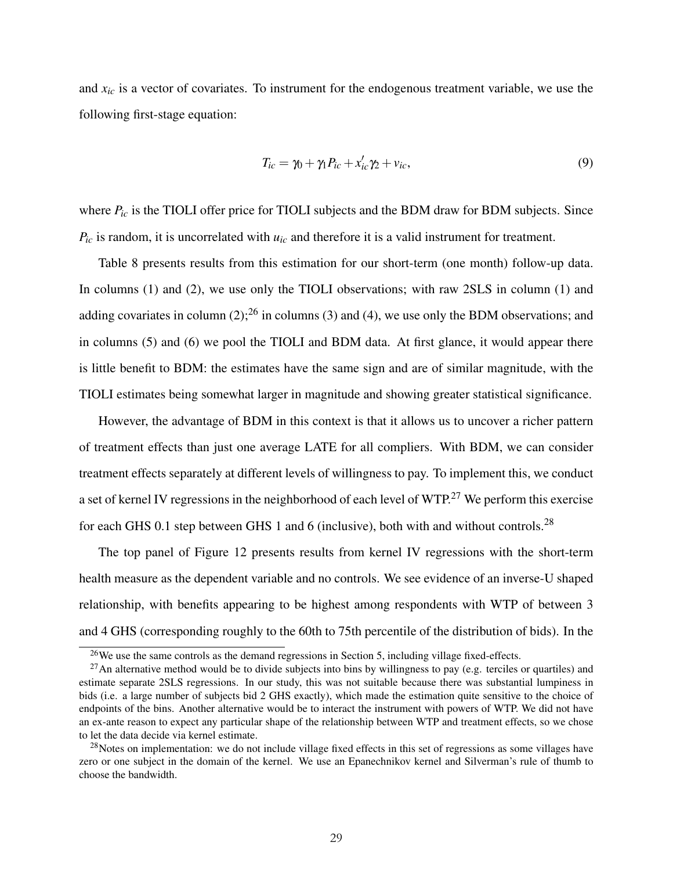and *xic* is a vector of covariates. To instrument for the endogenous treatment variable, we use the following first-stage equation:

$$
T_{ic} = \gamma_0 + \gamma_1 P_{ic} + x'_{ic} \gamma_2 + v_{ic},\tag{9}
$$

where  $P_{ic}$  is the TIOLI offer price for TIOLI subjects and the BDM draw for BDM subjects. Since  $P_{ic}$  is random, it is uncorrelated with  $u_{ic}$  and therefore it is a valid instrument for treatment.

Table 8 presents results from this estimation for our short-term (one month) follow-up data. In columns (1) and (2), we use only the TIOLI observations; with raw 2SLS in column (1) and adding covariates in column (2);<sup>[26](#page-29-0)</sup> in columns (3) and (4), we use only the BDM observations; and in columns (5) and (6) we pool the TIOLI and BDM data. At first glance, it would appear there is little benefit to BDM: the estimates have the same sign and are of similar magnitude, with the TIOLI estimates being somewhat larger in magnitude and showing greater statistical significance.

However, the advantage of BDM in this context is that it allows us to uncover a richer pattern of treatment effects than just one average LATE for all compliers. With BDM, we can consider treatment effects separately at different levels of willingness to pay. To implement this, we conduct a set of kernel IV regressions in the neighborhood of each level of WTP.<sup>[27](#page-29-1)</sup> We perform this exercise for each GHS 0.1 step between GHS 1 and 6 (inclusive), both with and without controls.[28](#page-29-2)

The top panel of Figure 12 presents results from kernel IV regressions with the short-term health measure as the dependent variable and no controls. We see evidence of an inverse-U shaped relationship, with benefits appearing to be highest among respondents with WTP of between 3 and 4 GHS (corresponding roughly to the 60th to 75th percentile of the distribution of bids). In the

<span id="page-29-1"></span><span id="page-29-0"></span><sup>&</sup>lt;sup>26</sup>We use the same controls as the demand regressions in Section [5,](#page-22-0) including village fixed-effects.

 $^{27}$ An alternative method would be to divide subjects into bins by willingness to pay (e.g. terciles or quartiles) and estimate separate 2SLS regressions. In our study, this was not suitable because there was substantial lumpiness in bids (i.e. a large number of subjects bid 2 GHS exactly), which made the estimation quite sensitive to the choice of endpoints of the bins. Another alternative would be to interact the instrument with powers of WTP. We did not have an ex-ante reason to expect any particular shape of the relationship between WTP and treatment effects, so we chose to let the data decide via kernel estimate.

<span id="page-29-2"></span> $28$ Notes on implementation: we do not include village fixed effects in this set of regressions as some villages have zero or one subject in the domain of the kernel. We use an Epanechnikov kernel and Silverman's rule of thumb to choose the bandwidth.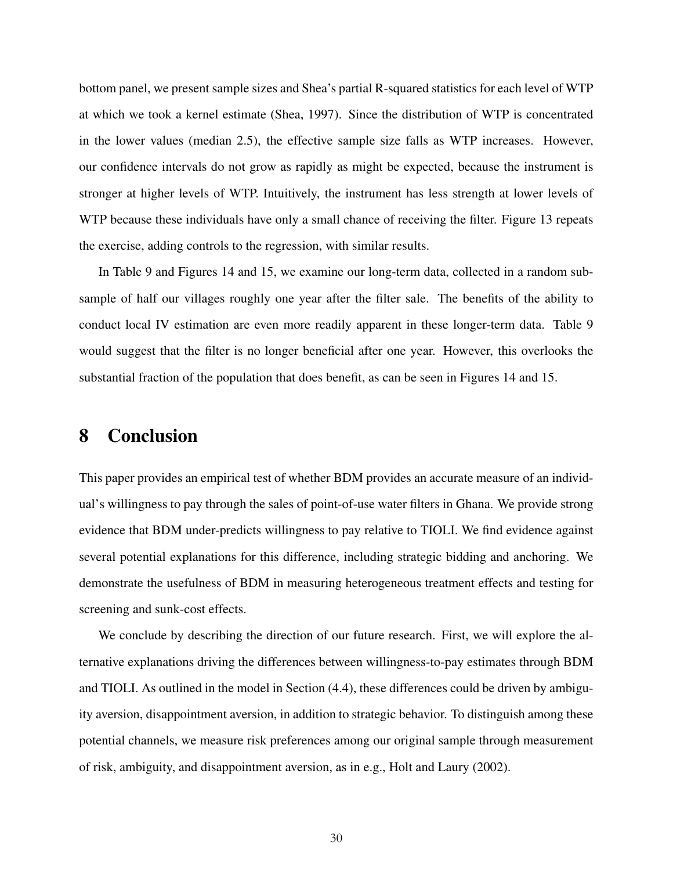bottom panel, we present sample sizes and Shea's partial R-squared statistics for each level of WTP at which we took a kernel estimate [\(Shea, 1997\)](#page-33-16). Since the distribution of WTP is concentrated in the lower values (median 2.5), the effective sample size falls as WTP increases. However, our confidence intervals do not grow as rapidly as might be expected, because the instrument is stronger at higher levels of WTP. Intuitively, the instrument has less strength at lower levels of WTP because these individuals have only a small chance of receiving the filter. Figure 13 repeats the exercise, adding controls to the regression, with similar results.

In Table 9 and Figures 14 and 15, we examine our long-term data, collected in a random subsample of half our villages roughly one year after the filter sale. The benefits of the ability to conduct local IV estimation are even more readily apparent in these longer-term data. Table 9 would suggest that the filter is no longer beneficial after one year. However, this overlooks the substantial fraction of the population that does benefit, as can be seen in Figures 14 and 15.

### <span id="page-30-0"></span>8 Conclusion

This paper provides an empirical test of whether BDM provides an accurate measure of an individual's willingness to pay through the sales of point-of-use water filters in Ghana. We provide strong evidence that BDM under-predicts willingness to pay relative to TIOLI. We find evidence against several potential explanations for this difference, including strategic bidding and anchoring. We demonstrate the usefulness of BDM in measuring heterogeneous treatment effects and testing for screening and sunk-cost effects.

We conclude by describing the direction of our future research. First, we will explore the alternative explanations driving the differences between willingness-to-pay estimates through BDM and TIOLI. As outlined in the model in Section [\(4.4\)](#page-20-0), these differences could be driven by ambiguity aversion, disappointment aversion, in addition to strategic behavior. To distinguish among these potential channels, we measure risk preferences among our original sample through measurement of risk, ambiguity, and disappointment aversion, as in e.g., [Holt and Laury](#page-32-14) [\(2002\)](#page-32-14).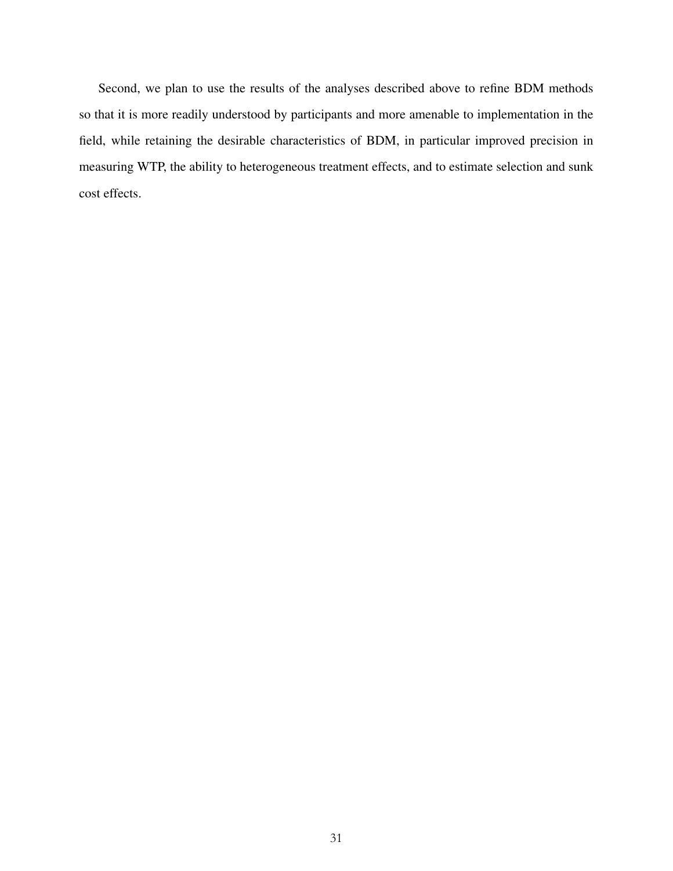Second, we plan to use the results of the analyses described above to refine BDM methods so that it is more readily understood by participants and more amenable to implementation in the field, while retaining the desirable characteristics of BDM, in particular improved precision in measuring WTP, the ability to heterogeneous treatment effects, and to estimate selection and sunk cost effects.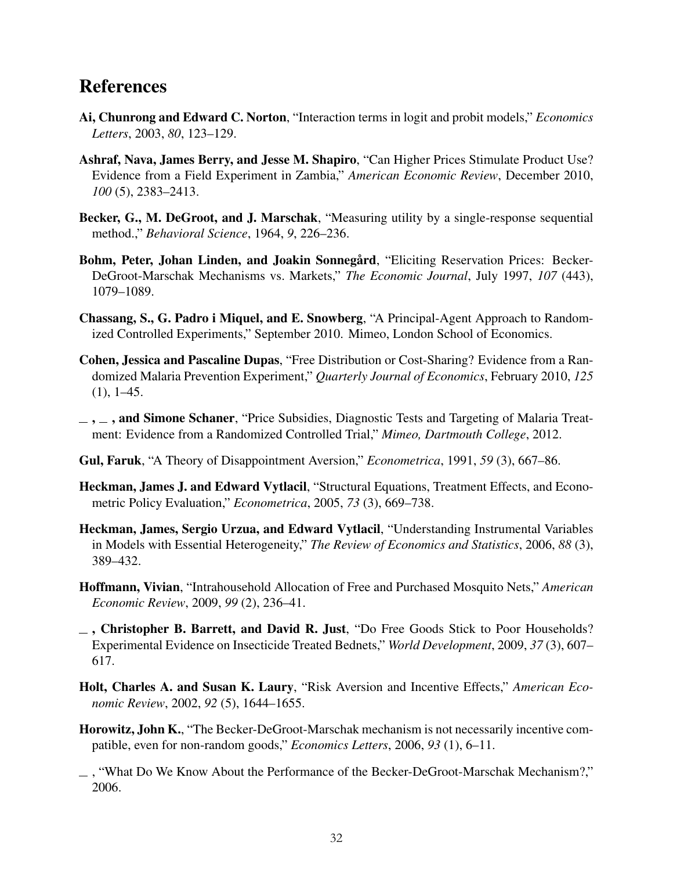### References

- <span id="page-32-13"></span>Ai, Chunrong and Edward C. Norton, "Interaction terms in logit and probit models," *Economics Letters*, 2003, *80*, 123–129.
- <span id="page-32-2"></span>Ashraf, Nava, James Berry, and Jesse M. Shapiro, "Can Higher Prices Stimulate Product Use? Evidence from a Field Experiment in Zambia," *American Economic Review*, December 2010, *100* (5), 2383–2413.
- <span id="page-32-0"></span>Becker, G., M. DeGroot, and J. Marschak, "Measuring utility by a single-response sequential method.," *Behavioral Science*, 1964, *9*, 226–236.
- <span id="page-32-11"></span>Bohm, Peter, Johan Linden, and Joakin Sonnegård, "Eliciting Reservation Prices: Becker-DeGroot-Marschak Mechanisms vs. Markets," *The Economic Journal*, July 1997, *107* (443), 1079–1089.
- <span id="page-32-5"></span>Chassang, S., G. Padro i Miquel, and E. Snowberg, "A Principal-Agent Approach to Randomized Controlled Experiments," September 2010. Mimeo, London School of Economics.
- <span id="page-32-1"></span>Cohen, Jessica and Pascaline Dupas, "Free Distribution or Cost-Sharing? Evidence from a Randomized Malaria Prevention Experiment," *Quarterly Journal of Economics*, February 2010, *125*  $(1), 1-45.$
- <span id="page-32-12"></span> $\ldots$ , and Simone Schaner, "Price Subsidies, Diagnostic Tests and Targeting of Malaria Treatment: Evidence from a Randomized Controlled Trial," *Mimeo, Dartmouth College*, 2012.
- <span id="page-32-9"></span>Gul, Faruk, "A Theory of Disappointment Aversion," *Econometrica*, 1991, *59* (3), 667–86.
- <span id="page-32-3"></span>Heckman, James J. and Edward Vytlacil, "Structural Equations, Treatment Effects, and Econometric Policy Evaluation," *Econometrica*, 2005, *73* (3), 669–738.
- <span id="page-32-4"></span>Heckman, James, Sergio Urzua, and Edward Vytlacil, "Understanding Instrumental Variables in Models with Essential Heterogeneity," *The Review of Economics and Statistics*, 2006, *88* (3), 389–432.
- <span id="page-32-8"></span>Hoffmann, Vivian, "Intrahousehold Allocation of Free and Purchased Mosquito Nets," *American Economic Review*, 2009, *99* (2), 236–41.
- <span id="page-32-7"></span> $\overline{\phantom{a}}$ , Christopher B. Barrett, and David R. Just, "Do Free Goods Stick to Poor Households? Experimental Evidence on Insecticide Treated Bednets," *World Development*, 2009, *37* (3), 607– 617.
- <span id="page-32-14"></span>Holt, Charles A. and Susan K. Laury, "Risk Aversion and Incentive Effects," *American Economic Review*, 2002, *92* (5), 1644–1655.
- <span id="page-32-6"></span>Horowitz, John K., "The Becker-DeGroot-Marschak mechanism is not necessarily incentive compatible, even for non-random goods," *Economics Letters*, 2006, *93* (1), 6–11.
- <span id="page-32-10"></span> $\Box$ , "What Do We Know About the Performance of the Becker-DeGroot-Marschak Mechanism?," 2006.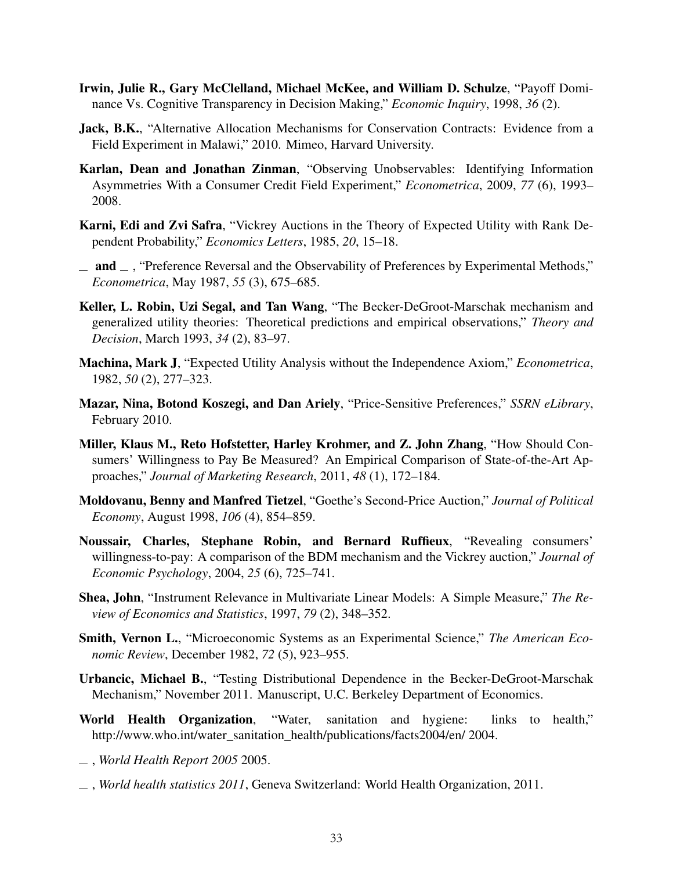- <span id="page-33-4"></span>Irwin, Julie R., Gary McClelland, Michael McKee, and William D. Schulze, "Payoff Dominance Vs. Cognitive Transparency in Decision Making," *Economic Inquiry*, 1998, *36* (2).
- <span id="page-33-7"></span>Jack, B.K., "Alternative Allocation Mechanisms for Conservation Contracts: Evidence from a Field Experiment in Malawi," 2010. Mimeo, Harvard University.
- <span id="page-33-1"></span>Karlan, Dean and Jonathan Zinman, "Observing Unobservables: Identifying Information Asymmetries With a Consumer Credit Field Experiment," *Econometrica*, 2009, *77* (6), 1993– 2008.
- <span id="page-33-8"></span>Karni, Edi and Zvi Safra, "Vickrey Auctions in the Theory of Expected Utility with Rank Dependent Probability," *Economics Letters*, 1985, *20*, 15–18.
- <span id="page-33-2"></span> $\equiv$  and  $\equiv$ , "Preference Reversal and the Observability of Preferences by Experimental Methods," *Econometrica*, May 1987, *55* (3), 675–685.
- <span id="page-33-5"></span>Keller, L. Robin, Uzi Segal, and Tan Wang, "The Becker-DeGroot-Marschak mechanism and generalized utility theories: Theoretical predictions and empirical observations," *Theory and Decision*, March 1993, *34* (2), 83–97.
- <span id="page-33-15"></span>Machina, Mark J, "Expected Utility Analysis without the Independence Axiom," *Econometrica*, 1982, *50* (2), 277–323.
- <span id="page-33-10"></span>Mazar, Nina, Botond Koszegi, and Dan Ariely, "Price-Sensitive Preferences," *SSRN eLibrary*, February 2010.
- <span id="page-33-9"></span>Miller, Klaus M., Reto Hofstetter, Harley Krohmer, and Z. John Zhang, "How Should Consumers' Willingness to Pay Be Measured? An Empirical Comparison of State-of-the-Art Approaches," *Journal of Marketing Research*, 2011, *48* (1), 172–184.
- <span id="page-33-0"></span>Moldovanu, Benny and Manfred Tietzel, "Goethe's Second-Price Auction," *Journal of Political Economy*, August 1998, *106* (4), 854–859.
- <span id="page-33-3"></span>Noussair, Charles, Stephane Robin, and Bernard Ruffieux, "Revealing consumers' willingness-to-pay: A comparison of the BDM mechanism and the Vickrey auction," *Journal of Economic Psychology*, 2004, *25* (6), 725–741.
- <span id="page-33-16"></span>Shea, John, "Instrument Relevance in Multivariate Linear Models: A Simple Measure," *The Review of Economics and Statistics*, 1997, *79* (2), 348–352.
- <span id="page-33-6"></span>Smith, Vernon L., "Microeconomic Systems as an Experimental Science," *The American Economic Review*, December 1982, *72* (5), 923–955.
- <span id="page-33-11"></span>Urbancic, Michael B., "Testing Distributional Dependence in the Becker-DeGroot-Marschak Mechanism," November 2011. Manuscript, U.C. Berkeley Department of Economics.
- <span id="page-33-12"></span>World Health Organization, "Water, sanitation and hygiene: links to health," http://www.who.int/water\_sanitation\_health/publications/facts2004/en/ 2004.
- <span id="page-33-13"></span>, *World Health Report 2005* 2005.
- <span id="page-33-14"></span>, *World health statistics 2011*, Geneva Switzerland: World Health Organization, 2011.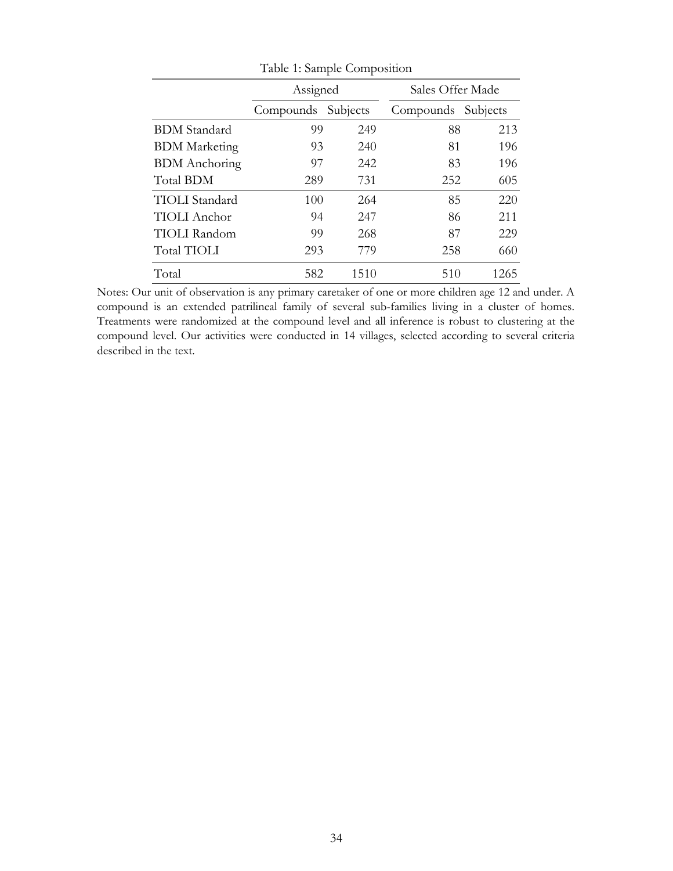| 1.801                 |                    |      |                    |      |  |  |  |  |
|-----------------------|--------------------|------|--------------------|------|--|--|--|--|
|                       | Assigned           |      | Sales Offer Made   |      |  |  |  |  |
|                       | Compounds Subjects |      | Compounds Subjects |      |  |  |  |  |
| <b>BDM</b> Standard   | 99                 | 249  | 88                 | 213  |  |  |  |  |
| <b>BDM</b> Marketing  | 93                 | 240  | 81                 | 196  |  |  |  |  |
| <b>BDM</b> Anchoring  | 97                 | 242  | 83                 | 196  |  |  |  |  |
| <b>Total BDM</b>      | 289                | 731  | 252                | 605  |  |  |  |  |
| <b>TIOLI</b> Standard | 100                | 264  | 85                 | 220  |  |  |  |  |
| <b>TIOLI</b> Anchor   | 94                 | 247  | 86                 | 211  |  |  |  |  |
| <b>TIOLI</b> Random   | 99                 | 268  | 87                 | 229  |  |  |  |  |
| Total TIOLI           | 293                | 779  | 258                | 660  |  |  |  |  |
| Total                 | 582                | 1510 | 510                | 1265 |  |  |  |  |

Table 1: Sample Composition

Notes: Our unit of observation is any primary caretaker of one or more children age 12 and under. A compound is an extended patrilineal family of several sub-families living in a cluster of homes. Treatments were randomized at the compound level and all inference is robust to clustering at the compound level. Our activities were conducted in 14 villages, selected according to several criteria described in the text.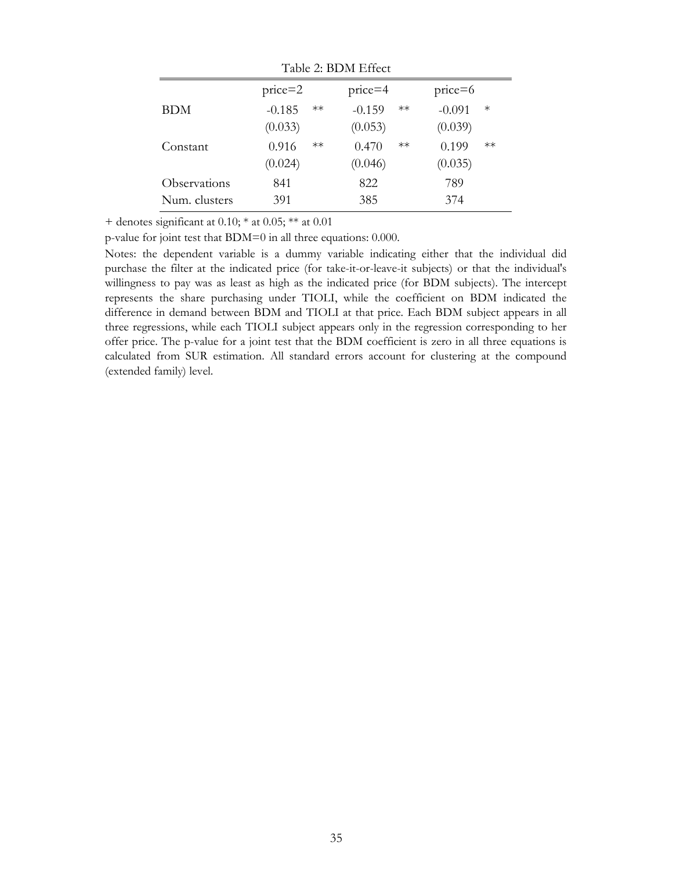| Table 2: BDM Effect |                  |                  |                    |  |  |
|---------------------|------------------|------------------|--------------------|--|--|
|                     | $price=2$        | $price=4$        | $price=6$          |  |  |
| <b>BDM</b>          | $-0.185$<br>$**$ | $-0.159$<br>$**$ | $-0.091$<br>$\ast$ |  |  |
|                     | (0.033)          | (0.053)          | (0.039)            |  |  |
| Constant            | 0.916<br>$**$    | $**$<br>0.470    | 0.199<br>$**$      |  |  |
|                     | (0.024)          | (0.046)          | (0.035)            |  |  |
| Observations        | 841              | 822              | 789                |  |  |
| Num. clusters       | 391              | 385              | 374                |  |  |

 $T11.2$  BDM Effect

p-value for joint test that BDM=0 in all three equations: 0.000.

Notes: the dependent variable is a dummy variable indicating either that the individual did purchase the filter at the indicated price (for take-it-or-leave-it subjects) or that the individual's willingness to pay was as least as high as the indicated price (for BDM subjects). The intercept represents the share purchasing under TIOLI, while the coefficient on BDM indicated the difference in demand between BDM and TIOLI at that price. Each BDM subject appears in all three regressions, while each TIOLI subject appears only in the regression corresponding to her offer price. The p-value for a joint test that the BDM coefficient is zero in all three equations is calculated from SUR estimation. All standard errors account for clustering at the compound (extended family) level.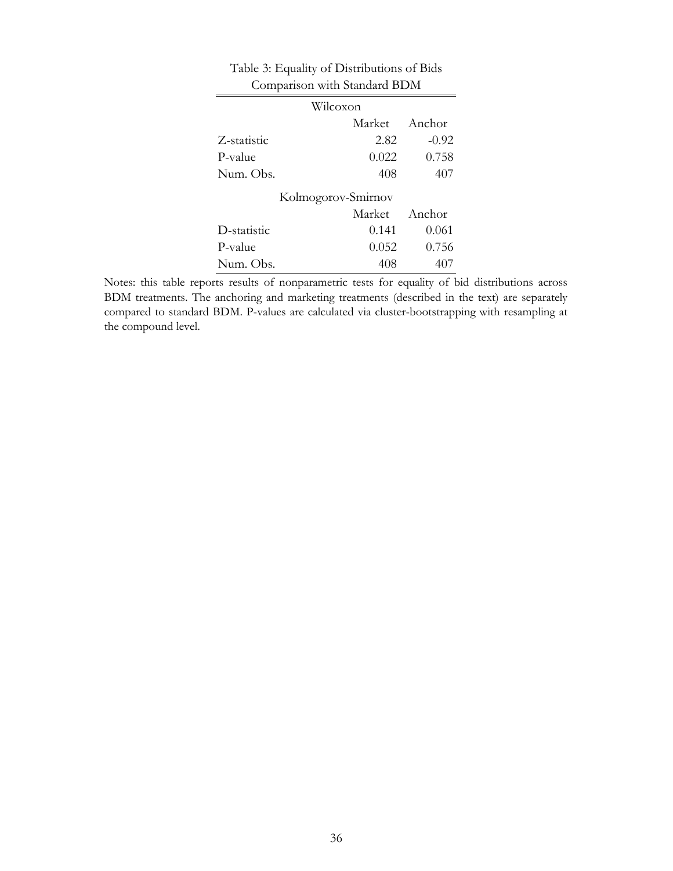| Comparison with Standard BDM |                    |         |  |  |  |  |
|------------------------------|--------------------|---------|--|--|--|--|
| Wilcoxon                     |                    |         |  |  |  |  |
|                              | Market             | Anchor  |  |  |  |  |
| Z-statistic                  | 2.82               | $-0.92$ |  |  |  |  |
| P-value                      | 0.022              | 0.758   |  |  |  |  |
| Num. Obs.                    | 408                | 407     |  |  |  |  |
|                              | Kolmogorov-Smirnov |         |  |  |  |  |
|                              | Anchor<br>Market   |         |  |  |  |  |
| D-statistic                  | 0.141              | 0.061   |  |  |  |  |
| P-value                      | 0.052              | 0.756   |  |  |  |  |
| Num. Obs.                    | 408                |         |  |  |  |  |

Table 3: Equality of Distributions of Bids

Notes: this table reports results of nonparametric tests for equality of bid distributions across BDM treatments. The anchoring and marketing treatments (described in the text) are separately compared to standard BDM. P-values are calculated via cluster-bootstrapping with resampling at the compound level.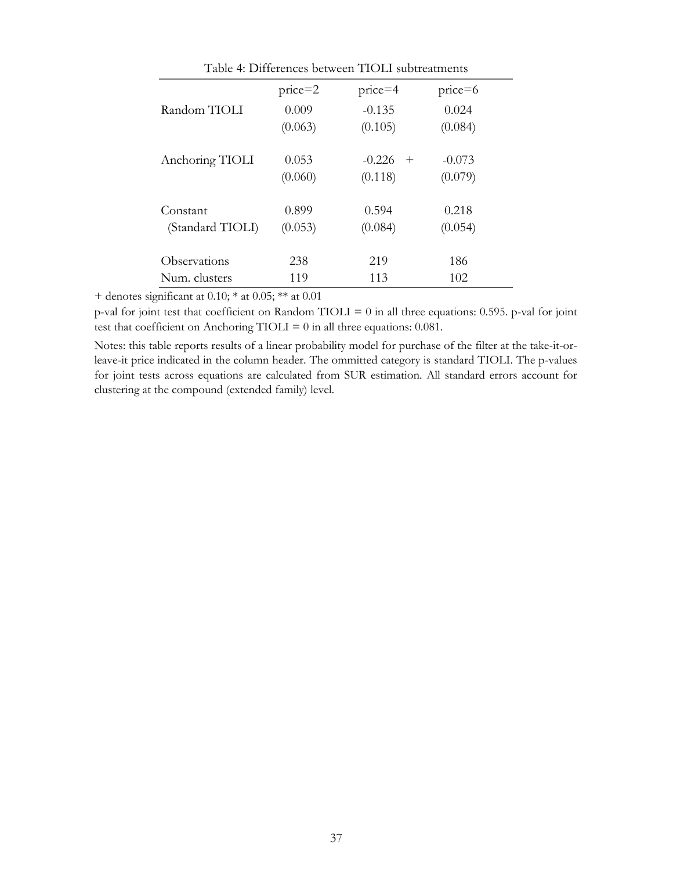| Table 4: Differences between TIOLI subtreatments |           |                    |           |  |  |
|--------------------------------------------------|-----------|--------------------|-----------|--|--|
|                                                  | $price=2$ | $price=4$          | $price=6$ |  |  |
| Random TIOLI                                     | 0.009     | $-0.135$           | 0.024     |  |  |
|                                                  | (0.063)   | (0.105)            | (0.084)   |  |  |
| Anchoring TIOLI                                  | 0.053     | $-0.226$<br>$^{+}$ | $-0.073$  |  |  |
|                                                  | (0.060)   | (0.118)            | (0.079)   |  |  |
| Constant                                         | 0.899     | 0.594              | 0.218     |  |  |
| (Standard TIOLI)                                 | (0.053)   | (0.084)            | (0.054)   |  |  |
| Observations                                     | 238       | 219                | 186       |  |  |
| Num. clusters                                    | 119       | 113                | 102       |  |  |

p-val for joint test that coefficient on Random TIOLI = 0 in all three equations: 0.595. p-val for joint test that coefficient on Anchoring TIOLI =  $0$  in all three equations: 0.081.

Notes: this table reports results of a linear probability model for purchase of the filter at the take-it-orleave-it price indicated in the column header. The ommitted category is standard TIOLI. The p-values for joint tests across equations are calculated from SUR estimation. All standard errors account for clustering at the compound (extended family) level.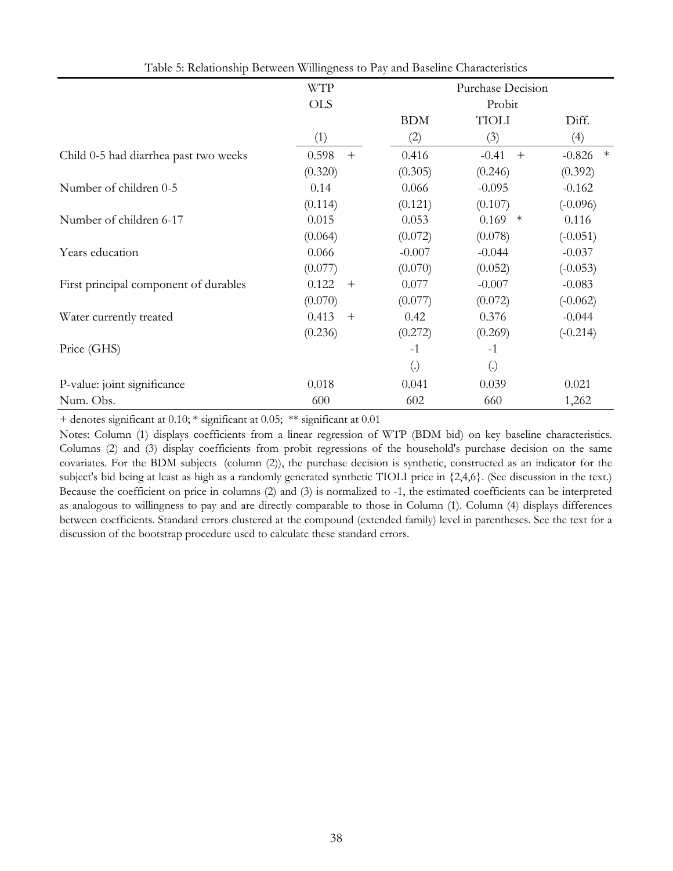| of recallently Decircult Willinghood to I ay and Daochine |                 |                   |                   |                    |
|-----------------------------------------------------------|-----------------|-------------------|-------------------|--------------------|
|                                                           | <b>WTP</b>      |                   | Purchase Decision |                    |
|                                                           | <b>OLS</b>      | Probit            |                   |                    |
|                                                           |                 | <b>BDM</b>        | <b>TIOLI</b>      | Diff.              |
|                                                           | (1)             | (2)               | (3)               | (4)                |
| Child 0-5 had diarrhea past two weeks                     | 0.598<br>$+$    | 0.416             | $-0.41$<br>$^{+}$ | $\ast$<br>$-0.826$ |
|                                                           | (0.320)         | (0.305)           | (0.246)           | (0.392)            |
| Number of children 0-5                                    | 0.14            | 0.066             | $-0.095$          | $-0.162$           |
|                                                           | (0.114)         | (0.121)           | (0.107)           | $(-0.096)$         |
| Number of children 6-17                                   | 0.015           | 0.053             | 0.169<br>$*$      | 0.116              |
|                                                           | (0.064)         | (0.072)           | (0.078)           | $(-0.051)$         |
| Years education                                           | 0.066           | $-0.007$          | $-0.044$          | $-0.037$           |
|                                                           | (0.077)         | (0.070)           | (0.052)           | $(-0.053)$         |
| First principal component of durables                     | 0.122<br>$^{+}$ | 0.077             | $-0.007$          | $-0.083$           |
|                                                           | (0.070)         | (0.077)           | (0.072)           | $(-0.062)$         |
| Water currently treated                                   | 0.413<br>$^{+}$ | 0.42              | 0.376             | $-0.044$           |
|                                                           | (0.236)         | (0.272)           | (0.269)           | $(-0.214)$         |
| Price (GHS)                                               |                 | $-1$              | $-1$              |                    |
|                                                           |                 | $\left( .\right)$ | $\left( .\right)$ |                    |
| P-value: joint significance                               | 0.018           | 0.041             | 0.039             | 0.021              |
| Num. Obs.                                                 | 600             | 602               | 660               | 1,262              |

Table 5: Relationship Between Willingness to Pay and Baseline Characteristics

+ denotes significant at 0.10; \* significant at 0.05; \*\* significant at 0.01

Notes: Column (1) displays coefficients from a linear regression of WTP (BDM bid) on key baseline characteristics. Columns (2) and (3) display coefficients from probit regressions of the household's purchase decision on the same covariates. For the BDM subjects (column (2)), the purchase decision is synthetic, constructed as an indicator for the subject's bid being at least as high as a randomly generated synthetic TIOLI price in {2,4,6}. (See discussion in the text.) Because the coefficient on price in columns (2) and (3) is normalized to -1, the estimated coefficients can be interpreted as analogous to willingness to pay and are directly comparable to those in Column (1). Column (4) displays differences between coefficients. Standard errors clustered at the compound (extended family) level in parentheses. See the text for a discussion of the bootstrap procedure used to calculate these standard errors.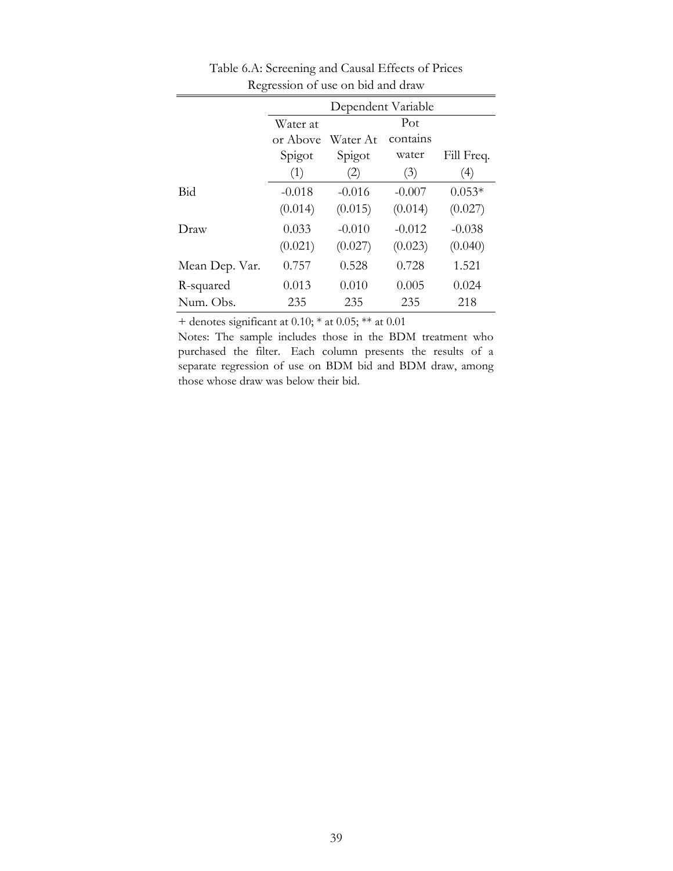|                | Dependent Variable   |          |          |                   |  |
|----------------|----------------------|----------|----------|-------------------|--|
|                | Water at             |          | Pot      |                   |  |
|                | or Above<br>Water At |          | contains |                   |  |
|                | Spigot               | Spigot   | water    | Fill Freq.        |  |
|                | (1)                  | (2)      | (3)      | $\left( 4\right)$ |  |
| Bid            | $-0.018$             | $-0.016$ | $-0.007$ | $0.053*$          |  |
|                | (0.014)              | (0.015)  | (0.014)  | (0.027)           |  |
| Draw           | 0.033                | $-0.010$ | $-0.012$ | $-0.038$          |  |
|                | (0.021)              | (0.027)  | (0.023)  | (0.040)           |  |
| Mean Dep. Var. | 0.757                | 0.528    | 0.728    | 1.521             |  |
| R-squared      | 0.013                | 0.010    | 0.005    | 0.024             |  |
| Num. Obs.      | 235                  | 235      | 235      | 218               |  |

Table 6.A: Screening and Causal Effects of Prices Regression of use on bid and draw

Notes: The sample includes those in the BDM treatment who purchased the filter. Each column presents the results of a separate regression of use on BDM bid and BDM draw, among those whose draw was below their bid.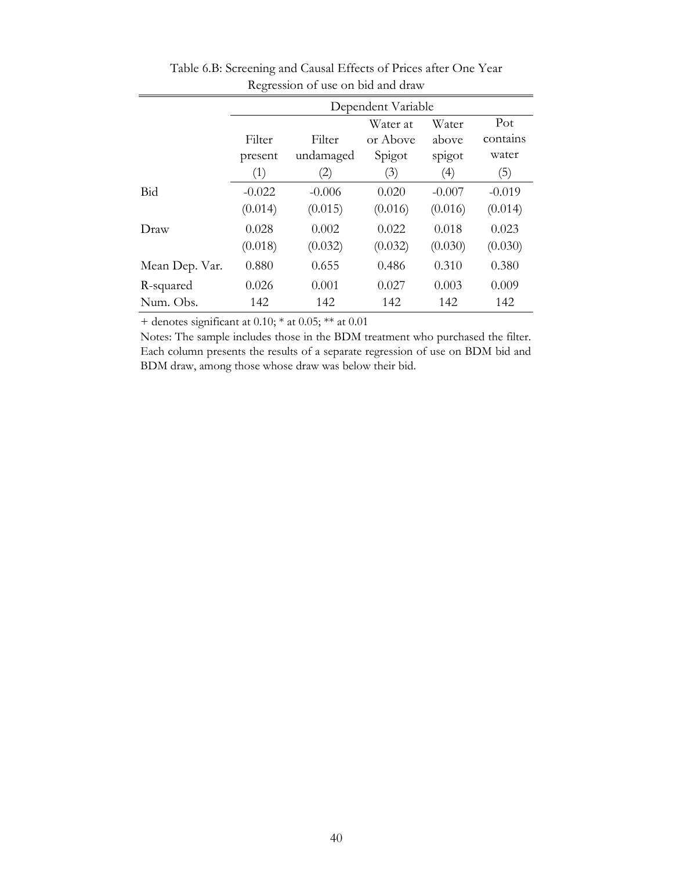|                | Dependent Variable |           |          |                  |          |  |
|----------------|--------------------|-----------|----------|------------------|----------|--|
|                |                    | Pot       |          |                  |          |  |
|                | Filter             | Filter    | or Above | above            | contains |  |
|                | present            | undamaged | Spigot   | spigot           | water    |  |
|                | (1)                | (2)       | (3)      | $\left(4\right)$ | (5)      |  |
| Bid            | $-0.022$           | $-0.006$  | 0.020    | $-0.007$         | $-0.019$ |  |
|                | (0.014)            | (0.015)   | (0.016)  | (0.016)          | (0.014)  |  |
| Draw           | 0.028              | 0.002     | 0.022    | 0.018            | 0.023    |  |
|                | (0.018)            | (0.032)   | (0.032)  | (0.030)          | (0.030)  |  |
| Mean Dep. Var. | 0.880              | 0.655     | 0.486    | 0.310            | 0.380    |  |
| R-squared      | 0.026              | 0.001     | 0.027    | 0.003            | 0.009    |  |
| Num. Obs.      | 142                | 142       | 142      | 142              | 142      |  |

Table 6.B: Screening and Causal Effects of Prices after One Year Regression of use on bid and draw

Notes: The sample includes those in the BDM treatment who purchased the filter. Each column presents the results of a separate regression of use on BDM bid and BDM draw, among those whose draw was below their bid.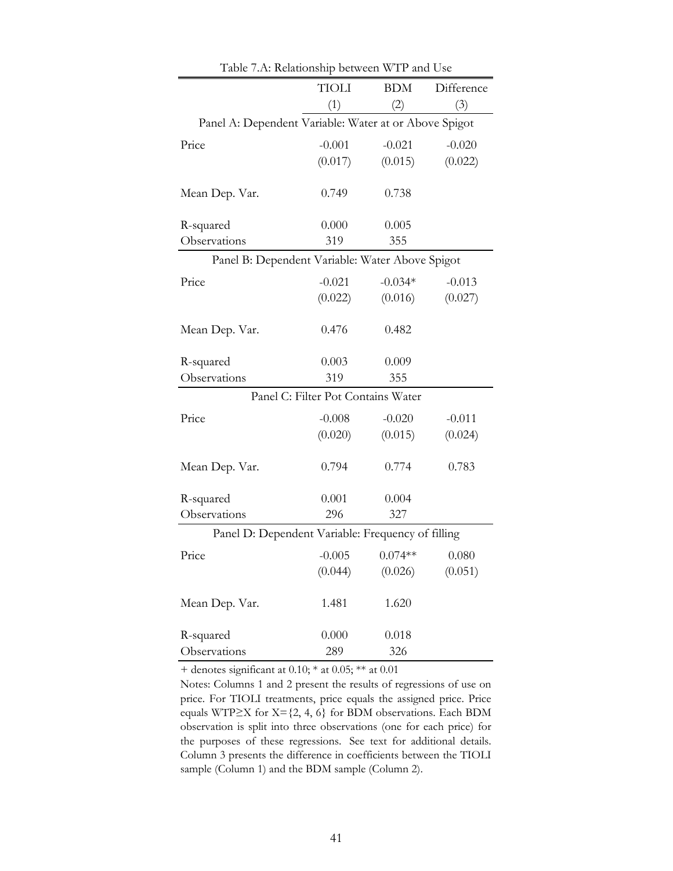|                                                       | <b>TIOLI</b>                       | <b>BDM</b> | Difference |
|-------------------------------------------------------|------------------------------------|------------|------------|
|                                                       | (1)                                | (2)        | (3)        |
| Panel A: Dependent Variable: Water at or Above Spigot |                                    |            |            |
| Price                                                 | $-0.001$                           | $-0.021$   | $-0.020$   |
|                                                       | (0.017)                            | (0.015)    | (0.022)    |
| Mean Dep. Var.                                        | 0.749                              | 0.738      |            |
| R-squared                                             | 0.000                              | 0.005      |            |
| Observations                                          | 319                                | 355        |            |
| Panel B: Dependent Variable: Water Above Spigot       |                                    |            |            |
| Price                                                 | $-0.021$                           | $-0.034*$  | $-0.013$   |
|                                                       | (0.022)                            | (0.016)    | (0.027)    |
| Mean Dep. Var.                                        | 0.476                              | 0.482      |            |
|                                                       | 0.003                              | 0.009      |            |
| R-squared<br>Observations                             | 319                                | 355        |            |
|                                                       | Panel C: Filter Pot Contains Water |            |            |
|                                                       |                                    |            |            |
| Price                                                 | $-0.008$                           | $-0.020$   | $-0.011$   |
|                                                       | (0.020)                            | (0.015)    | (0.024)    |
| Mean Dep. Var.                                        | 0.794                              | 0.774      | 0.783      |
| R-squared                                             | 0.001                              | 0.004      |            |
| Observations                                          | 296                                | 327        |            |
| Panel D: Dependent Variable: Frequency of filling     |                                    |            |            |
| Price                                                 | $-0.005$                           | $0.074**$  | 0.080      |
|                                                       | (0.044)                            | (0.026)    | (0.051)    |
| Mean Dep. Var.                                        | 1.481                              | 1.620      |            |
| R-squared                                             | 0.000                              | 0.018      |            |
| Observations                                          | 289                                | 326        |            |

Table 7.A: Relationship between WTP and Use

Notes: Columns 1 and 2 present the results of regressions of use on price. For TIOLI treatments, price equals the assigned price. Price equals WTP≥X for  $X = \{2, 4, 6\}$  for BDM observations. Each BDM observation is split into three observations (one for each price) for the purposes of these regressions. See text for additional details. Column 3 presents the difference in coefficients between the TIOLI sample (Column 1) and the BDM sample (Column 2).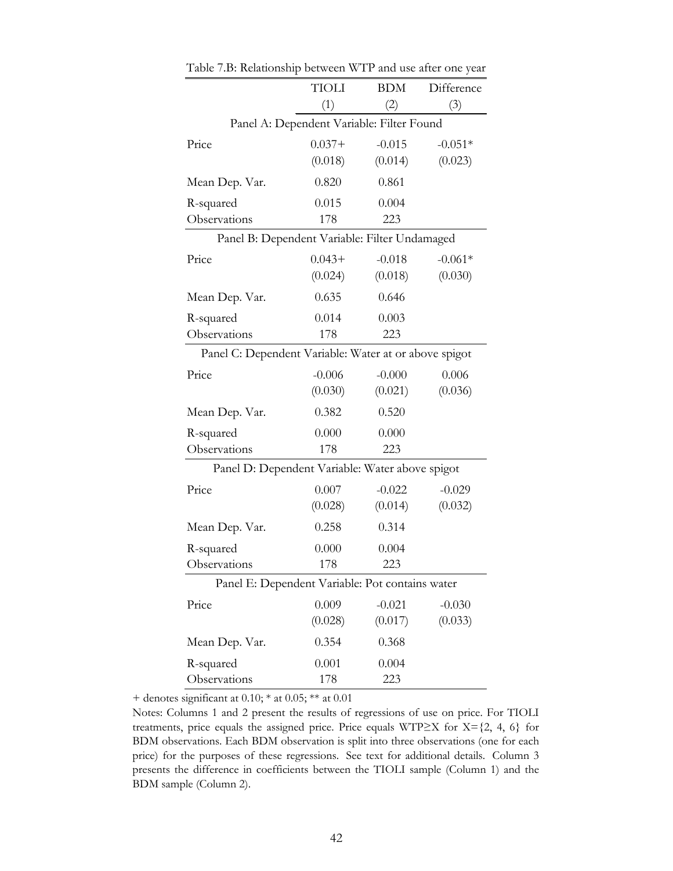|                                                       | <b>TIOLI</b>                              | <b>BDM</b> | Difference |
|-------------------------------------------------------|-------------------------------------------|------------|------------|
|                                                       | (1)                                       | (2)        | (3)        |
|                                                       | Panel A: Dependent Variable: Filter Found |            |            |
| Price                                                 | $0.037+$                                  | $-0.015$   | $-0.051*$  |
|                                                       | (0.018)                                   | (0.014)    | (0.023)    |
| Mean Dep. Var.                                        | 0.820                                     | 0.861      |            |
| R-squared                                             | 0.015                                     | 0.004      |            |
| Observations                                          | 178                                       | 223        |            |
| Panel B: Dependent Variable: Filter Undamaged         |                                           |            |            |
| Price                                                 | $0.043+$                                  | $-0.018$   | $-0.061*$  |
|                                                       | (0.024)                                   | (0.018)    | (0.030)    |
| Mean Dep. Var.                                        | 0.635                                     | 0.646      |            |
| R-squared                                             | 0.014                                     | 0.003      |            |
| Observations                                          | 178                                       | 223        |            |
| Panel C: Dependent Variable: Water at or above spigot |                                           |            |            |
| Price                                                 | $-0.006$                                  | $-0.000$   | 0.006      |
|                                                       | (0.030)                                   | (0.021)    | (0.036)    |
| Mean Dep. Var.                                        | 0.382                                     | 0.520      |            |
| R-squared                                             | 0.000                                     | 0.000      |            |
| Observations                                          | 178                                       | 223        |            |
| Panel D: Dependent Variable: Water above spigot       |                                           |            |            |
| Price                                                 | 0.007                                     | $-0.022$   | $-0.029$   |
|                                                       | (0.028)                                   | (0.014)    | (0.032)    |
| Mean Dep. Var.                                        | 0.258                                     | 0.314      |            |
| R-squared                                             | 0.000                                     | 0.004      |            |
| Observations                                          | 178                                       | 223        |            |
| Panel E: Dependent Variable: Pot contains water       |                                           |            |            |
| Price                                                 | 0.009                                     | $-0.021$   | $-0.030$   |
|                                                       | (0.028)                                   | (0.017)    | (0.033)    |
| Mean Dep. Var.                                        | 0.354                                     | 0.368      |            |
| R-squared                                             | 0.001                                     | 0.004      |            |
| Observations                                          | 178                                       | 223        |            |

Table 7.B: Relationship between WTP and use after one year

Notes: Columns 1 and 2 present the results of regressions of use on price. For TIOLI treatments, price equals the assigned price. Price equals WTP≥X for  $X = \{2, 4, 6\}$  for BDM observations. Each BDM observation is split into three observations (one for each price) for the purposes of these regressions. See text for additional details. Column 3 presents the difference in coefficients between the TIOLI sample (Column 1) and the BDM sample (Column 2).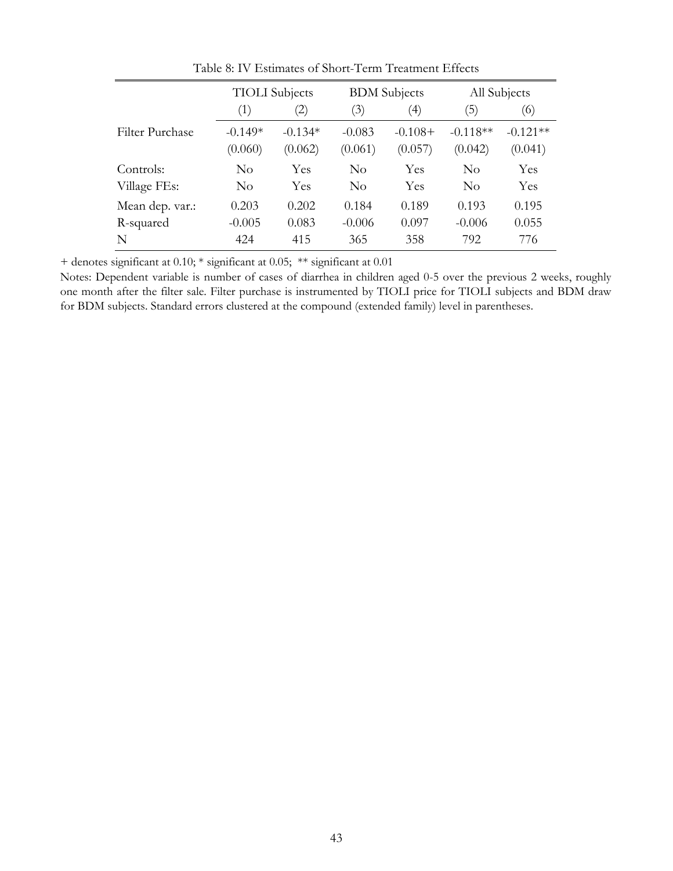|                 | <b>TIOLI</b> Subjects |                   | <b>BDM</b> Subjects |                  | All Subjects       |            |
|-----------------|-----------------------|-------------------|---------------------|------------------|--------------------|------------|
|                 | (1)                   | $\left( 2\right)$ | (3)                 | $\left(4\right)$ | (5                 | (6)        |
| Filter Purchase | $-0.149*$             | $-0.134*$         | $-0.083$            | $-0.108+$        | $-0.118**$         | $-0.121**$ |
|                 | (0.060)               | (0.062)           | (0.061)             | (0.057)          | (0.042)            | (0.041)    |
| Controls:       | $\rm No$              | Yes               | $\rm No$            | Yes              | $\overline{N}_{0}$ | Yes        |
| Village FEs:    | $\rm No$              | Yes               | $\rm No$            | Yes              | $\overline{N}_{0}$ | Yes        |
| Mean dep. var.: | 0.203                 | 0.202             | 0.184               | 0.189            | 0.193              | 0.195      |
| R-squared       | $-0.005$              | 0.083             | $-0.006$            | 0.097            | $-0.006$           | 0.055      |
| N               | 424                   | 415               | 365                 | 358              | 792                | 776        |

Table 8: IV Estimates of Short-Term Treatment Effects

+ denotes significant at 0.10; \* significant at 0.05; \*\* significant at 0.01

Notes: Dependent variable is number of cases of diarrhea in children aged 0-5 over the previous 2 weeks, roughly one month after the filter sale. Filter purchase is instrumented by TIOLI price for TIOLI subjects and BDM draw for BDM subjects. Standard errors clustered at the compound (extended family) level in parentheses.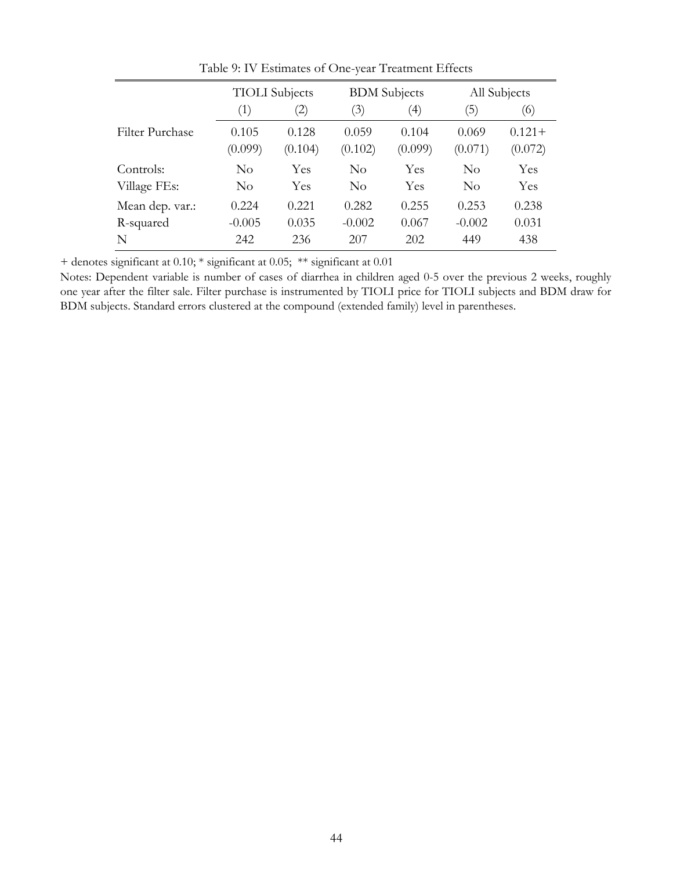|                 | <b>TIOLI</b> Subjects |                   |                  | <b>BDM</b> Subjects |                  | All Subjects         |  |
|-----------------|-----------------------|-------------------|------------------|---------------------|------------------|----------------------|--|
|                 | (1)                   | $\left( 2\right)$ | (3)              | $\left(4\right)$    | $\left(5\right)$ | (6)                  |  |
| Filter Purchase | 0.105<br>(0.099)      | 0.128<br>(0.104)  | 0.059<br>(0.102) | 0.104<br>(0.099)    | 0.069<br>(0.071) | $0.121 +$<br>(0.072) |  |
| Controls:       | $\rm No$              | Yes               | $\rm No$         | Yes                 | $\rm No$         | Yes                  |  |
| Village FEs:    | $\rm No$              | Yes               | $\rm No$         | Yes                 | $\rm No$         | Yes                  |  |
| Mean dep. var.: | 0.224                 | 0.221             | 0.282            | 0.255               | 0.253            | 0.238                |  |
| R-squared       | $-0.005$              | 0.035             | $-0.002$         | 0.067               | $-0.002$         | 0.031                |  |
| N               | 242                   | 236               | 207              | 202                 | 449              | 438                  |  |

Table 9: IV Estimates of One-year Treatment Effects

+ denotes significant at 0.10; \* significant at 0.05; \*\* significant at 0.01

Notes: Dependent variable is number of cases of diarrhea in children aged 0-5 over the previous 2 weeks, roughly one year after the filter sale. Filter purchase is instrumented by TIOLI price for TIOLI subjects and BDM draw for BDM subjects. Standard errors clustered at the compound (extended family) level in parentheses.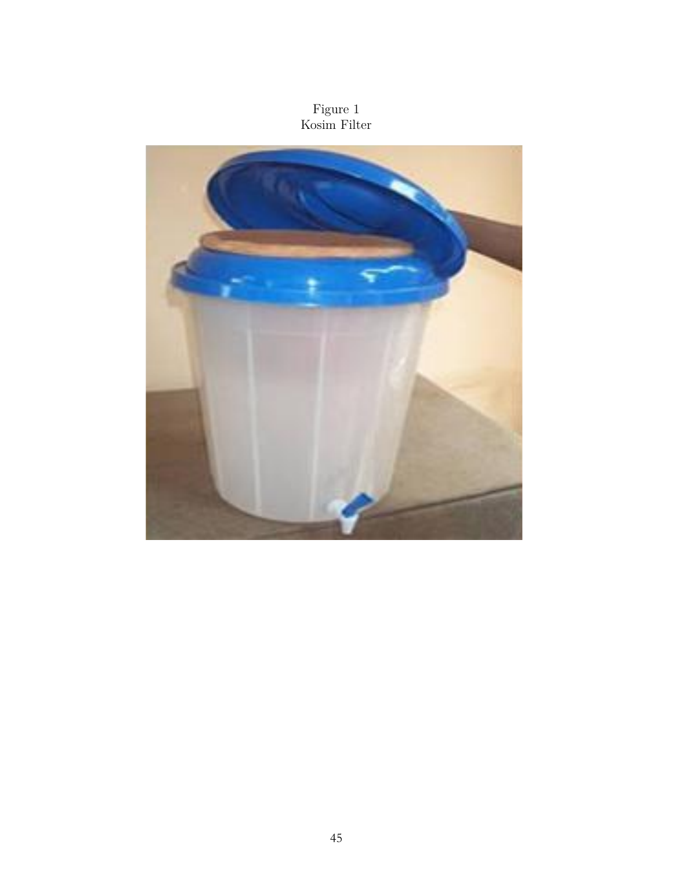### Figure 1 Kosim Filter

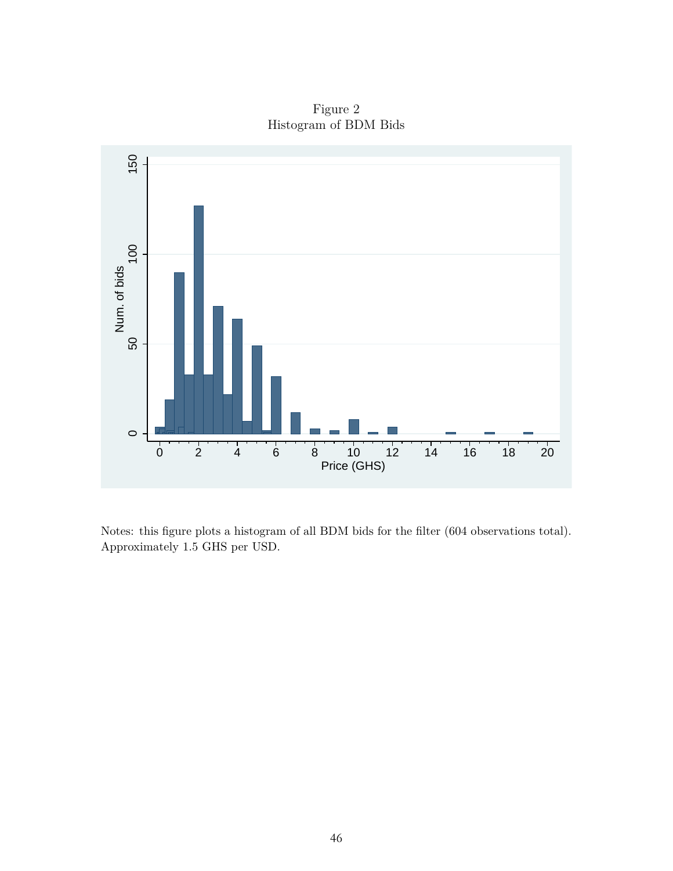Figure 2 Histogram of BDM Bids



Notes: this figure plots a histogram of all BDM bids for the filter (604 observations total). Approximately 1.5 GHS per USD.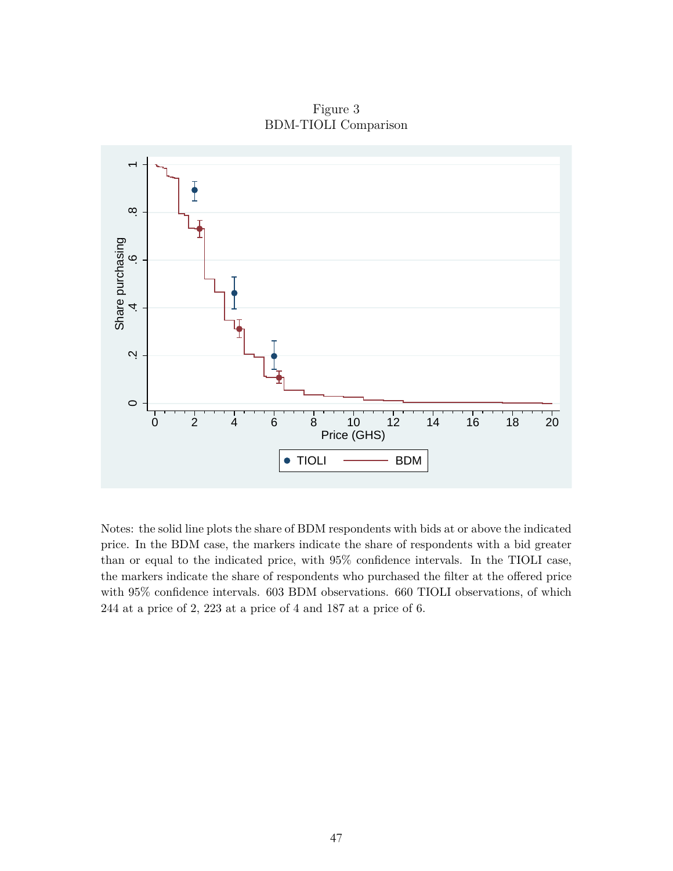Figure 3 BDM-TIOLI Comparison



Notes: the solid line plots the share of BDM respondents with bids at or above the indicated price. In the BDM case, the markers indicate the share of respondents with a bid greater than or equal to the indicated price, with 95% confidence intervals. In the TIOLI case, the markers indicate the share of respondents who purchased the filter at the offered price with 95% confidence intervals. 603 BDM observations. 660 TIOLI observations, of which 244 at a price of 2, 223 at a price of 4 and 187 at a price of 6.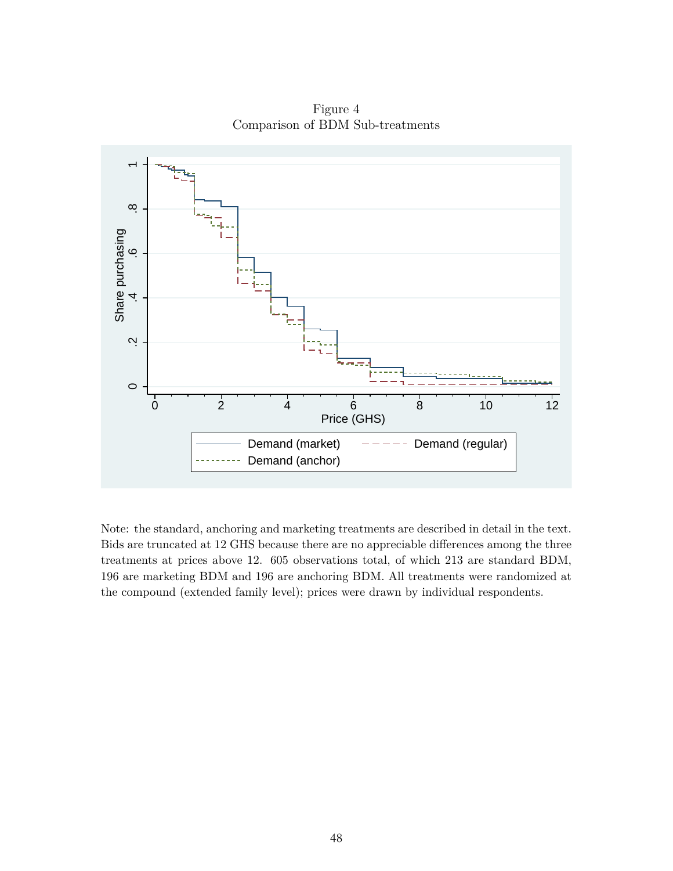Figure 4 Comparison of BDM Sub-treatments



Note: the standard, anchoring and marketing treatments are described in detail in the text. Bids are truncated at 12 GHS because there are no appreciable differences among the three treatments at prices above 12. 605 observations total, of which 213 are standard BDM, 196 are marketing BDM and 196 are anchoring BDM. All treatments were randomized at the compound (extended family level); prices were drawn by individual respondents.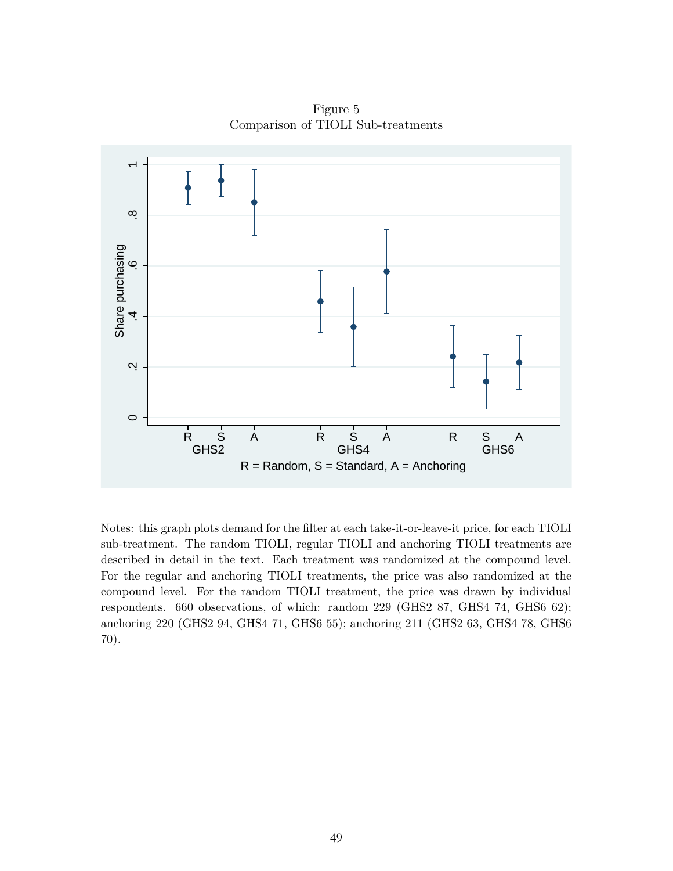Figure 5 Comparison of TIOLI Sub-treatments



Notes: this graph plots demand for the filter at each take-it-or-leave-it price, for each TIOLI sub-treatment. The random TIOLI, regular TIOLI and anchoring TIOLI treatments are described in detail in the text. Each treatment was randomized at the compound level. For the regular and anchoring TIOLI treatments, the price was also randomized at the compound level. For the random TIOLI treatment, the price was drawn by individual respondents. 660 observations, of which: random 229 (GHS2 87, GHS4 74, GHS6 62); anchoring 220 (GHS2 94, GHS4 71, GHS6 55); anchoring 211 (GHS2 63, GHS4 78, GHS6 70).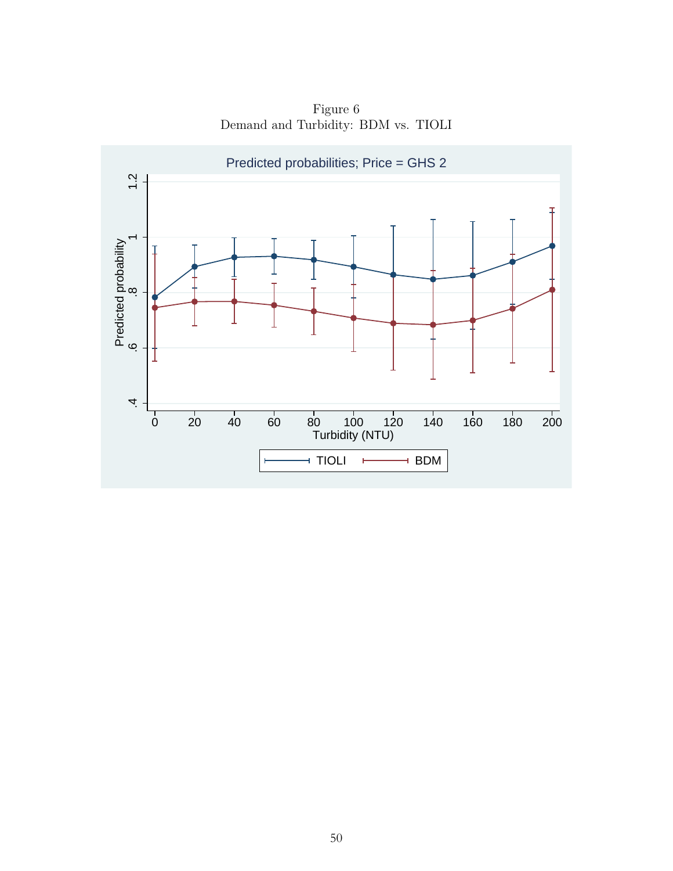Figure 6 Demand and Turbidity: BDM vs. TIOLI

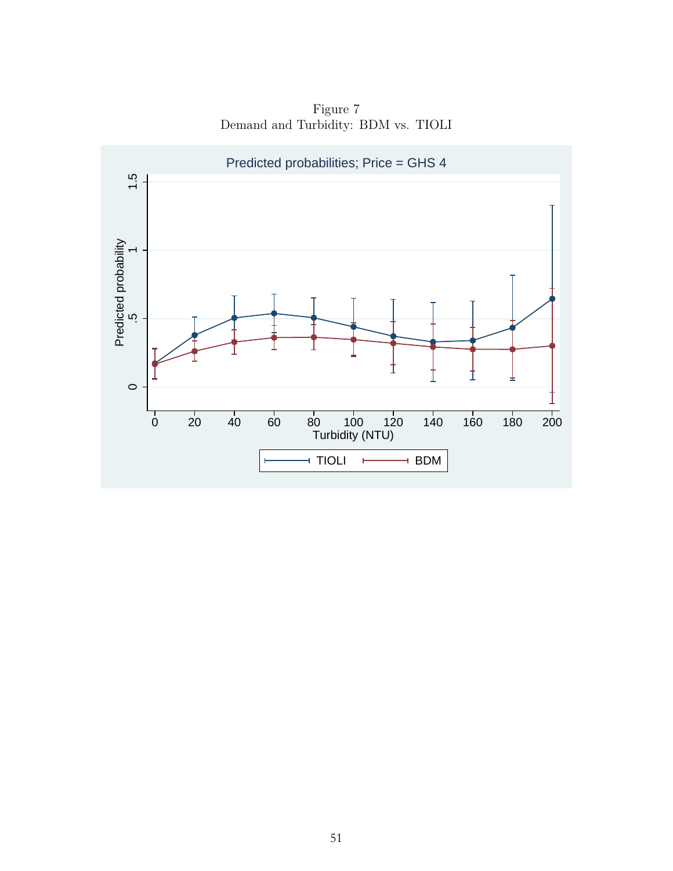Figure 7 Demand and Turbidity: BDM vs. TIOLI

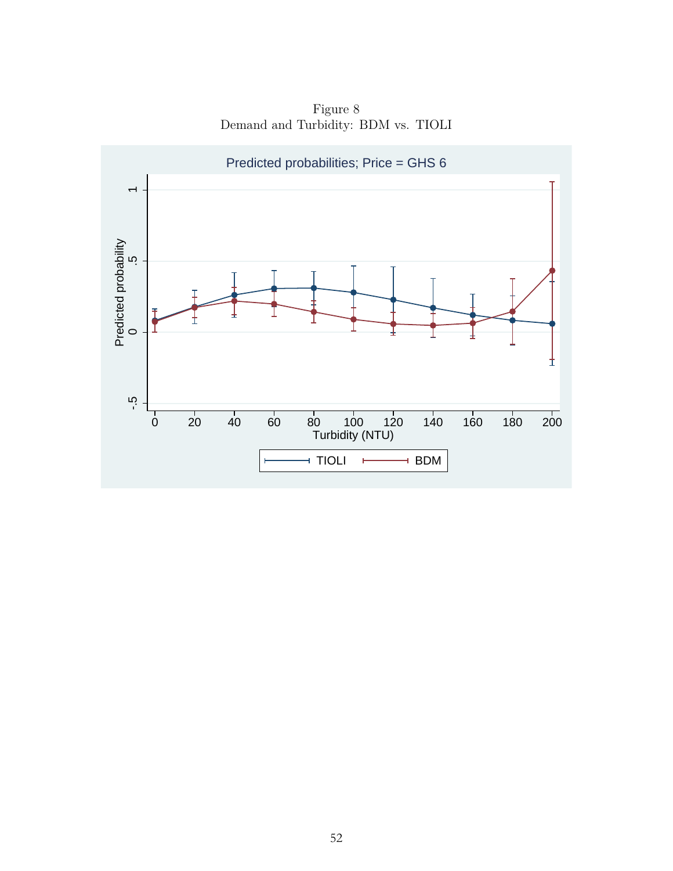

Figure 8 Demand and Turbidity: BDM vs. TIOLI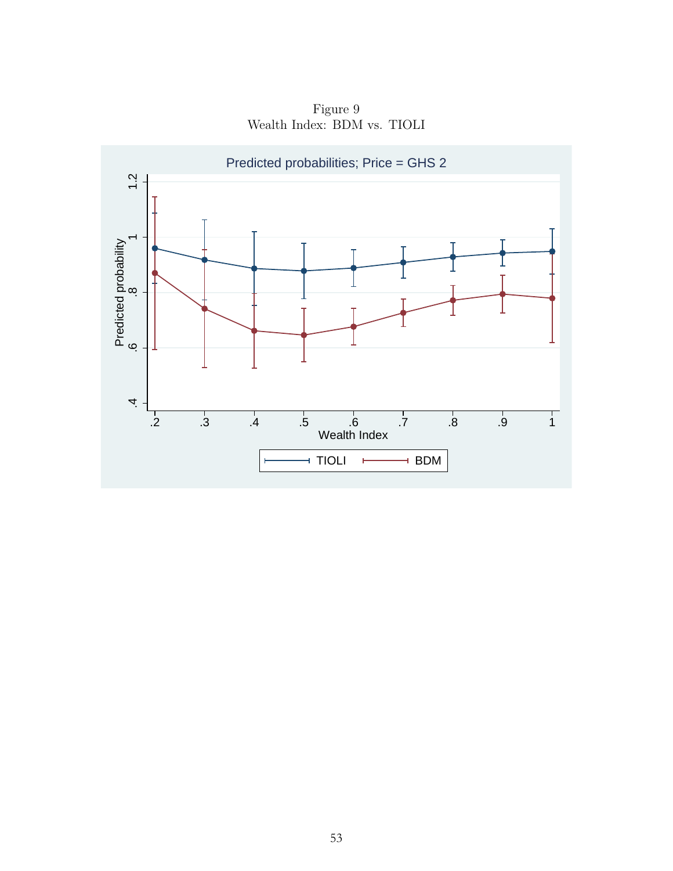Figure 9 Wealth Index: BDM vs. TIOLI

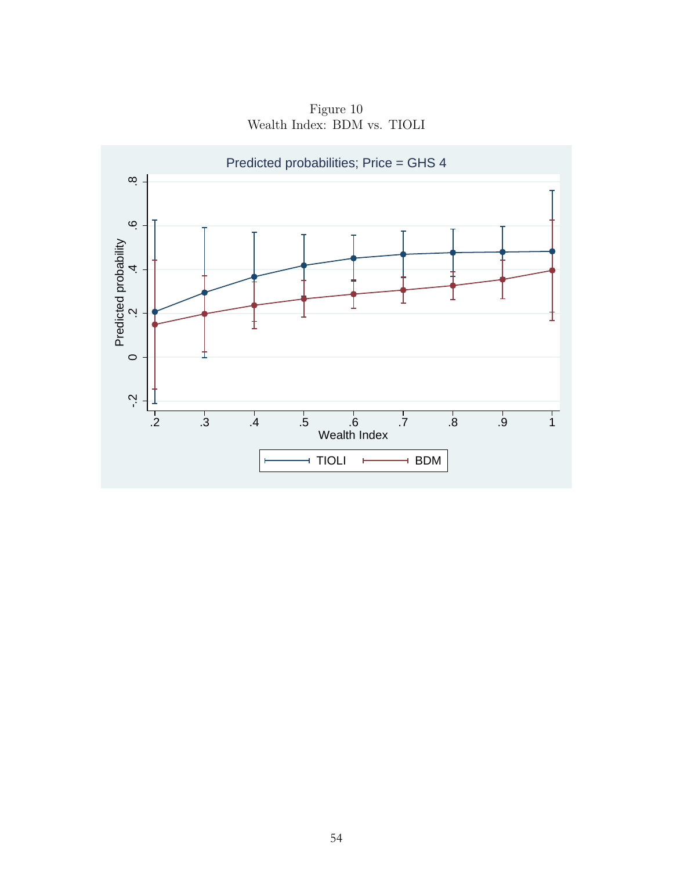

Figure 10 Wealth Index: BDM vs. TIOLI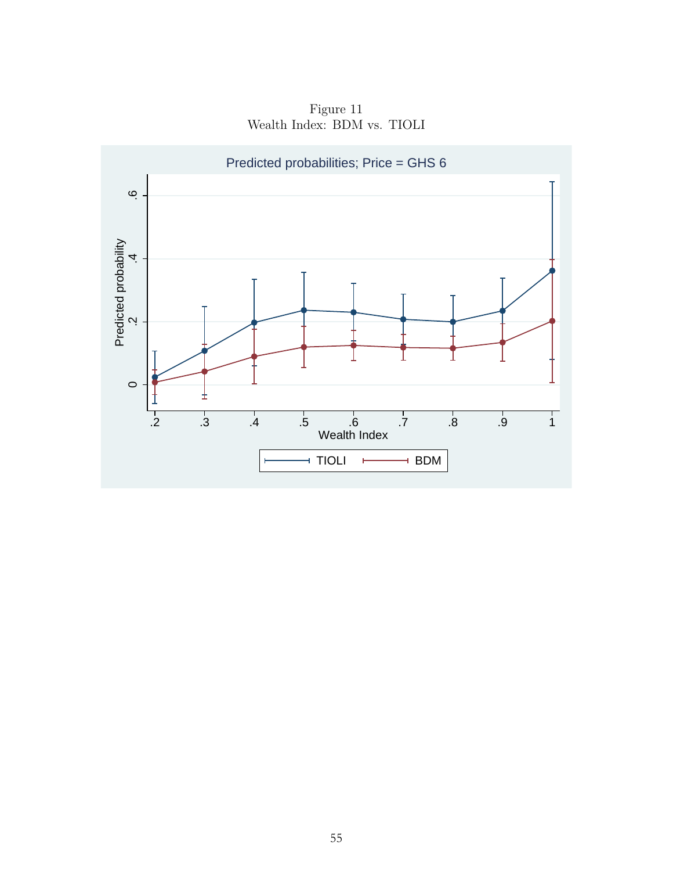

Figure 11 Wealth Index: BDM vs. TIOLI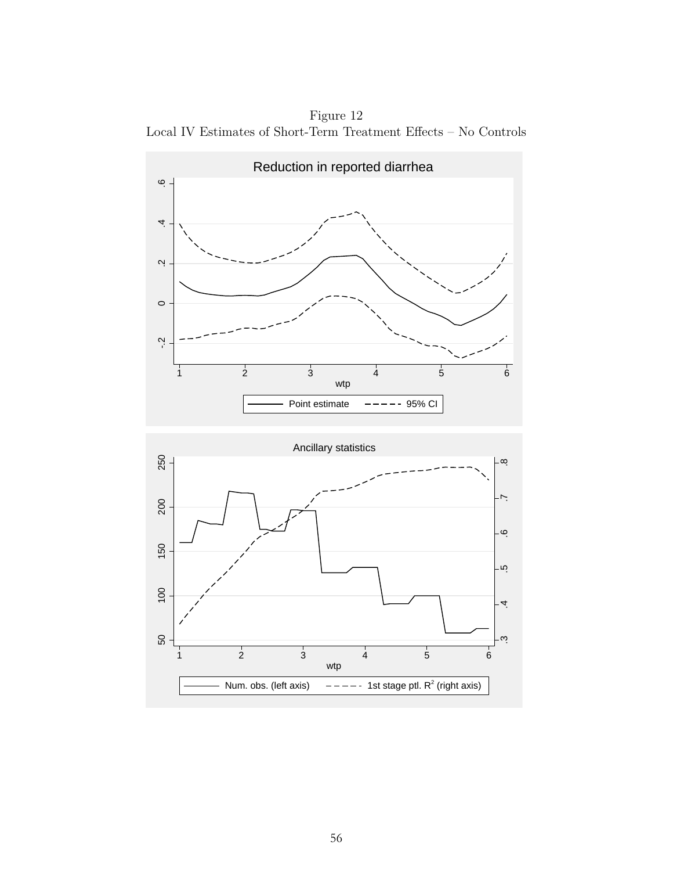Figure 12 Local IV Estimates of Short-Term Treatment Effects – No Controls



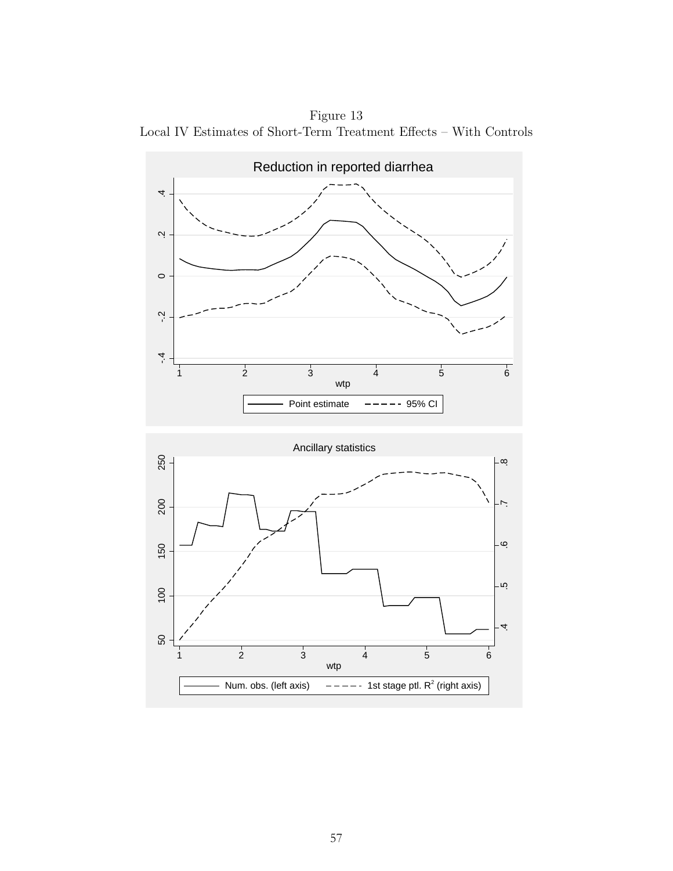Figure 13 Local IV Estimates of Short-Term Treatment Effects – With Controls



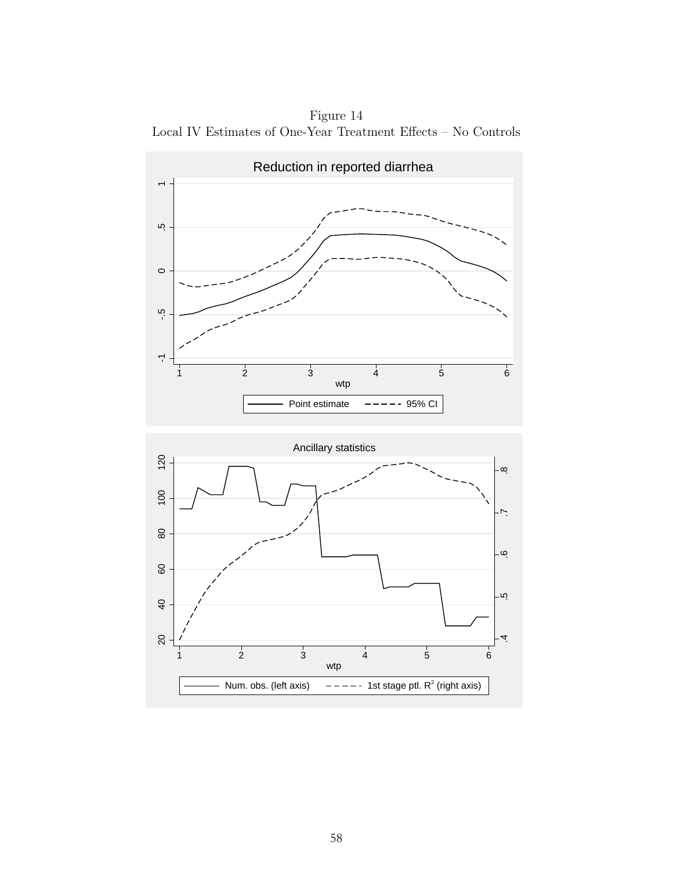Figure 14 Local IV Estimates of One-Year Treatment Effects – No Controls



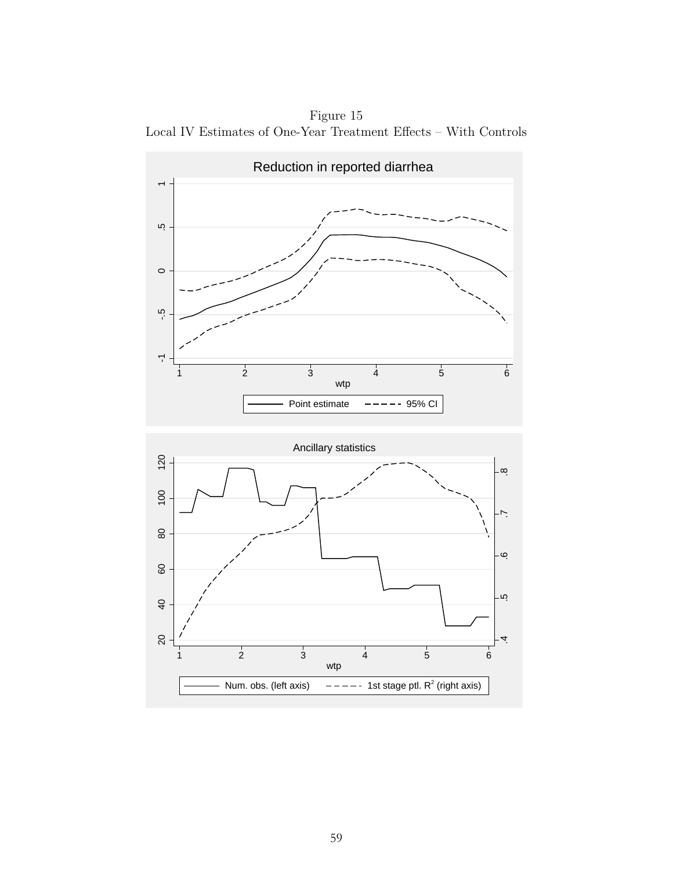Figure 15 Local IV Estimates of One-Year Treatment Effects – With Controls



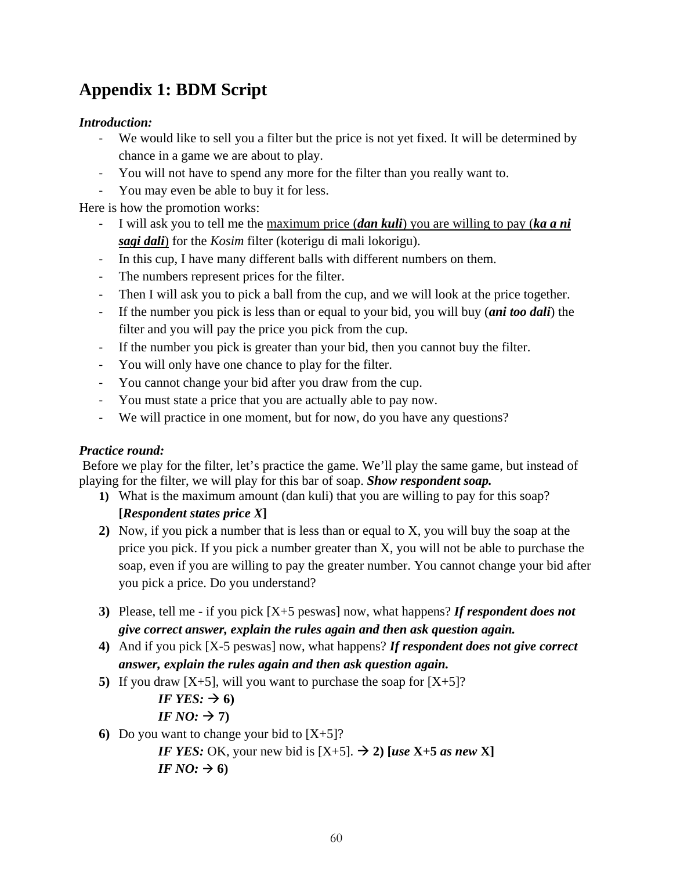# **Appendix 1: BDM Script**

### *Introduction:*

- We would like to sell you a filter but the price is not yet fixed. It will be determined by chance in a game we are about to play.
- You will not have to spend any more for the filter than you really want to.
- You may even be able to buy it for less.

Here is how the promotion works:

- I will ask you to tell me the maximum price (*dan kuli*) you are willing to pay (*ka a ni sagi dali*) for the *Kosim* filter (koterigu di mali lokorigu).
- In this cup, I have many different balls with different numbers on them.
- The numbers represent prices for the filter.
- Then I will ask you to pick a ball from the cup, and we will look at the price together.
- If the number you pick is less than or equal to your bid, you will buy (*ani too dali*) the filter and you will pay the price you pick from the cup.
- If the number you pick is greater than your bid, then you cannot buy the filter.
- You will only have one chance to play for the filter.
- You cannot change your bid after you draw from the cup.
- You must state a price that you are actually able to pay now.
- We will practice in one moment, but for now, do you have any questions?

### *Practice round:*

Before we play for the filter, let's practice the game. We'll play the same game, but instead of playing for the filter, we will play for this bar of soap. *Show respondent soap.*

**1)** What is the maximum amount (dan kuli) that you are willing to pay for this soap?

### **[***Respondent states price X***]**

- **2)** Now, if you pick a number that is less than or equal to X, you will buy the soap at the price you pick. If you pick a number greater than X, you will not be able to purchase the soap, even if you are willing to pay the greater number. You cannot change your bid after you pick a price. Do you understand?
- **3)** Please, tell me if you pick [X+5 peswas] now, what happens? *If respondent does not give correct answer, explain the rules again and then ask question again.*
- **4)** And if you pick [X-5 peswas] now, what happens? *If respondent does not give correct answer, explain the rules again and then ask question again.*
- **5)** If you draw  $[X+5]$ , will you want to purchase the soap for  $[X+5]$ ?
	- *IF YES:*  $\rightarrow$  6)
	- *IF NO:*  $\rightarrow$  7)
- **6)** Do you want to change your bid to  $[X+5]$ ?

*<i>IF YES:* OK, your new bid is  $[X+5]$ .  $\rightarrow$  2) [*use* X+5 *as new* X] *IF NO:*  $\rightarrow$  6)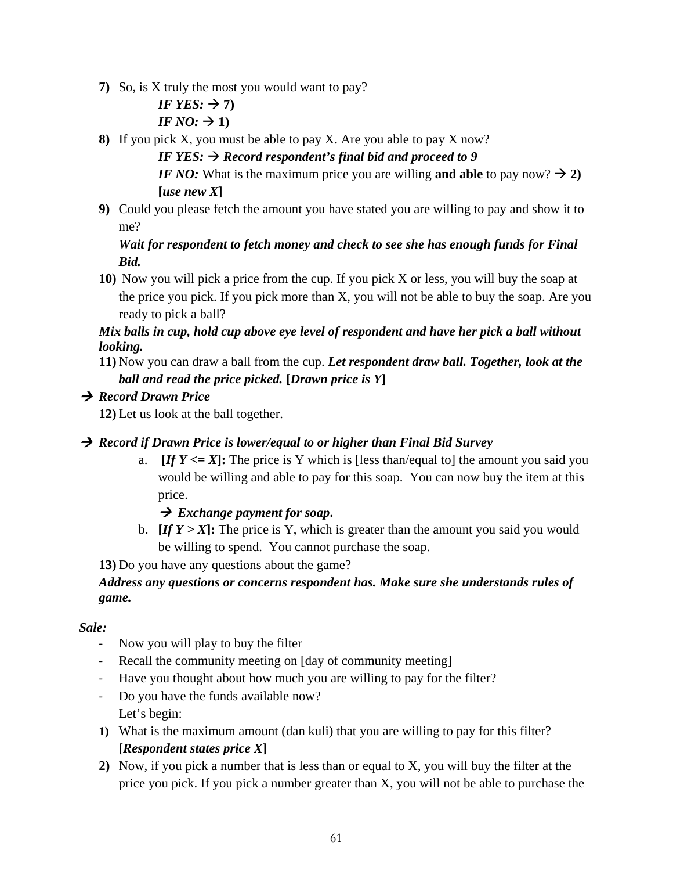- **7)** So, is X truly the most you would want to pay?
	- *IF YES:*  $\rightarrow$  7) *IF NO:*  $\rightarrow$  1)
- **8)** If you pick X, you must be able to pay X. Are you able to pay X now?
	- *IF YES:*  $\rightarrow$  *Record respondent's final bid and proceed to 9*

*IF NO:* What is the maximum price you are willing and able to pay now?  $\rightarrow$  2)  $\lceil u$ se new X $\rceil$ 

**9)** Could you please fetch the amount you have stated you are willing to pay and show it to me?

### *Wait for respondent to fetch money and check to see she has enough funds for Final Bid.*

**10)** Now you will pick a price from the cup. If you pick X or less, you will buy the soap at the price you pick. If you pick more than X, you will not be able to buy the soap. Are you ready to pick a ball?

### *Mix balls in cup, hold cup above eye level of respondent and have her pick a ball without looking.*

**11)** Now you can draw a ball from the cup. *Let respondent draw ball. Together, look at the ball and read the price picked.* **[***Drawn price is Y***]**

### *Record Drawn Price*

**12)** Let us look at the ball together.

### *Record if Drawn Price is lower/equal to or higher than Final Bid Survey*

a. *If Y <= X*: The price is Y which is [less than/equal to] the amount you said you would be willing and able to pay for this soap. You can now buy the item at this price.

### *Exchange payment for soap***.**

b.  $[If Y > X]$ : The price is Y, which is greater than the amount you said you would be willing to spend. You cannot purchase the soap.

**13)** Do you have any questions about the game?

### *Address any questions or concerns respondent has. Make sure she understands rules of game.*

### *Sale:*

- Now you will play to buy the filter
- Recall the community meeting on [day of community meeting]
- Have you thought about how much you are willing to pay for the filter?
- Do you have the funds available now? Let's begin:
- **1)** What is the maximum amount (dan kuli) that you are willing to pay for this filter? **[***Respondent states price X***]**
- **2)** Now, if you pick a number that is less than or equal to X, you will buy the filter at the price you pick. If you pick a number greater than X, you will not be able to purchase the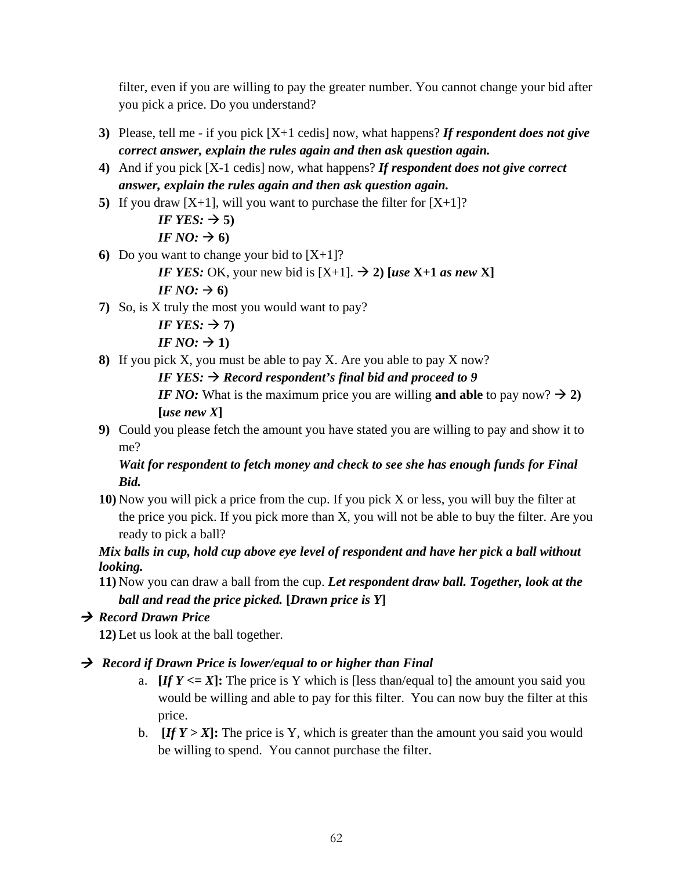filter, even if you are willing to pay the greater number. You cannot change your bid after you pick a price. Do you understand?

- **3)** Please, tell me if you pick [X+1 cedis] now, what happens? *If respondent does not give correct answer, explain the rules again and then ask question again.*
- **4)** And if you pick [X-1 cedis] now, what happens? *If respondent does not give correct answer, explain the rules again and then ask question again.*
- **5)** If you draw  $[X+1]$ , will you want to purchase the filter for  $[X+1]$ ?

*IF YES:*  $\rightarrow$  5) *IF NO:*  $\rightarrow$  6)

**6)** Do you want to change your bid to  $[X+1]$ ?

*IF YES:* OK, your new bid is  $[X+1]$ .  $\rightarrow$  2) [*use* X+1 *as new* X]

*IF NO:*  $\rightarrow$  6)

**7)** So, is X truly the most you would want to pay?

```
IF YES: \rightarrow 7)
IF NO: \rightarrow 1)
```
**8)** If you pick X, you must be able to pay X. Are you able to pay X now?

*IF YES:*  $\rightarrow$  *Record respondent's final bid and proceed to 9* 

*IF NO:* What is the maximum price you are willing and able to pay now?  $\rightarrow$  2) **[***use new X***]**

**9)** Could you please fetch the amount you have stated you are willing to pay and show it to me?

### *Wait for respondent to fetch money and check to see she has enough funds for Final Bid.*

**10)** Now you will pick a price from the cup. If you pick X or less, you will buy the filter at the price you pick. If you pick more than X, you will not be able to buy the filter. Are you ready to pick a ball?

### *Mix balls in cup, hold cup above eye level of respondent and have her pick a ball without looking.*

**11)** Now you can draw a ball from the cup. *Let respondent draw ball. Together, look at the ball and read the price picked.* **[***Drawn price is Y***]**

### *Record Drawn Price*

**12)** Let us look at the ball together.

### *Record if Drawn Price is lower/equal to or higher than Final*

- a. **[***If* $Y \leq X$ **]:** The price is Y which is [less than/equal to] the amount you said you would be willing and able to pay for this filter. You can now buy the filter at this price.
- b.  $[If Y > X]$ : The price is Y, which is greater than the amount you said you would be willing to spend. You cannot purchase the filter.